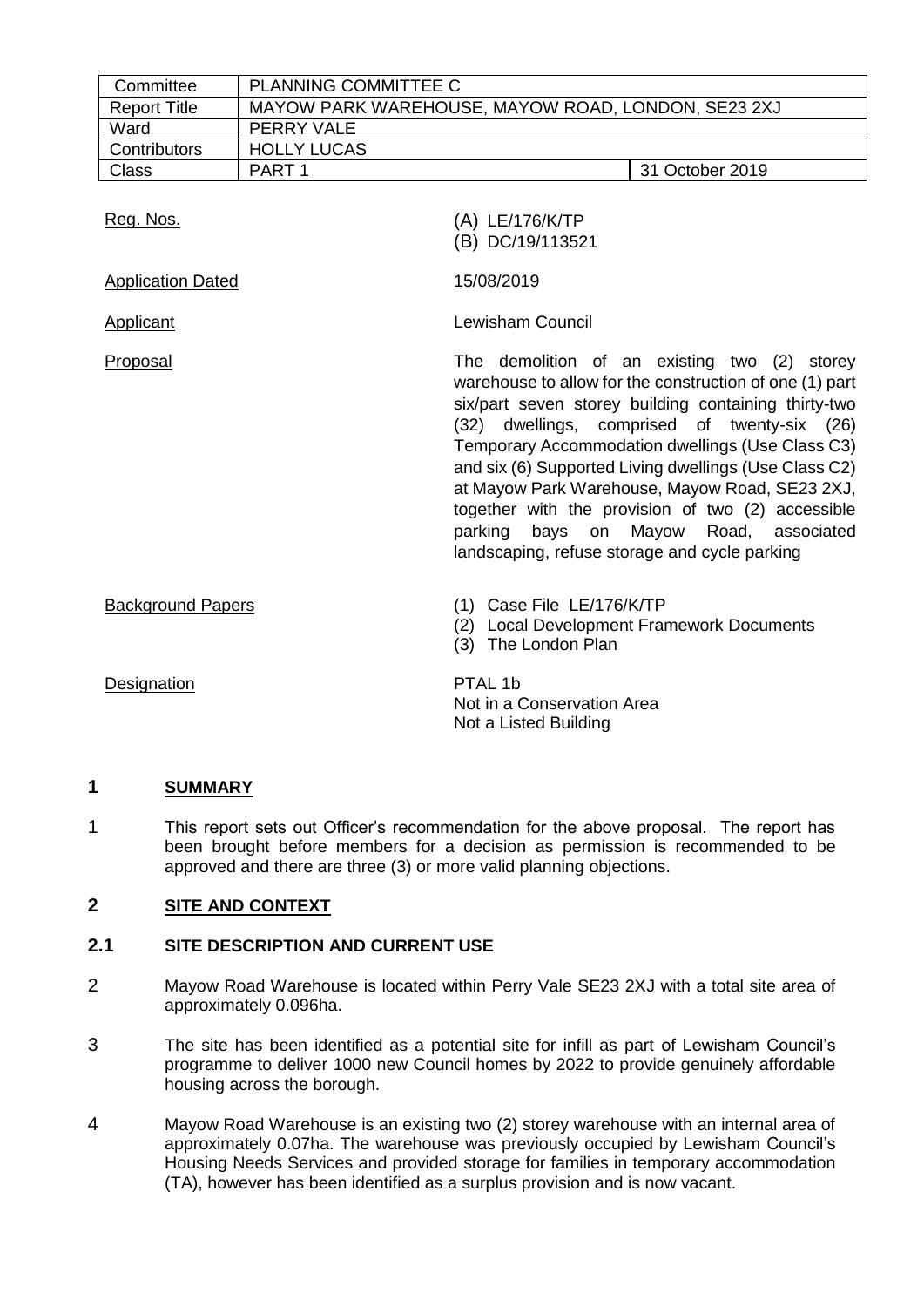| Committee                | <b>PLANNING COMMITTEE C</b>                        |                                                                                                                                                                                                                                                                                                                                                                                                                                                                                                                                               |  |  |  |
|--------------------------|----------------------------------------------------|-----------------------------------------------------------------------------------------------------------------------------------------------------------------------------------------------------------------------------------------------------------------------------------------------------------------------------------------------------------------------------------------------------------------------------------------------------------------------------------------------------------------------------------------------|--|--|--|
| <b>Report Title</b>      | MAYOW PARK WAREHOUSE, MAYOW ROAD, LONDON, SE23 2XJ |                                                                                                                                                                                                                                                                                                                                                                                                                                                                                                                                               |  |  |  |
| Ward                     | PERRY VALE                                         |                                                                                                                                                                                                                                                                                                                                                                                                                                                                                                                                               |  |  |  |
| Contributors             | <b>HOLLY LUCAS</b>                                 |                                                                                                                                                                                                                                                                                                                                                                                                                                                                                                                                               |  |  |  |
| <b>Class</b>             | PART <sub>1</sub><br>31 October 2019               |                                                                                                                                                                                                                                                                                                                                                                                                                                                                                                                                               |  |  |  |
| Reg. Nos.                |                                                    | (A) LE/176/K/TP<br>(B) DC/19/113521                                                                                                                                                                                                                                                                                                                                                                                                                                                                                                           |  |  |  |
| <b>Application Dated</b> |                                                    | 15/08/2019                                                                                                                                                                                                                                                                                                                                                                                                                                                                                                                                    |  |  |  |
| <b>Applicant</b>         |                                                    | <b>Lewisham Council</b>                                                                                                                                                                                                                                                                                                                                                                                                                                                                                                                       |  |  |  |
| Proposal                 |                                                    | The demolition of an existing two (2) storey<br>warehouse to allow for the construction of one (1) part<br>six/part seven storey building containing thirty-two<br>dwellings, comprised of twenty-six (26)<br>(32)<br>Temporary Accommodation dwellings (Use Class C3)<br>and six (6) Supported Living dwellings (Use Class C2)<br>at Mayow Park Warehouse, Mayow Road, SE23 2XJ,<br>together with the provision of two (2) accessible<br>Mayow<br>parking<br>bays on<br>Road,<br>associated<br>landscaping, refuse storage and cycle parking |  |  |  |
| <b>Background Papers</b> |                                                    | (1) Case File LE/176/K/TP<br>(2) Local Development Framework Documents<br>(3) The London Plan                                                                                                                                                                                                                                                                                                                                                                                                                                                 |  |  |  |
| Designation              |                                                    | PTAL 1b<br>Not in a Conservation Area<br>Not a Listed Building                                                                                                                                                                                                                                                                                                                                                                                                                                                                                |  |  |  |

## **1 SUMMARY**

1 This report sets out Officer's recommendation for the above proposal. The report has been brought before members for a decision as permission is recommended to be approved and there are three (3) or more valid planning objections.

# **2 SITE AND CONTEXT**

## **2.1 SITE DESCRIPTION AND CURRENT USE**

- 2 Mayow Road Warehouse is located within Perry Vale SE23 2XJ with a total site area of approximately 0.096ha.
- 3 The site has been identified as a potential site for infill as part of Lewisham Council's programme to deliver 1000 new Council homes by 2022 to provide genuinely affordable housing across the borough.
- 4 Mayow Road Warehouse is an existing two (2) storey warehouse with an internal area of approximately 0.07ha. The warehouse was previously occupied by Lewisham Council's Housing Needs Services and provided storage for families in temporary accommodation (TA), however has been identified as a surplus provision and is now vacant.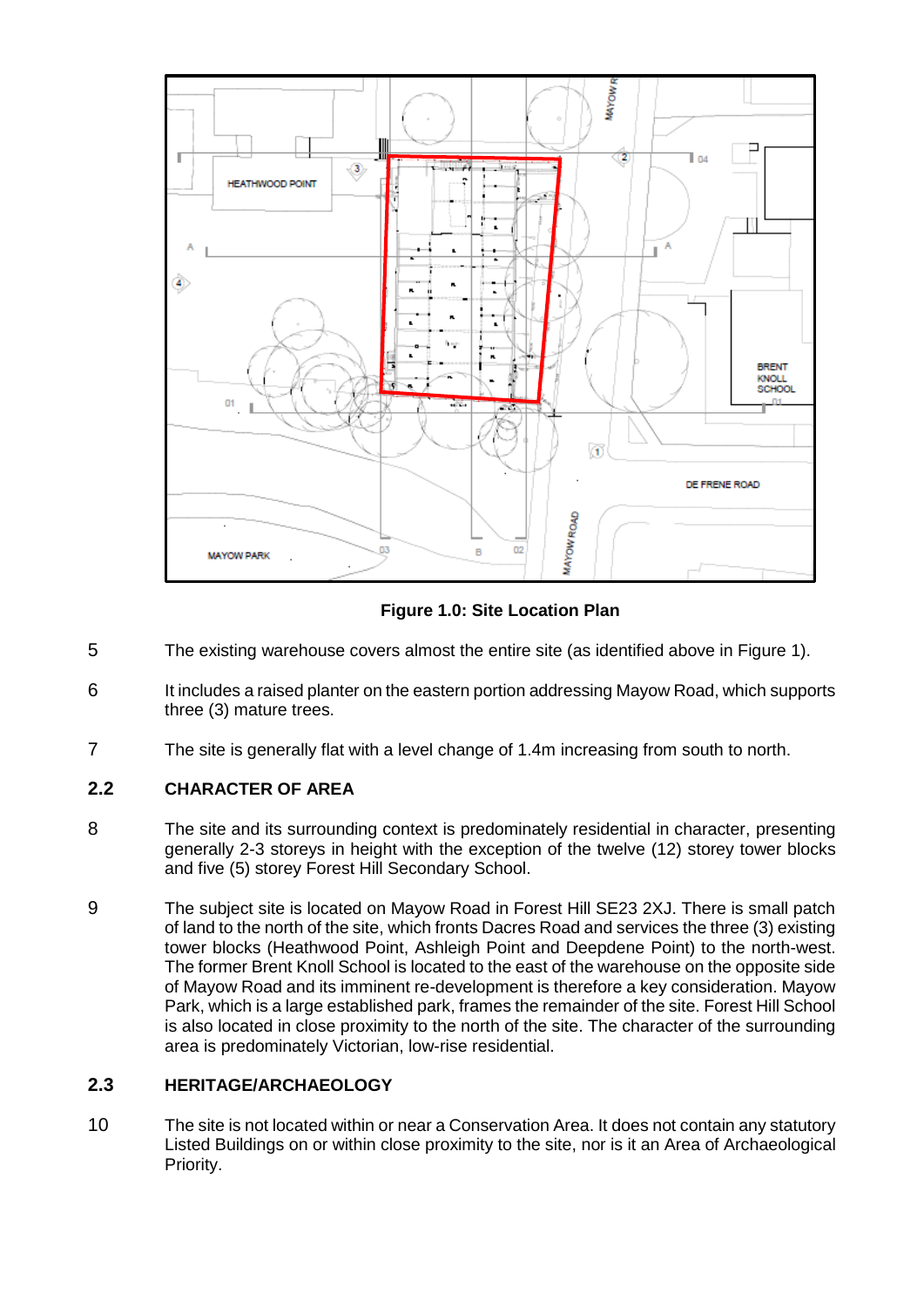

**Figure 1.0: Site Location Plan**

- 5 The existing warehouse covers almost the entire site (as identified above in Figure 1).
- 6 It includes a raised planter on the eastern portion addressing Mayow Road, which supports three (3) mature trees.
- 7 The site is generally flat with a level change of 1.4m increasing from south to north.

# **2.2 CHARACTER OF AREA**

- 8 The site and its surrounding context is predominately residential in character, presenting generally 2-3 storeys in height with the exception of the twelve (12) storey tower blocks and five (5) storey Forest Hill Secondary School.
- 9 The subject site is located on Mayow Road in Forest Hill SE23 2XJ. There is small patch of land to the north of the site, which fronts Dacres Road and services the three (3) existing tower blocks (Heathwood Point, Ashleigh Point and Deepdene Point) to the north-west. The former Brent Knoll School is located to the east of the warehouse on the opposite side of Mayow Road and its imminent re-development is therefore a key consideration. Mayow Park, which is a large established park, frames the remainder of the site. Forest Hill School is also located in close proximity to the north of the site. The character of the surrounding area is predominately Victorian, low-rise residential.

# **2.3 HERITAGE/ARCHAEOLOGY**

10 The site is not located within or near a Conservation Area. It does not contain any statutory Listed Buildings on or within close proximity to the site, nor is it an Area of Archaeological Priority.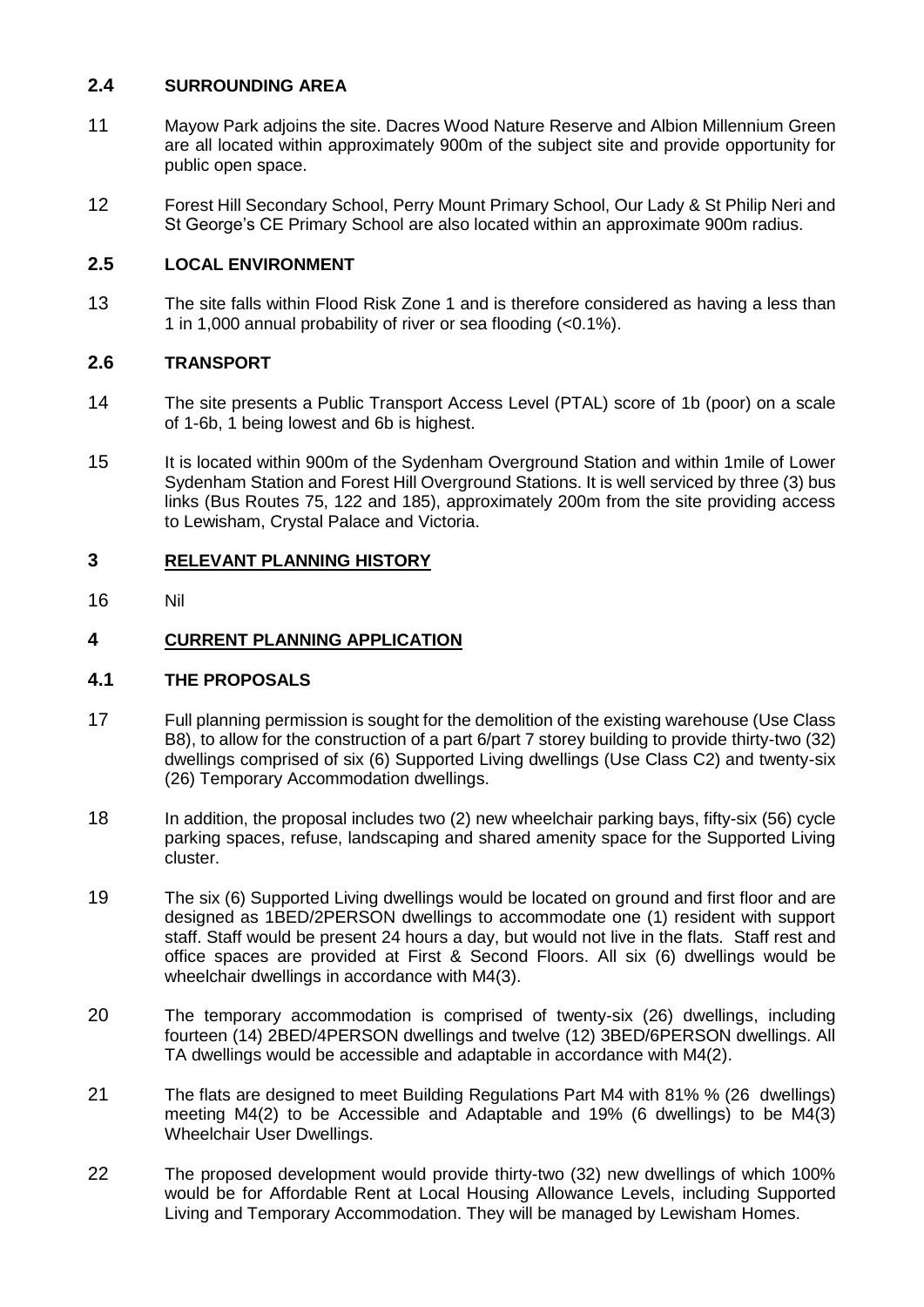# **2.4 SURROUNDING AREA**

- 11 Mayow Park adjoins the site. Dacres Wood Nature Reserve and Albion Millennium Green are all located within approximately 900m of the subject site and provide opportunity for public open space.
- 12 Forest Hill Secondary School, Perry Mount Primary School, Our Lady & St Philip Neri and St George's CE Primary School are also located within an approximate 900m radius.

# **2.5 LOCAL ENVIRONMENT**

13 The site falls within Flood Risk Zone 1 and is therefore considered as having a less than 1 in 1,000 annual probability of river or sea flooding (<0.1%).

## **2.6 TRANSPORT**

- 14 The site presents a Public Transport Access Level (PTAL) score of 1b (poor) on a scale of 1-6b, 1 being lowest and 6b is highest.
- 15 It is located within 900m of the Sydenham Overground Station and within 1mile of Lower Sydenham Station and Forest Hill Overground Stations. It is well serviced by three (3) bus links (Bus Routes 75, 122 and 185), approximately 200m from the site providing access to Lewisham, Crystal Palace and Victoria.

## **3 RELEVANT PLANNING HISTORY**

16 Nil

# **4 CURRENT PLANNING APPLICATION**

## **4.1 THE PROPOSALS**

- 17 Full planning permission is sought for the demolition of the existing warehouse (Use Class B8), to allow for the construction of a part 6/part 7 storey building to provide thirty-two (32) dwellings comprised of six (6) Supported Living dwellings (Use Class C2) and twenty-six (26) Temporary Accommodation dwellings.
- 18 In addition, the proposal includes two (2) new wheelchair parking bays, fifty-six (56) cycle parking spaces, refuse, landscaping and shared amenity space for the Supported Living cluster.
- 19 The six (6) Supported Living dwellings would be located on ground and first floor and are designed as 1BED/2PERSON dwellings to accommodate one (1) resident with support staff. Staff would be present 24 hours a day, but would not live in the flats. Staff rest and office spaces are provided at First & Second Floors. All six (6) dwellings would be wheelchair dwellings in accordance with M4(3).
- 20 The temporary accommodation is comprised of twenty-six (26) dwellings, including fourteen (14) 2BED/4PERSON dwellings and twelve (12) 3BED/6PERSON dwellings. All TA dwellings would be accessible and adaptable in accordance with M4(2).
- 21 The flats are designed to meet Building Regulations Part M4 with 81% % (26 dwellings) meeting M4(2) to be Accessible and Adaptable and 19% (6 dwellings) to be M4(3) Wheelchair User Dwellings.
- 22 The proposed development would provide thirty-two (32) new dwellings of which 100% would be for Affordable Rent at Local Housing Allowance Levels, including Supported Living and Temporary Accommodation. They will be managed by Lewisham Homes.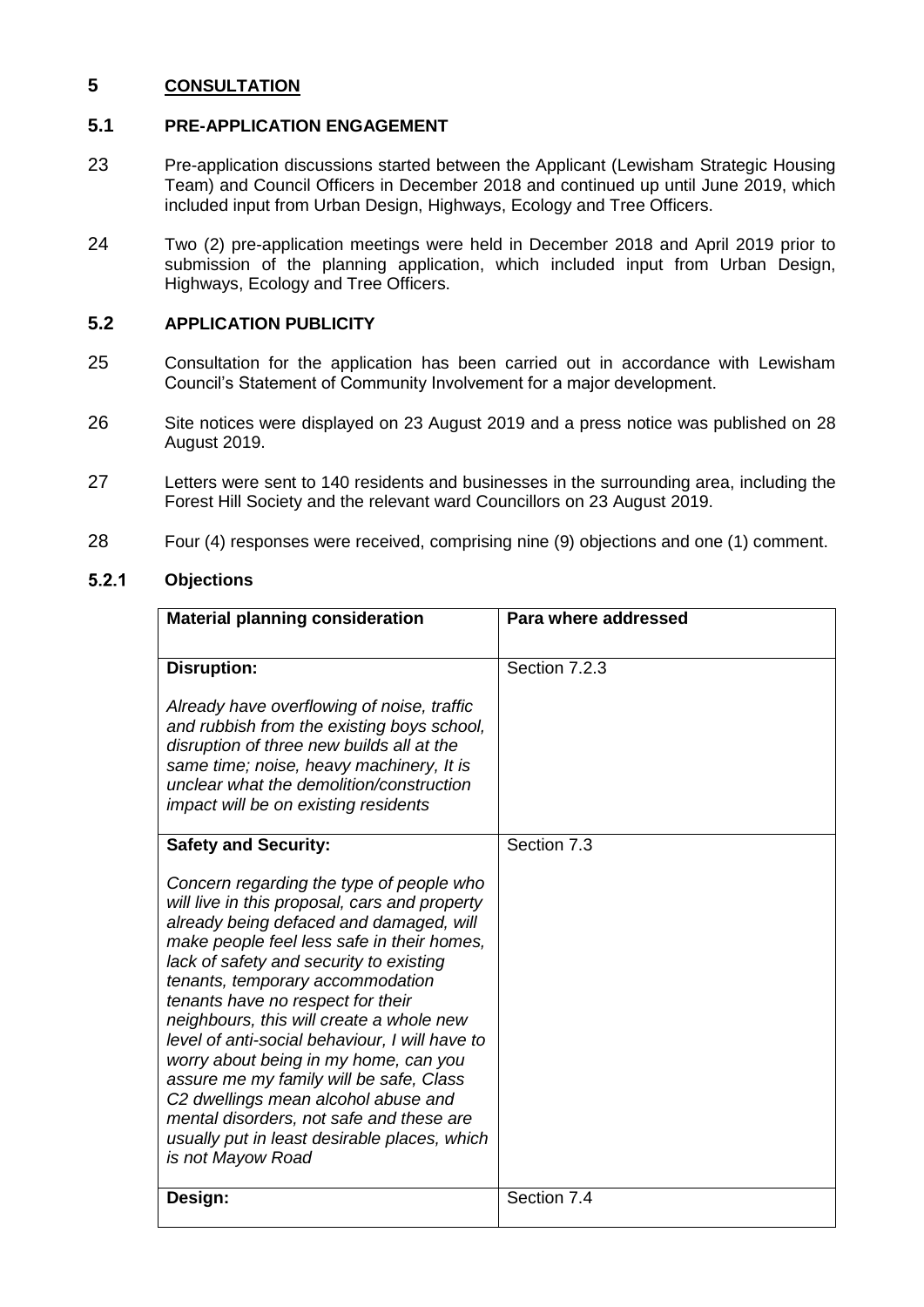# **5 CONSULTATION**

## **5.1 PRE-APPLICATION ENGAGEMENT**

- 23 Pre-application discussions started between the Applicant (Lewisham Strategic Housing Team) and Council Officers in December 2018 and continued up until June 2019, which included input from Urban Design, Highways, Ecology and Tree Officers.
- 24 Two (2) pre-application meetings were held in December 2018 and April 2019 prior to submission of the planning application, which included input from Urban Design, Highways, Ecology and Tree Officers.

# **5.2 APPLICATION PUBLICITY**

- 25 Consultation for the application has been carried out in accordance with Lewisham Council's Statement of Community Involvement for a major development.
- 26 Site notices were displayed on 23 August 2019 and a press notice was published on 28 August 2019.
- 27 Letters were sent to 140 residents and businesses in the surrounding area, including the Forest Hill Society and the relevant ward Councillors on 23 August 2019.
- 28 Four (4) responses were received, comprising nine (9) objections and one (1) comment.

#### $5.2.1$ **Objections**

| <b>Material planning consideration</b>                                                                                                                                                                                                                                                                                                                                                                                                                                                                                                                                                                                                                                          | Para where addressed |  |  |
|---------------------------------------------------------------------------------------------------------------------------------------------------------------------------------------------------------------------------------------------------------------------------------------------------------------------------------------------------------------------------------------------------------------------------------------------------------------------------------------------------------------------------------------------------------------------------------------------------------------------------------------------------------------------------------|----------------------|--|--|
| <b>Disruption:</b><br>Already have overflowing of noise, traffic<br>and rubbish from the existing boys school,<br>disruption of three new builds all at the<br>same time; noise, heavy machinery, It is<br>unclear what the demolition/construction<br>impact will be on existing residents                                                                                                                                                                                                                                                                                                                                                                                     | Section 7.2.3        |  |  |
| <b>Safety and Security:</b><br>Concern regarding the type of people who<br>will live in this proposal, cars and property<br>already being defaced and damaged, will<br>make people feel less safe in their homes,<br>lack of safety and security to existing<br>tenants, temporary accommodation<br>tenants have no respect for their<br>neighbours, this will create a whole new<br>level of anti-social behaviour, I will have to<br>worry about being in my home, can you<br>assure me my family will be safe, Class<br>C2 dwellings mean alcohol abuse and<br>mental disorders, not safe and these are<br>usually put in least desirable places, which<br>is not Mayow Road | Section 7.3          |  |  |
| Design:                                                                                                                                                                                                                                                                                                                                                                                                                                                                                                                                                                                                                                                                         | Section 7.4          |  |  |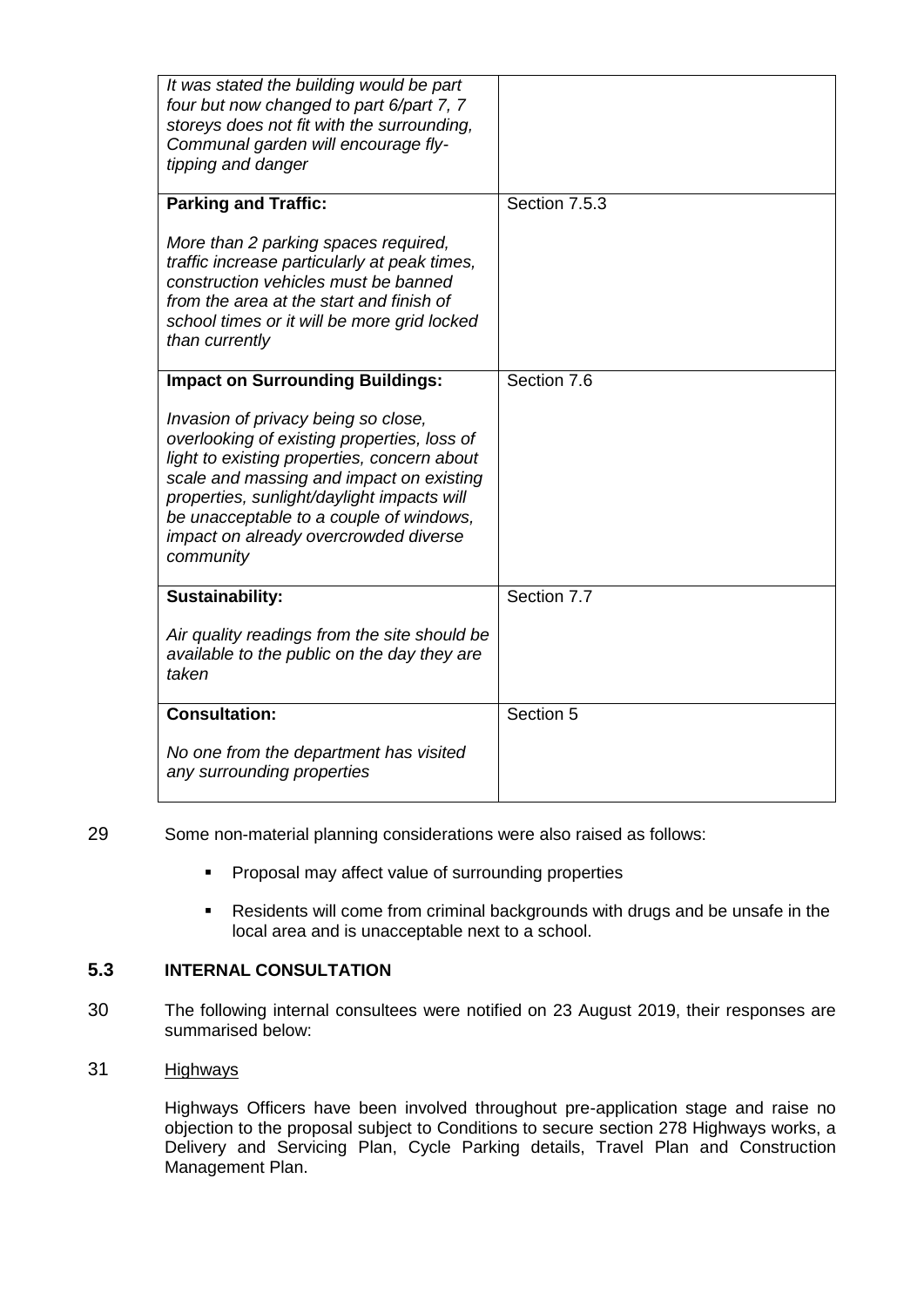| It was stated the building would be part<br>four but now changed to part 6/part 7, 7<br>storeys does not fit with the surrounding,<br>Communal garden will encourage fly-<br>tipping and danger                                                                                                                              |               |
|------------------------------------------------------------------------------------------------------------------------------------------------------------------------------------------------------------------------------------------------------------------------------------------------------------------------------|---------------|
| <b>Parking and Traffic:</b>                                                                                                                                                                                                                                                                                                  | Section 7.5.3 |
| More than 2 parking spaces required,<br>traffic increase particularly at peak times,<br>construction vehicles must be banned<br>from the area at the start and finish of<br>school times or it will be more grid locked<br>than currently                                                                                    |               |
| <b>Impact on Surrounding Buildings:</b>                                                                                                                                                                                                                                                                                      | Section 7.6   |
| Invasion of privacy being so close,<br>overlooking of existing properties, loss of<br>light to existing properties, concern about<br>scale and massing and impact on existing<br>properties, sunlight/daylight impacts will<br>be unacceptable to a couple of windows,<br>impact on already overcrowded diverse<br>community |               |
| <b>Sustainability:</b>                                                                                                                                                                                                                                                                                                       | Section 7.7   |
| Air quality readings from the site should be<br>available to the public on the day they are<br>taken                                                                                                                                                                                                                         |               |
| <b>Consultation:</b>                                                                                                                                                                                                                                                                                                         | Section 5     |
| No one from the department has visited<br>any surrounding properties                                                                                                                                                                                                                                                         |               |

## 29 Some non-material planning considerations were also raised as follows:

- **Proposal may affect value of surrounding properties**
- Residents will come from criminal backgrounds with drugs and be unsafe in the local area and is unacceptable next to a school.

# **5.3 INTERNAL CONSULTATION**

30 The following internal consultees were notified on 23 August 2019, their responses are summarised below:

# 31 Highways

Highways Officers have been involved throughout pre-application stage and raise no objection to the proposal subject to Conditions to secure section 278 Highways works, a Delivery and Servicing Plan, Cycle Parking details, Travel Plan and Construction Management Plan.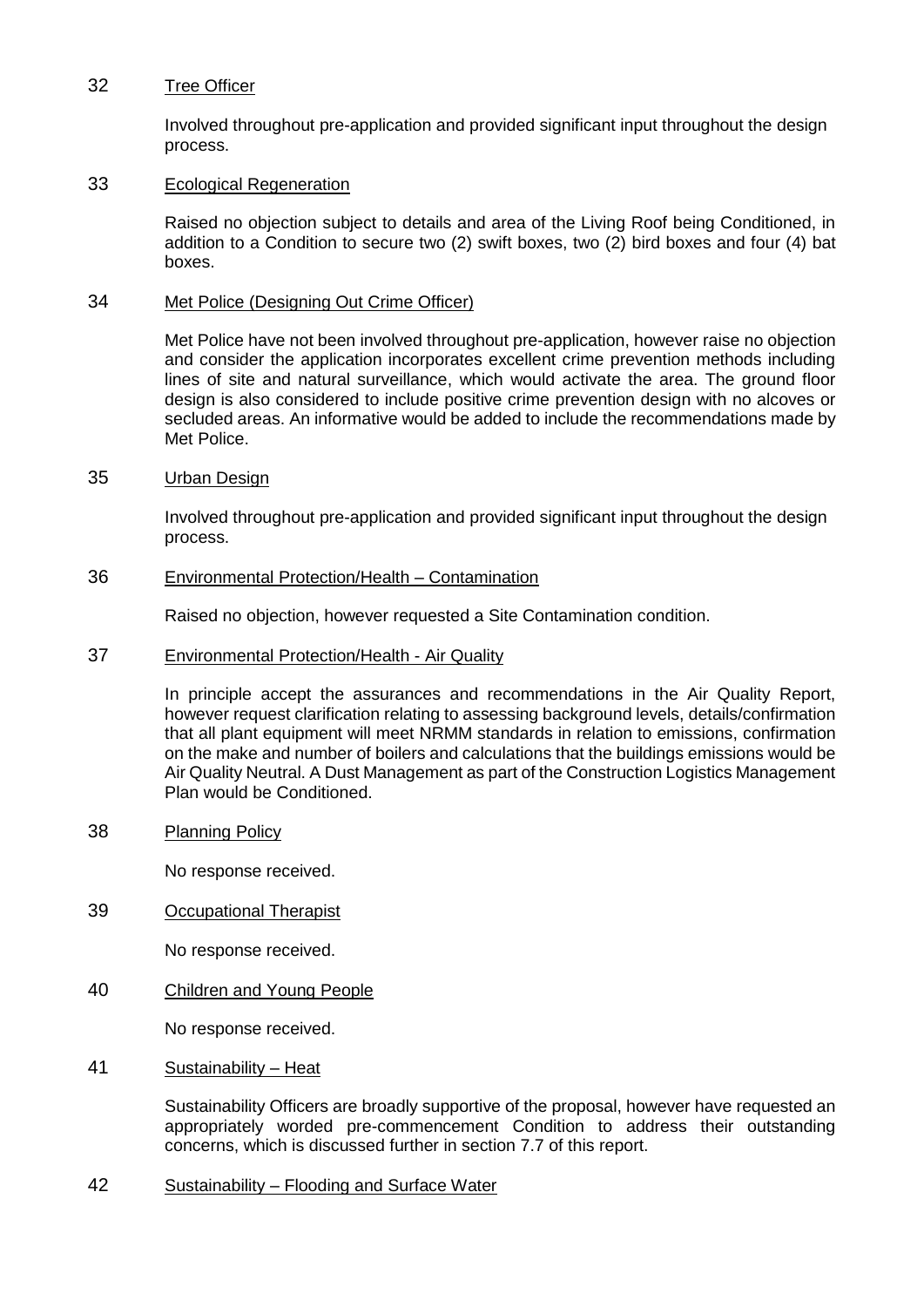#### 32 Tree Officer

Involved throughout pre-application and provided significant input throughout the design process.

### 33 Ecological Regeneration

Raised no objection subject to details and area of the Living Roof being Conditioned, in addition to a Condition to secure two (2) swift boxes, two (2) bird boxes and four (4) bat boxes.

### 34 Met Police (Designing Out Crime Officer)

Met Police have not been involved throughout pre-application, however raise no objection and consider the application incorporates excellent crime prevention methods including lines of site and natural surveillance, which would activate the area. The ground floor design is also considered to include positive crime prevention design with no alcoves or secluded areas. An informative would be added to include the recommendations made by Met Police.

### 35 Urban Design

Involved throughout pre-application and provided significant input throughout the design process.

## 36 Environmental Protection/Health – Contamination

Raised no objection, however requested a Site Contamination condition.

37 Environmental Protection/Health - Air Quality

In principle accept the assurances and recommendations in the Air Quality Report, however request clarification relating to assessing background levels, details/confirmation that all plant equipment will meet NRMM standards in relation to emissions, confirmation on the make and number of boilers and calculations that the buildings emissions would be Air Quality Neutral. A Dust Management as part of the Construction Logistics Management Plan would be Conditioned.

38 Planning Policy

No response received.

39 Occupational Therapist

No response received.

40 Children and Young People

No response received.

41 Sustainability – Heat

Sustainability Officers are broadly supportive of the proposal, however have requested an appropriately worded pre-commencement Condition to address their outstanding concerns, which is discussed further in section 7.7 of this report.

42 Sustainability – Flooding and Surface Water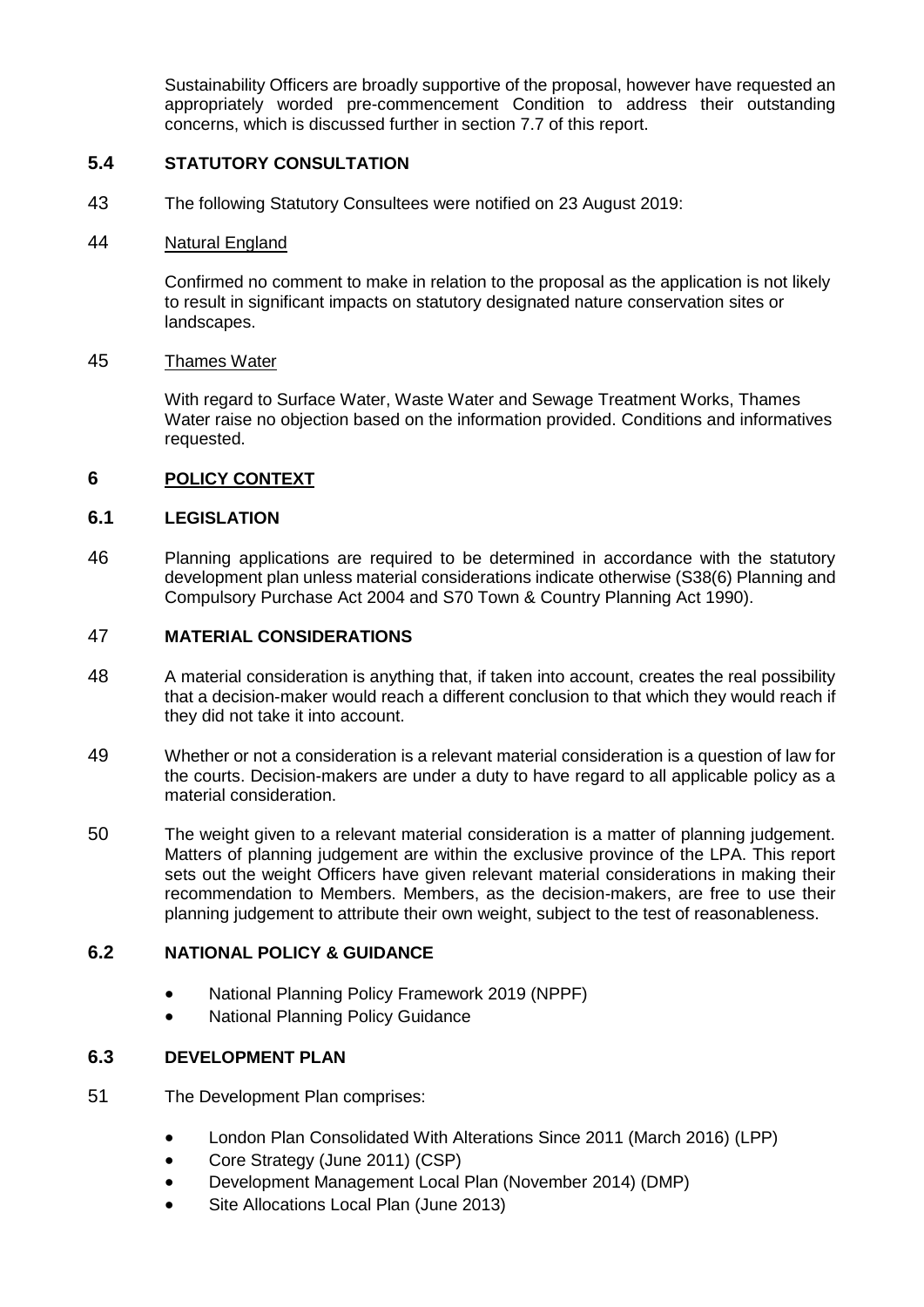Sustainability Officers are broadly supportive of the proposal, however have requested an appropriately worded pre-commencement Condition to address their outstanding concerns, which is discussed further in section 7.7 of this report.

# **5.4 STATUTORY CONSULTATION**

43 The following Statutory Consultees were notified on 23 August 2019:

### 44 Natural England

Confirmed no comment to make in relation to the proposal as the application is not likely to result in significant impacts on statutory designated nature conservation sites or landscapes.

### 45 Thames Water

With regard to Surface Water, Waste Water and Sewage Treatment Works, Thames Water raise no objection based on the information provided. Conditions and informatives requested.

## **6 POLICY CONTEXT**

## **6.1 LEGISLATION**

46 Planning applications are required to be determined in accordance with the statutory development plan unless material considerations indicate otherwise (S38(6) Planning and Compulsory Purchase Act 2004 and S70 Town & Country Planning Act 1990).

## 47 **MATERIAL CONSIDERATIONS**

- 48 A material consideration is anything that, if taken into account, creates the real possibility that a decision-maker would reach a different conclusion to that which they would reach if they did not take it into account.
- 49 Whether or not a consideration is a relevant material consideration is a question of law for the courts. Decision-makers are under a duty to have regard to all applicable policy as a material consideration.
- 50 The weight given to a relevant material consideration is a matter of planning judgement. Matters of planning judgement are within the exclusive province of the LPA. This report sets out the weight Officers have given relevant material considerations in making their recommendation to Members. Members, as the decision-makers, are free to use their planning judgement to attribute their own weight, subject to the test of reasonableness.

## **6.2 NATIONAL POLICY & GUIDANCE**

- National Planning Policy Framework 2019 (NPPF)
- National Planning Policy Guidance

## **6.3 DEVELOPMENT PLAN**

- 51 The Development Plan comprises:
	- London Plan Consolidated With Alterations Since 2011 (March 2016) (LPP)
	- Core Strategy (June 2011) (CSP)
	- Development Management Local Plan (November 2014) (DMP)
	- Site Allocations Local Plan (June 2013)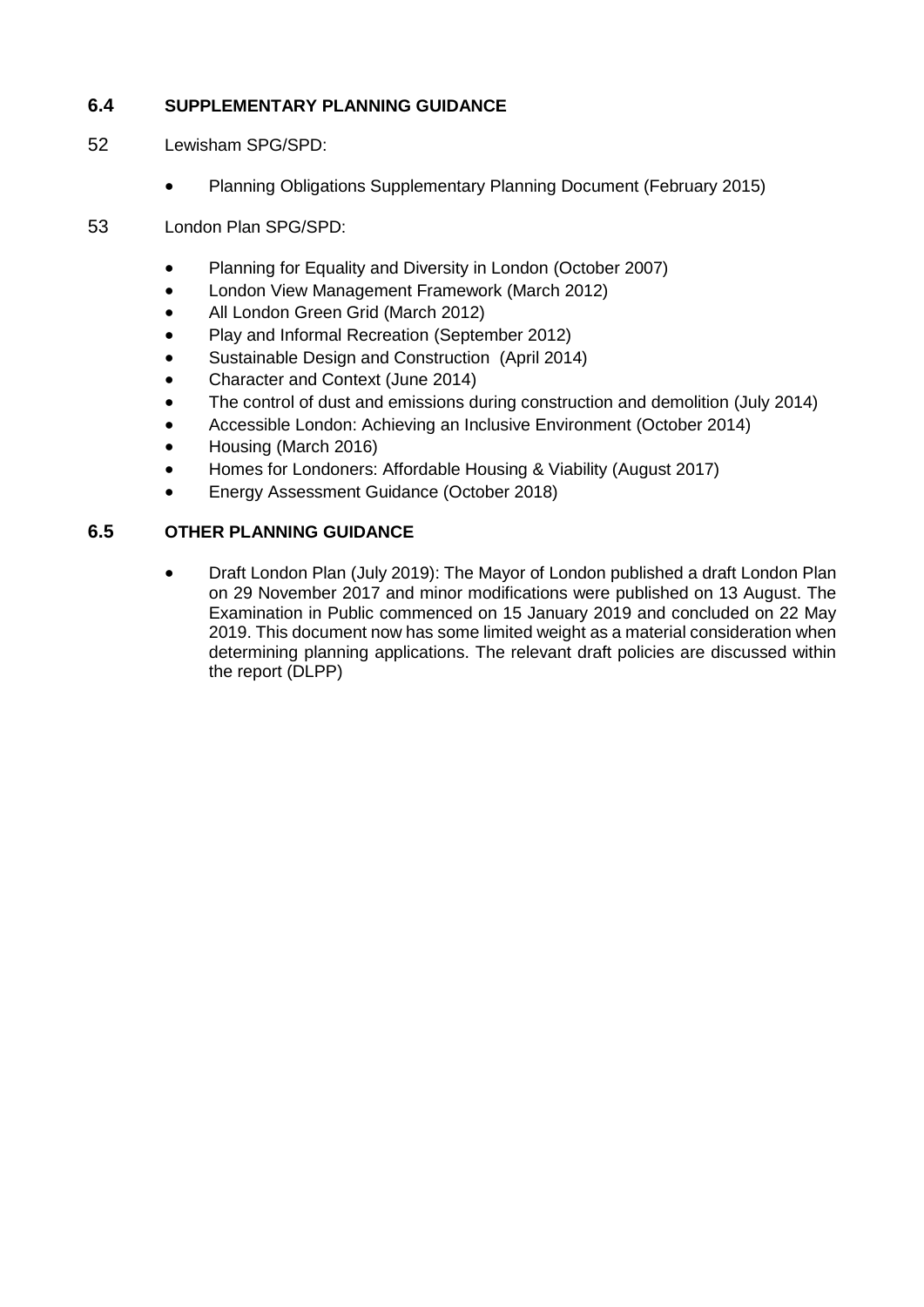# **6.4 SUPPLEMENTARY PLANNING GUIDANCE**

- 52 Lewisham SPG/SPD:
	- Planning Obligations Supplementary Planning Document (February 2015)
- 53 London Plan SPG/SPD:
	- [Planning for Equality and Diversity in London](https://www.london.gov.uk/what-we-do/planning/implementing-london-plan/supplementary-planning-guidance/planning-equality-and) (October 2007)
	- [London View Management Framework](https://www.london.gov.uk/what-we-do/planning/implementing-london-plan/supplementary-planning-guidance/london-view-management) (March 2012)
	- [All London Green Grid](https://www.london.gov.uk/what-we-do/planning/implementing-london-plan/supplementary-planning-guidance/all-london-green-grid) (March 2012)
	- [Play and Informal Recreation](https://www.london.gov.uk/what-we-do/planning/implementing-london-plan/supplementary-planning-guidance/play-and-informal) (September 2012)
	- [Sustainable Design and Construction](https://www.london.gov.uk/what-we-do/planning/implementing-london-plan/supplementary-planning-guidance/sustainable-design-and) (April 2014)
	- [Character and Context](https://www.london.gov.uk/what-we-do/planning/implementing-london-plan/supplementary-planning-guidance/character-and-context) (June 2014)
	- [The control of dust and emissions during construction and demolition](https://www.london.gov.uk/what-we-do/planning/implementing-london-plan/supplementary-planning-guidance/control-dust-and) (July 2014)
	- [Accessible London: Achieving an Inclusive Environment](https://www.london.gov.uk/what-we-do/planning/implementing-london-plan/supplementary-planning-guidance/creating-london) (October 2014)
	- [Housing](https://www.london.gov.uk/sites/default/files/housing_spg_revised.pdf) (March 2016)
	- [Homes for Londoners: Affordable Housing & Viability](https://www.london.gov.uk/sites/default/files/culture_and_night-time_economy_spg_final.pdf) (August 2017)
	- Energy Assessment Guidance (October 2018)

# **6.5 OTHER PLANNING GUIDANCE**

 Draft London Plan (July 2019): The Mayor of London published a draft London Plan on 29 November 2017 and minor modifications were published on 13 August. The Examination in Public commenced on 15 January 2019 and concluded on 22 May 2019. This document now has some limited weight as a material consideration when determining planning applications. The relevant draft policies are discussed within the report (DLPP)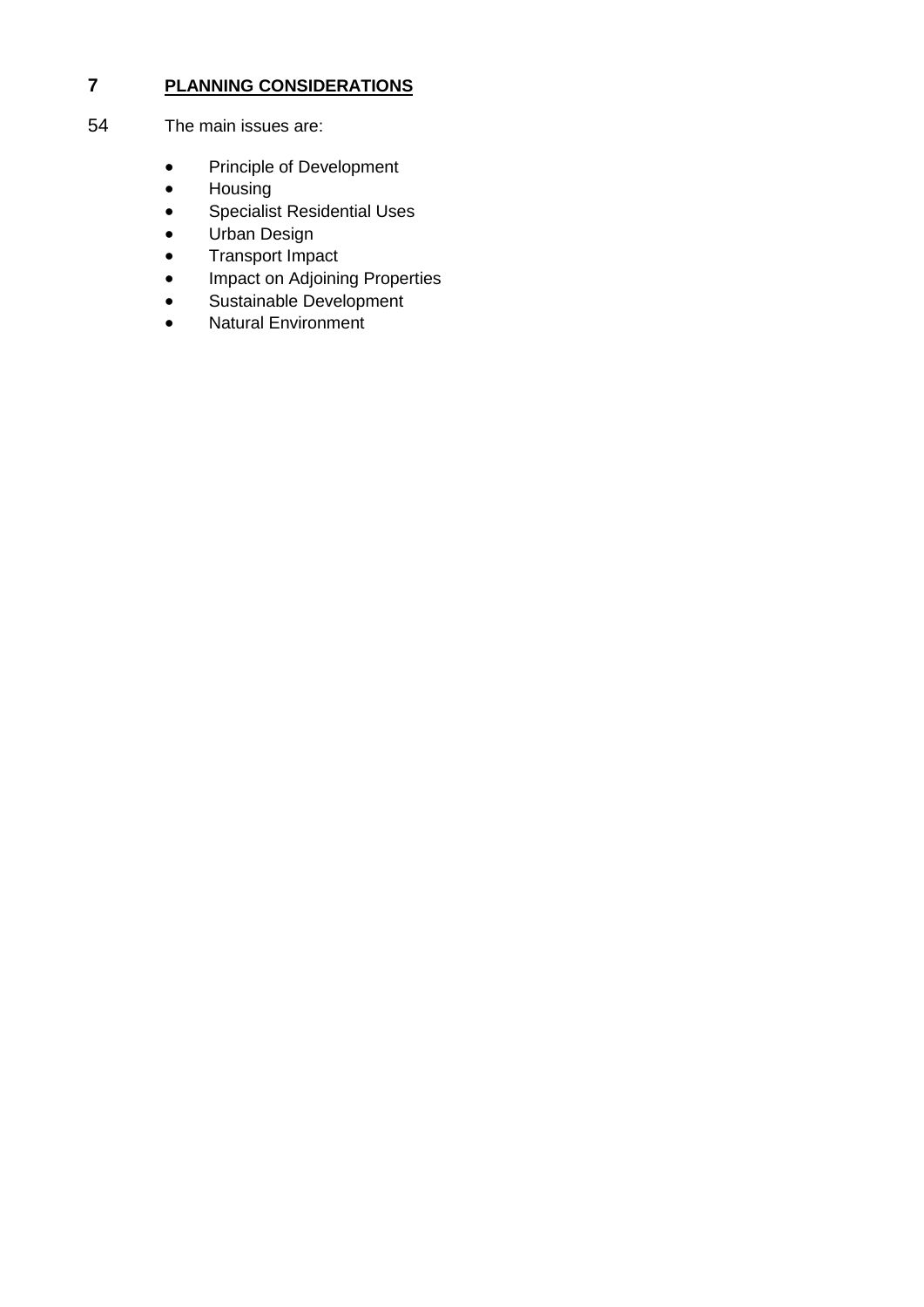# **7 PLANNING CONSIDERATIONS**

- 54 The main issues are:
	- Principle of Development
	- Housing
	- **•** Specialist Residential Uses
	- Urban Design
	- Transport Impact
	- Impact on Adjoining Properties
	- Sustainable Development
	- Natural Environment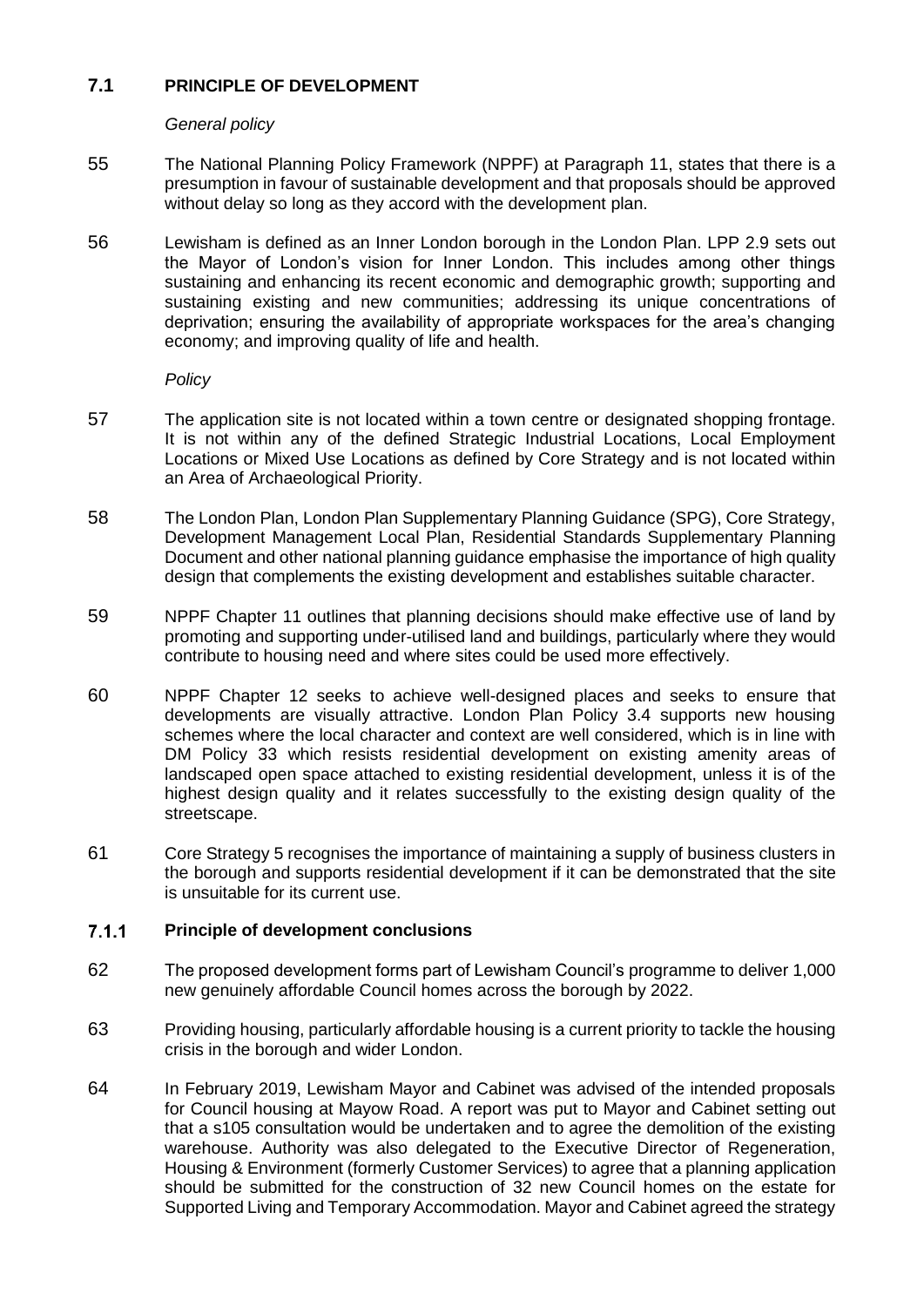# **7.1 PRINCIPLE OF DEVELOPMENT**

## *General policy*

- 55 The National Planning Policy Framework (NPPF) at Paragraph 11, states that there is a presumption in favour of sustainable development and that proposals should be approved without delay so long as they accord with the development plan.
- 56 Lewisham is defined as an Inner London borough in the London Plan. LPP 2.9 sets out the Mayor of London's vision for Inner London. This includes among other things sustaining and enhancing its recent economic and demographic growth; supporting and sustaining existing and new communities; addressing its unique concentrations of deprivation; ensuring the availability of appropriate workspaces for the area's changing economy; and improving quality of life and health.

### *Policy*

- 57 The application site is not located within a town centre or designated shopping frontage. It is not within any of the defined Strategic Industrial Locations, Local Employment Locations or Mixed Use Locations as defined by Core Strategy and is not located within an Area of Archaeological Priority.
- 58 The London Plan, London Plan Supplementary Planning Guidance (SPG), Core Strategy, Development Management Local Plan, Residential Standards Supplementary Planning Document and other national planning guidance emphasise the importance of high quality design that complements the existing development and establishes suitable character.
- 59 NPPF Chapter 11 outlines that planning decisions should make effective use of land by promoting and supporting under-utilised land and buildings, particularly where they would contribute to housing need and where sites could be used more effectively.
- 60 NPPF Chapter 12 seeks to achieve well-designed places and seeks to ensure that developments are visually attractive. London Plan Policy 3.4 supports new housing schemes where the local character and context are well considered, which is in line with DM Policy 33 which resists residential development on existing amenity areas of landscaped open space attached to existing residential development, unless it is of the highest design quality and it relates successfully to the existing design quality of the streetscape.
- 61 Core Strategy 5 recognises the importance of maintaining a supply of business clusters in the borough and supports residential development if it can be demonstrated that the site is unsuitable for its current use.

#### $7.1.1$ **Principle of development conclusions**

- 62 The proposed development forms part of Lewisham Council's programme to deliver 1,000 new genuinely affordable Council homes across the borough by 2022.
- 63 Providing housing, particularly affordable housing is a current priority to tackle the housing crisis in the borough and wider London.
- 64 In February 2019, Lewisham Mayor and Cabinet was advised of the intended proposals for Council housing at Mayow Road. A report was put to Mayor and Cabinet setting out that a s105 consultation would be undertaken and to agree the demolition of the existing warehouse. Authority was also delegated to the Executive Director of Regeneration, Housing & Environment (formerly Customer Services) to agree that a planning application should be submitted for the construction of 32 new Council homes on the estate for Supported Living and Temporary Accommodation. Mayor and Cabinet agreed the strategy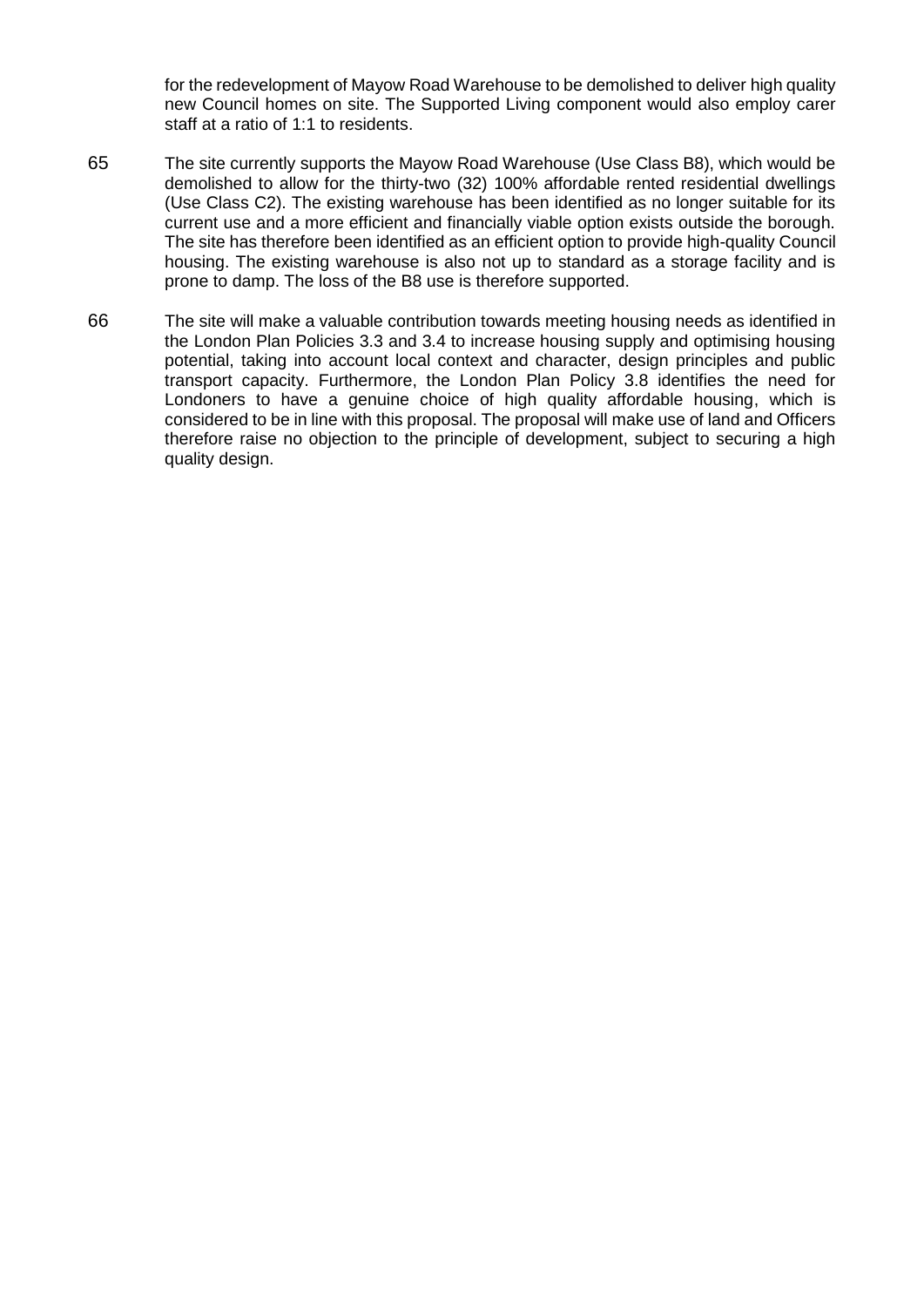for the redevelopment of Mayow Road Warehouse to be demolished to deliver high quality new Council homes on site. The Supported Living component would also employ carer staff at a ratio of 1:1 to residents.

- 65 The site currently supports the Mayow Road Warehouse (Use Class B8), which would be demolished to allow for the thirty-two (32) 100% affordable rented residential dwellings (Use Class C2). The existing warehouse has been identified as no longer suitable for its current use and a more efficient and financially viable option exists outside the borough. The site has therefore been identified as an efficient option to provide high-quality Council housing. The existing warehouse is also not up to standard as a storage facility and is prone to damp. The loss of the B8 use is therefore supported.
- 66 The site will make a valuable contribution towards meeting housing needs as identified in the London Plan Policies 3.3 and 3.4 to increase housing supply and optimising housing potential, taking into account local context and character, design principles and public transport capacity. Furthermore, the London Plan Policy 3.8 identifies the need for Londoners to have a genuine choice of high quality affordable housing, which is considered to be in line with this proposal. The proposal will make use of land and Officers therefore raise no objection to the principle of development, subject to securing a high quality design.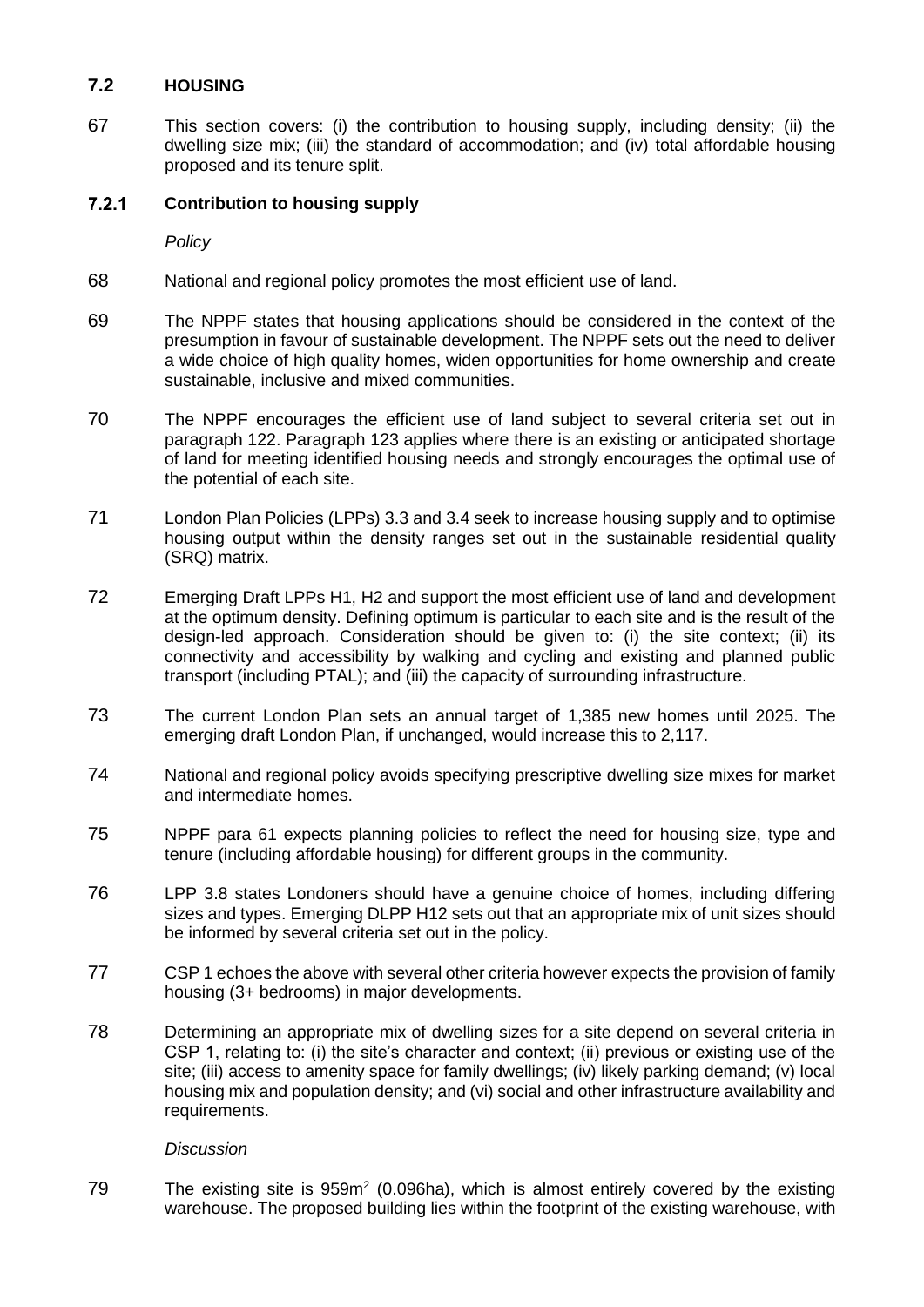# **7.2 HOUSING**

67 This section covers: (i) the contribution to housing supply, including density; (ii) the dwelling size mix; (iii) the standard of accommodation; and (iv) total affordable housing proposed and its tenure split.

#### $7.2.1$ **Contribution to housing supply**

*Policy*

- 68 National and regional policy promotes the most efficient use of land.
- 69 The NPPF states that housing applications should be considered in the context of the presumption in favour of sustainable development. The NPPF sets out the need to deliver a wide choice of high quality homes, widen opportunities for home ownership and create sustainable, inclusive and mixed communities.
- 70 The NPPF encourages the efficient use of land subject to several criteria set out in paragraph 122. Paragraph 123 applies where there is an existing or anticipated shortage of land for meeting identified housing needs and strongly encourages the optimal use of the potential of each site.
- 71 London Plan Policies (LPPs) 3.3 and 3.4 seek to increase housing supply and to optimise housing output within the density ranges set out in the sustainable residential quality (SRQ) matrix.
- 72 Emerging Draft LPPs H1, H2 and support the most efficient use of land and development at the optimum density. Defining optimum is particular to each site and is the result of the design-led approach. Consideration should be given to: (i) the site context; (ii) its connectivity and accessibility by walking and cycling and existing and planned public transport (including PTAL); and (iii) the capacity of surrounding infrastructure.
- 73 The current London Plan sets an annual target of 1,385 new homes until 2025. The emerging draft London Plan, if unchanged, would increase this to 2,117.
- 74 National and regional policy avoids specifying prescriptive dwelling size mixes for market and intermediate homes.
- 75 NPPF para 61 expects planning policies to reflect the need for housing size, type and tenure (including affordable housing) for different groups in the community.
- 76 LPP 3.8 states Londoners should have a genuine choice of homes, including differing sizes and types. Emerging DLPP H12 sets out that an appropriate mix of unit sizes should be informed by several criteria set out in the policy.
- 77 CSP 1 echoes the above with several other criteria however expects the provision of family housing (3+ bedrooms) in major developments.
- 78 Determining an appropriate mix of dwelling sizes for a site depend on several criteria in CSP 1, relating to: (i) the site's character and context; (ii) previous or existing use of the site; (iii) access to amenity space for family dwellings; (iv) likely parking demand; (v) local housing mix and population density; and (vi) social and other infrastructure availability and requirements.

# *Discussion*

79 The existing site is  $959m<sup>2</sup>$  (0.096ha), which is almost entirely covered by the existing warehouse. The proposed building lies within the footprint of the existing warehouse, with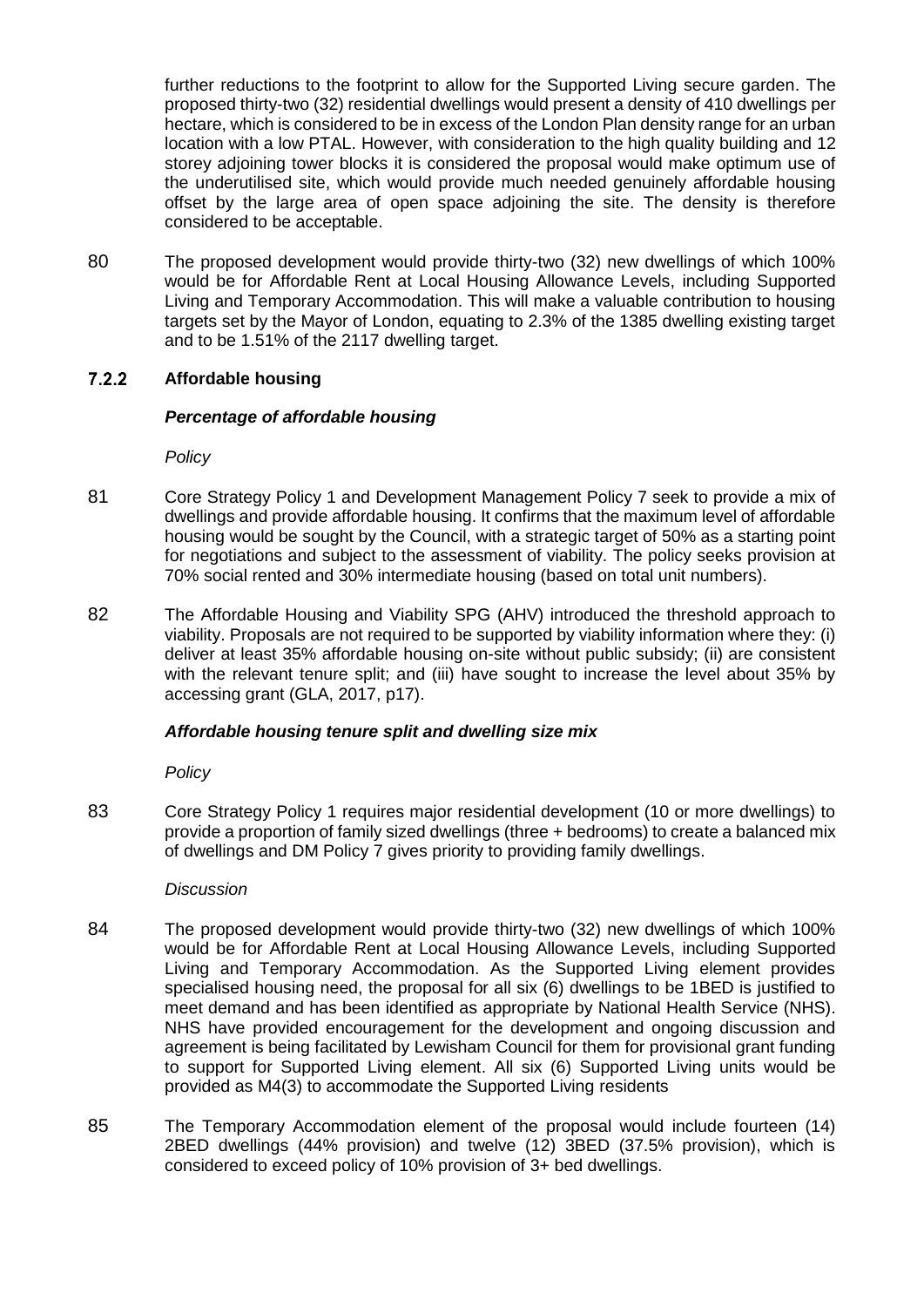further reductions to the footprint to allow for the Supported Living secure garden. The proposed thirty-two (32) residential dwellings would present a density of 410 dwellings per hectare, which is considered to be in excess of the London Plan density range for an urban location with a low PTAL. However, with consideration to the high quality building and 12 storey adjoining tower blocks it is considered the proposal would make optimum use of the underutilised site, which would provide much needed genuinely affordable housing offset by the large area of open space adjoining the site. The density is therefore considered to be acceptable.

80 The proposed development would provide thirty-two (32) new dwellings of which 100% would be for Affordable Rent at Local Housing Allowance Levels, including Supported Living and Temporary Accommodation. This will make a valuable contribution to housing targets set by the Mayor of London, equating to 2.3% of the 1385 dwelling existing target and to be 1.51% of the 2117 dwelling target.

#### $7.2.2$ **Affordable housing**

### *Percentage of affordable housing*

*Policy*

- 81 Core Strategy Policy 1 and Development Management Policy 7 seek to provide a mix of dwellings and provide affordable housing. It confirms that the maximum level of affordable housing would be sought by the Council, with a strategic target of 50% as a starting point for negotiations and subject to the assessment of viability. The policy seeks provision at 70% social rented and 30% intermediate housing (based on total unit numbers).
- 82 The Affordable Housing and Viability SPG (AHV) introduced the threshold approach to viability. Proposals are not required to be supported by viability information where they: (i) deliver at least 35% affordable housing on-site without public subsidy; (ii) are consistent with the relevant tenure split; and (iii) have sought to increase the level about 35% by accessing grant (GLA, 2017, p17).

## *Affordable housing tenure split and dwelling size mix*

*Policy*

83 Core Strategy Policy 1 requires major residential development (10 or more dwellings) to provide a proportion of family sized dwellings (three + bedrooms) to create a balanced mix of dwellings and DM Policy 7 gives priority to providing family dwellings.

#### *Discussion*

- 84 The proposed development would provide thirty-two (32) new dwellings of which 100% would be for Affordable Rent at Local Housing Allowance Levels, including Supported Living and Temporary Accommodation. As the Supported Living element provides specialised housing need, the proposal for all six (6) dwellings to be 1BED is justified to meet demand and has been identified as appropriate by National Health Service (NHS). NHS have provided encouragement for the development and ongoing discussion and agreement is being facilitated by Lewisham Council for them for provisional grant funding to support for Supported Living element. All six (6) Supported Living units would be provided as M4(3) to accommodate the Supported Living residents
- 85 The Temporary Accommodation element of the proposal would include fourteen (14) 2BED dwellings (44% provision) and twelve (12) 3BED (37.5% provision), which is considered to exceed policy of 10% provision of 3+ bed dwellings.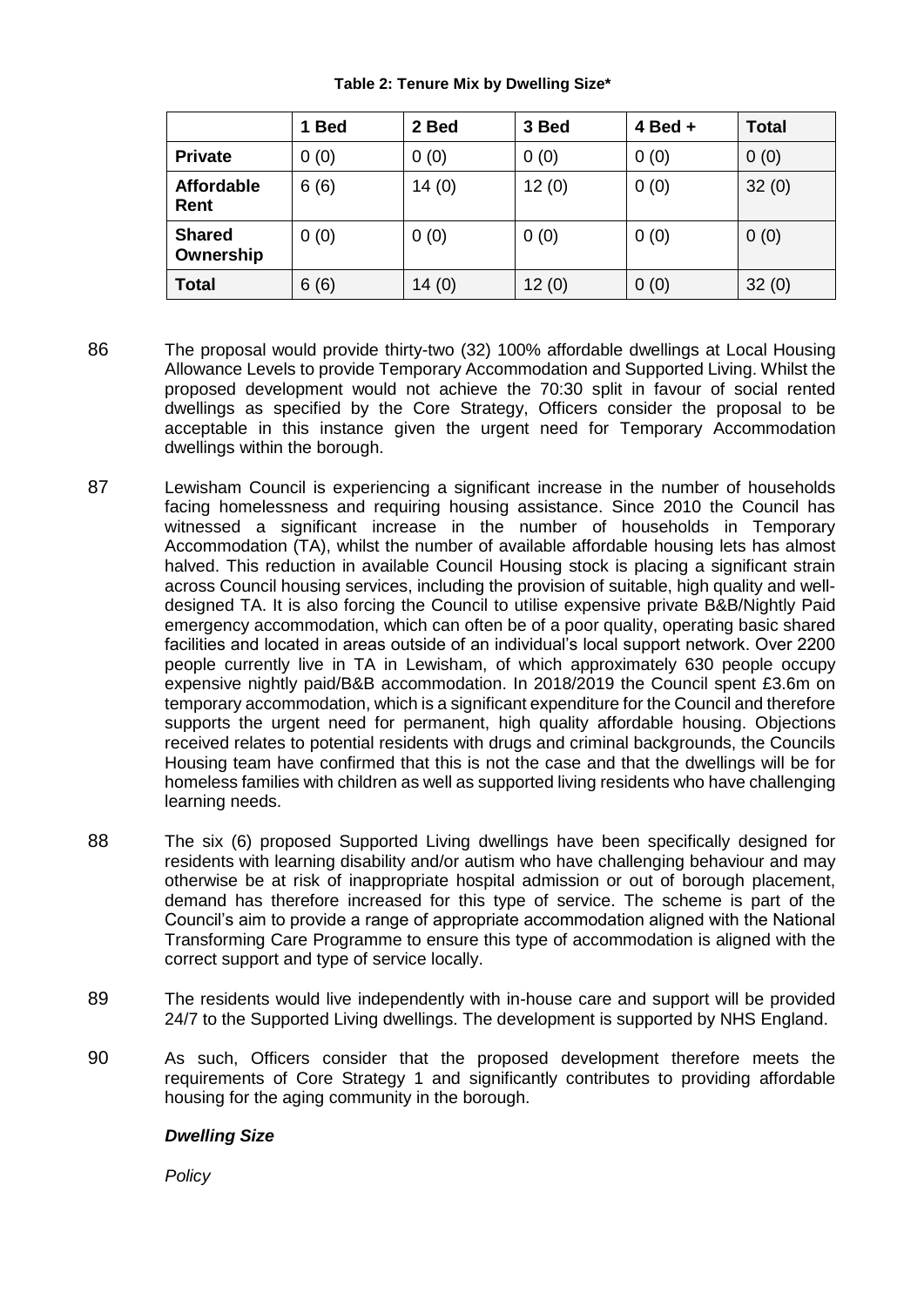|                            | 1 Bed    | 2 Bed | 3 Bed | $4$ Bed $+$ | <b>Total</b> |
|----------------------------|----------|-------|-------|-------------|--------------|
| <b>Private</b>             | 0(0)     | 0(0)  | 0(0)  | 0(0)        | 0(0)         |
| <b>Affordable</b><br>Rent  | 6(6)     | 14(0) | 12(0) | 0(0)        | 32(0)        |
| <b>Shared</b><br>Ownership | 0(0)     | 0(0)  | 0(0)  | 0(0)        | 0(0)         |
| <b>Total</b>               | (6)<br>6 | 14(0) | 12(0) | 0(0)        | 32(0)        |

## **Table 2: Tenure Mix by Dwelling Size\***

- 86 The proposal would provide thirty-two (32) 100% affordable dwellings at Local Housing Allowance Levels to provide Temporary Accommodation and Supported Living. Whilst the proposed development would not achieve the 70:30 split in favour of social rented dwellings as specified by the Core Strategy, Officers consider the proposal to be acceptable in this instance given the urgent need for Temporary Accommodation dwellings within the borough.
- 87 Lewisham Council is experiencing a significant increase in the number of households facing homelessness and requiring housing assistance. Since 2010 the Council has witnessed a significant increase in the number of households in Temporary Accommodation (TA), whilst the number of available affordable housing lets has almost halved. This reduction in available Council Housing stock is placing a significant strain across Council housing services, including the provision of suitable, high quality and welldesigned TA. It is also forcing the Council to utilise expensive private B&B/Nightly Paid emergency accommodation, which can often be of a poor quality, operating basic shared facilities and located in areas outside of an individual's local support network. Over 2200 people currently live in TA in Lewisham, of which approximately 630 people occupy expensive nightly paid/B&B accommodation. In 2018/2019 the Council spent £3.6m on temporary accommodation, which is a significant expenditure for the Council and therefore supports the urgent need for permanent, high quality affordable housing. Objections received relates to potential residents with drugs and criminal backgrounds, the Councils Housing team have confirmed that this is not the case and that the dwellings will be for homeless families with children as well as supported living residents who have challenging learning needs.
- 88 The six (6) proposed Supported Living dwellings have been specifically designed for residents with learning disability and/or autism who have challenging behaviour and may otherwise be at risk of inappropriate hospital admission or out of borough placement, demand has therefore increased for this type of service. The scheme is part of the Council's aim to provide a range of appropriate accommodation aligned with the National Transforming Care Programme to ensure this type of accommodation is aligned with the correct support and type of service locally.
- 89 The residents would live independently with in-house care and support will be provided 24/7 to the Supported Living dwellings. The development is supported by NHS England.
- 90 As such, Officers consider that the proposed development therefore meets the requirements of Core Strategy 1 and significantly contributes to providing affordable housing for the aging community in the borough.

# *Dwelling Size*

*Policy*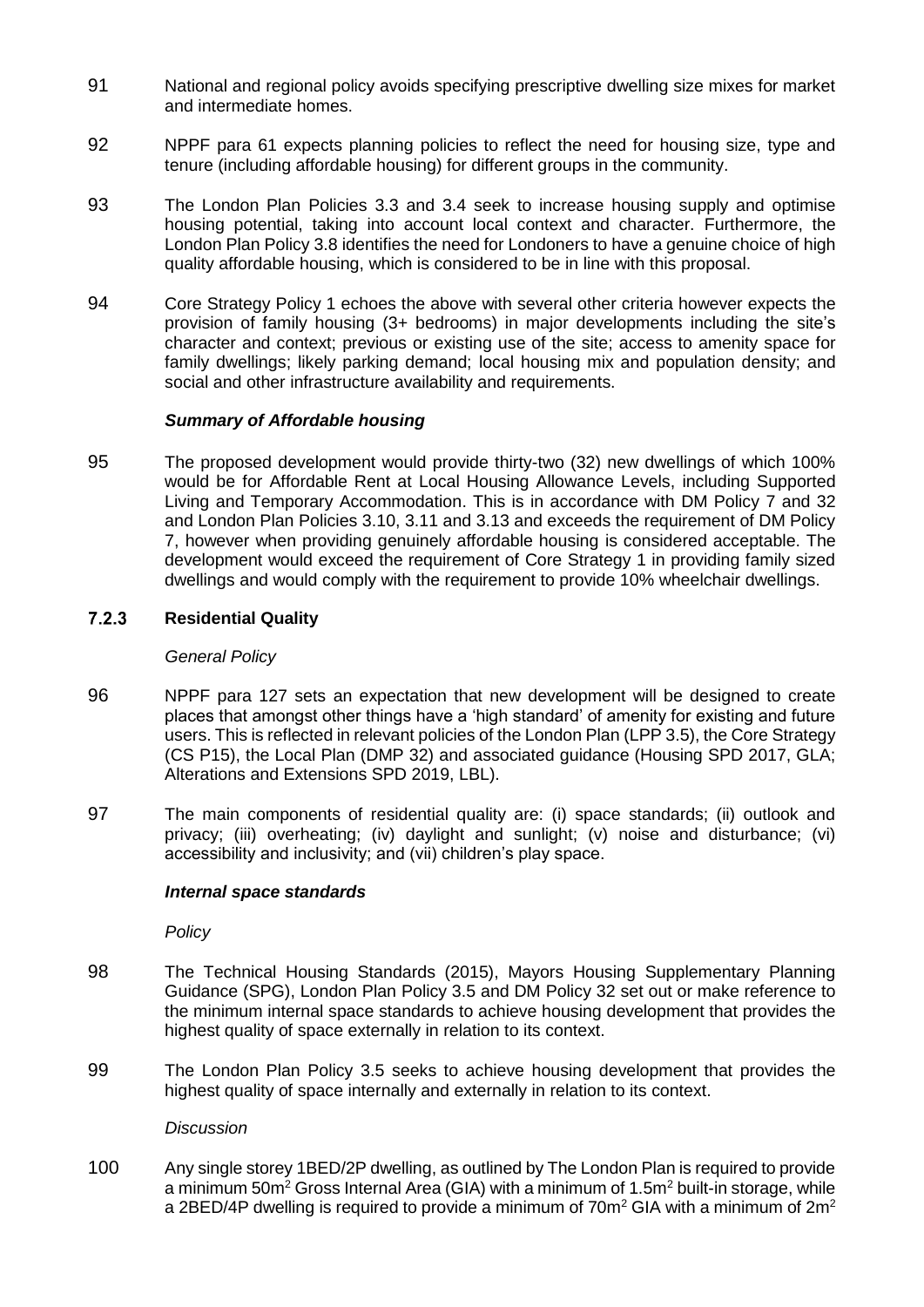- 91 National and regional policy avoids specifying prescriptive dwelling size mixes for market and intermediate homes.
- 92 NPPF para 61 expects planning policies to reflect the need for housing size, type and tenure (including affordable housing) for different groups in the community.
- 93 The London Plan Policies 3.3 and 3.4 seek to increase housing supply and optimise housing potential, taking into account local context and character. Furthermore, the London Plan Policy 3.8 identifies the need for Londoners to have a genuine choice of high quality affordable housing, which is considered to be in line with this proposal.
- 94 Core Strategy Policy 1 echoes the above with several other criteria however expects the provision of family housing (3+ bedrooms) in major developments including the site's character and context; previous or existing use of the site; access to amenity space for family dwellings; likely parking demand; local housing mix and population density; and social and other infrastructure availability and requirements.

## *Summary of Affordable housing*

95 The proposed development would provide thirty-two (32) new dwellings of which 100% would be for Affordable Rent at Local Housing Allowance Levels, including Supported Living and Temporary Accommodation. This is in accordance with DM Policy 7 and 32 and London Plan Policies 3.10, 3.11 and 3.13 and exceeds the requirement of DM Policy 7, however when providing genuinely affordable housing is considered acceptable. The development would exceed the requirement of Core Strategy 1 in providing family sized dwellings and would comply with the requirement to provide 10% wheelchair dwellings.

#### $7.2.3$ **Residential Quality**

### *General Policy*

- 96 NPPF para 127 sets an expectation that new development will be designed to create places that amongst other things have a 'high standard' of amenity for existing and future users. This is reflected in relevant policies of the London Plan (LPP 3.5), the Core Strategy (CS P15), the Local Plan (DMP 32) and associated guidance (Housing SPD 2017, GLA; Alterations and Extensions SPD 2019, LBL).
- 97 The main components of residential quality are: (i) space standards; (ii) outlook and privacy; (iii) overheating; (iv) daylight and sunlight; (v) noise and disturbance; (vi) accessibility and inclusivity; and (vii) children's play space.

## *Internal space standards*

*Policy*

- 98 The Technical Housing Standards (2015), Mayors Housing Supplementary Planning Guidance (SPG), London Plan Policy 3.5 and DM Policy 32 set out or make reference to the minimum internal space standards to achieve housing development that provides the highest quality of space externally in relation to its context.
- 99 The London Plan Policy 3.5 seeks to achieve housing development that provides the highest quality of space internally and externally in relation to its context.

*Discussion*

100 Any single storey 1BED/2P dwelling, as outlined by The London Plan is required to provide a minimum 50 $m^2$  Gross Internal Area (GIA) with a minimum of 1.5 $m^2$  built-in storage, while a 2BED/4P dwelling is required to provide a minimum of  $70m^2$  GIA with a minimum of  $2m^2$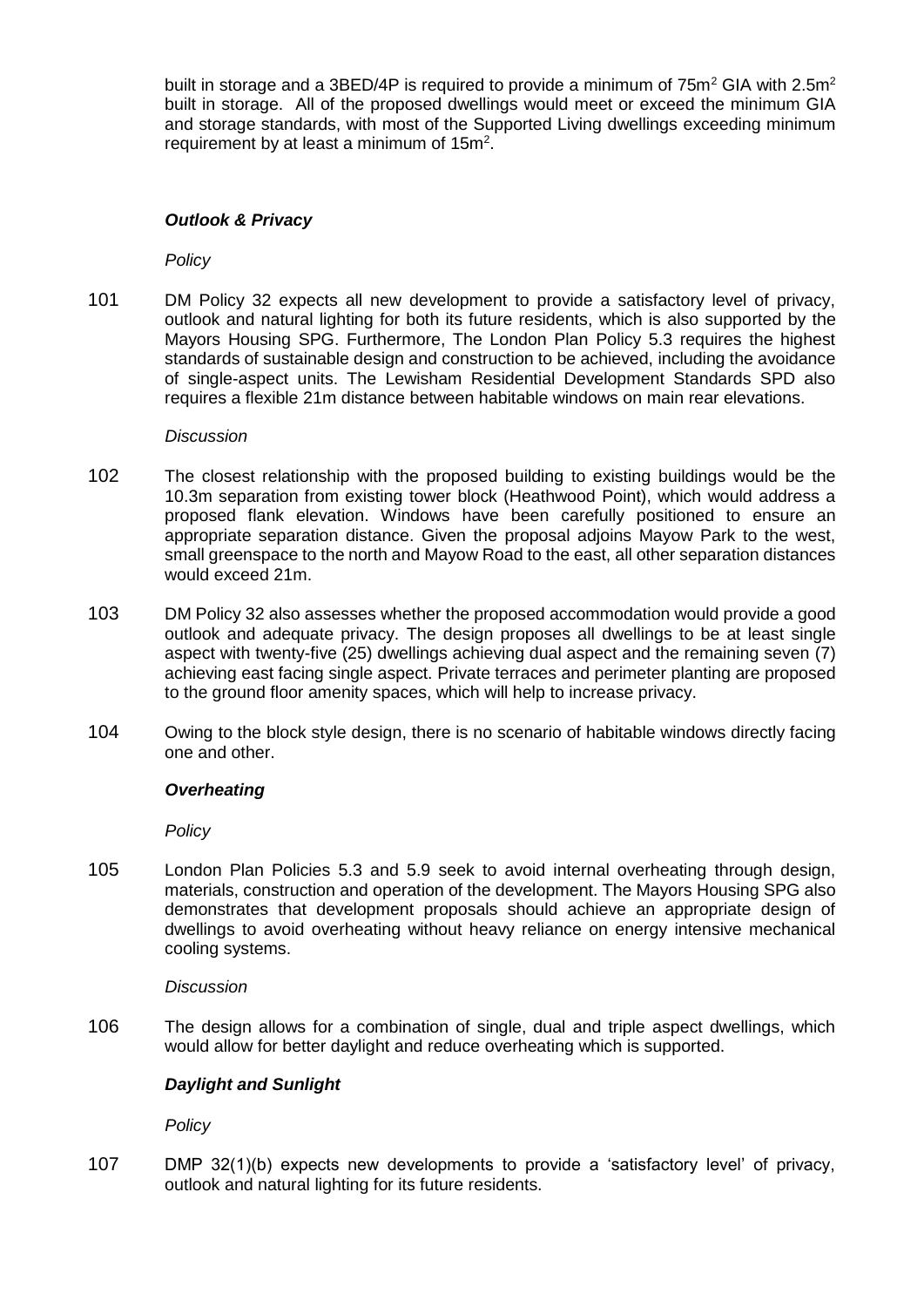built in storage and a 3BED/4P is required to provide a minimum of  $75m^2$  GIA with 2.5m<sup>2</sup> built in storage. All of the proposed dwellings would meet or exceed the minimum GIA and storage standards, with most of the Supported Living dwellings exceeding minimum requirement by at least a minimum of  $15m^2$ .

## *Outlook & Privacy*

*Policy*

101 DM Policy 32 expects all new development to provide a satisfactory level of privacy, outlook and natural lighting for both its future residents, which is also supported by the Mayors Housing SPG. Furthermore, The London Plan Policy 5.3 requires the highest standards of sustainable design and construction to be achieved, including the avoidance of single-aspect units. The Lewisham Residential Development Standards SPD also requires a flexible 21m distance between habitable windows on main rear elevations.

#### *Discussion*

- 102 The closest relationship with the proposed building to existing buildings would be the 10.3m separation from existing tower block (Heathwood Point), which would address a proposed flank elevation. Windows have been carefully positioned to ensure an appropriate separation distance. Given the proposal adjoins Mayow Park to the west, small greenspace to the north and Mayow Road to the east, all other separation distances would exceed 21m.
- 103 DM Policy 32 also assesses whether the proposed accommodation would provide a good outlook and adequate privacy. The design proposes all dwellings to be at least single aspect with twenty-five (25) dwellings achieving dual aspect and the remaining seven (7) achieving east facing single aspect. Private terraces and perimeter planting are proposed to the ground floor amenity spaces, which will help to increase privacy.
- 104 Owing to the block style design, there is no scenario of habitable windows directly facing one and other.

#### *Overheating*

*Policy*

105 London Plan Policies 5.3 and 5.9 seek to avoid internal overheating through design, materials, construction and operation of the development. The Mayors Housing SPG also demonstrates that development proposals should achieve an appropriate design of dwellings to avoid overheating without heavy reliance on energy intensive mechanical cooling systems.

#### *Discussion*

106 The design allows for a combination of single, dual and triple aspect dwellings, which would allow for better daylight and reduce overheating which is supported.

## *Daylight and Sunlight*

*Policy*

107 DMP 32(1)(b) expects new developments to provide a 'satisfactory level' of privacy, outlook and natural lighting for its future residents.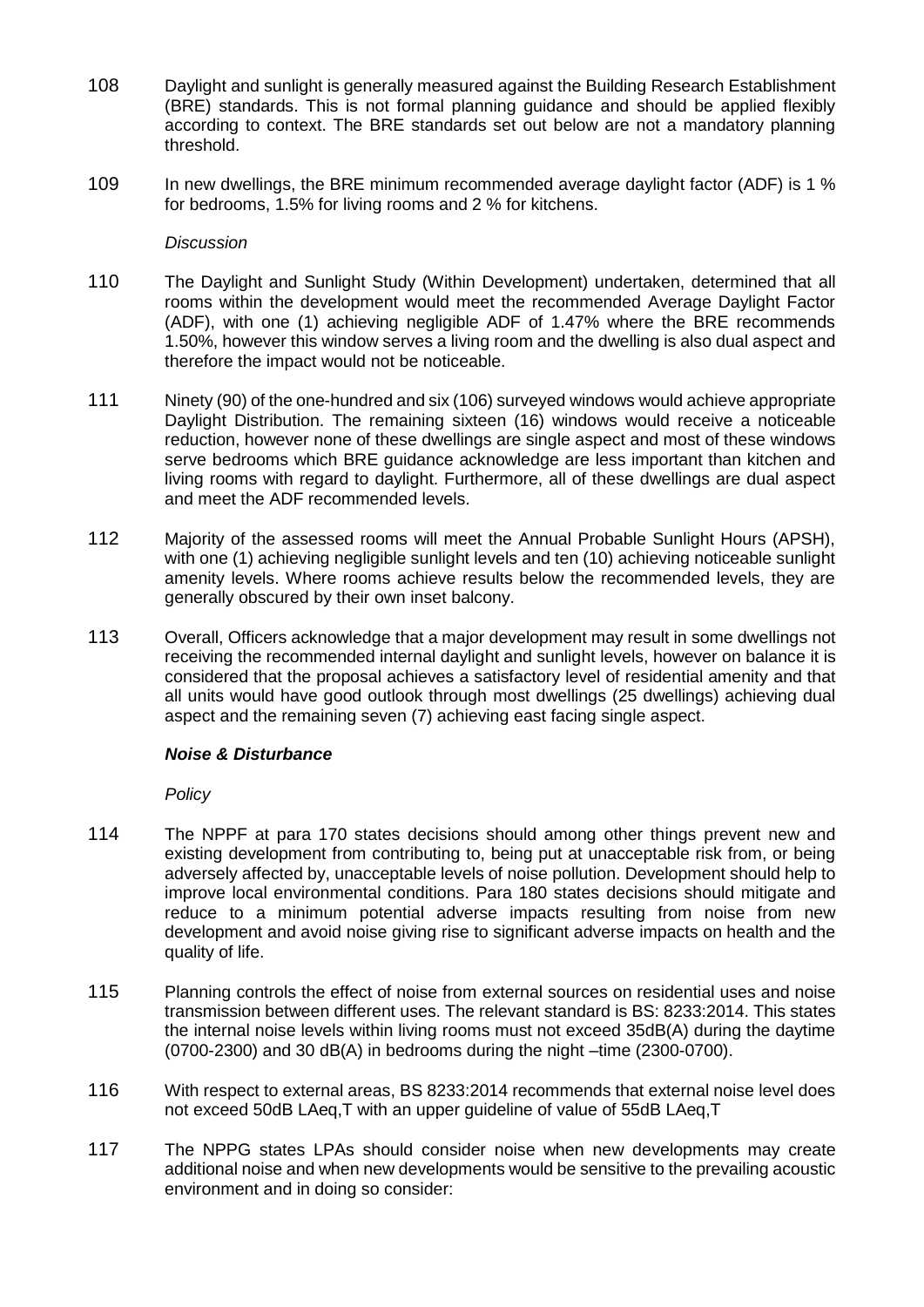- 108 Daylight and sunlight is generally measured against the Building Research Establishment (BRE) standards. This is not formal planning guidance and should be applied flexibly according to context. The BRE standards set out below are not a mandatory planning threshold.
- 109 In new dwellings, the BRE minimum recommended average daylight factor (ADF) is 1 % for bedrooms, 1.5% for living rooms and 2 % for kitchens.

#### *Discussion*

- 110 The Daylight and Sunlight Study (Within Development) undertaken, determined that all rooms within the development would meet the recommended Average Daylight Factor (ADF), with one (1) achieving negligible ADF of 1.47% where the BRE recommends 1.50%, however this window serves a living room and the dwelling is also dual aspect and therefore the impact would not be noticeable.
- 111 Ninety (90) of the one-hundred and six (106) surveyed windows would achieve appropriate Daylight Distribution. The remaining sixteen (16) windows would receive a noticeable reduction, however none of these dwellings are single aspect and most of these windows serve bedrooms which BRE guidance acknowledge are less important than kitchen and living rooms with regard to daylight. Furthermore, all of these dwellings are dual aspect and meet the ADF recommended levels.
- 112 Majority of the assessed rooms will meet the Annual Probable Sunlight Hours (APSH), with one (1) achieving negligible sunlight levels and ten (10) achieving noticeable sunlight amenity levels. Where rooms achieve results below the recommended levels, they are generally obscured by their own inset balcony.
- 113 Overall, Officers acknowledge that a major development may result in some dwellings not receiving the recommended internal daylight and sunlight levels, however on balance it is considered that the proposal achieves a satisfactory level of residential amenity and that all units would have good outlook through most dwellings (25 dwellings) achieving dual aspect and the remaining seven (7) achieving east facing single aspect.

## *Noise & Disturbance*

*Policy*

- 114 The NPPF at para 170 states decisions should among other things prevent new and existing development from contributing to, being put at unacceptable risk from, or being adversely affected by, unacceptable levels of noise pollution. Development should help to improve local environmental conditions. Para 180 states decisions should mitigate and reduce to a minimum potential adverse impacts resulting from noise from new development and avoid noise giving rise to significant adverse impacts on health and the quality of life.
- 115 Planning controls the effect of noise from external sources on residential uses and noise transmission between different uses. The relevant standard is BS: 8233:2014. This states the internal noise levels within living rooms must not exceed 35dB(A) during the daytime  $(0700-2300)$  and 30 dB(A) in bedrooms during the night –time  $(2300-0700)$ .
- 116 With respect to external areas, BS 8233:2014 recommends that external noise level does not exceed 50dB LAeq,T with an upper guideline of value of 55dB LAeq,T
- 117 The NPPG states LPAs should consider noise when new developments may create additional noise and when new developments would be sensitive to the prevailing acoustic environment and in doing so consider: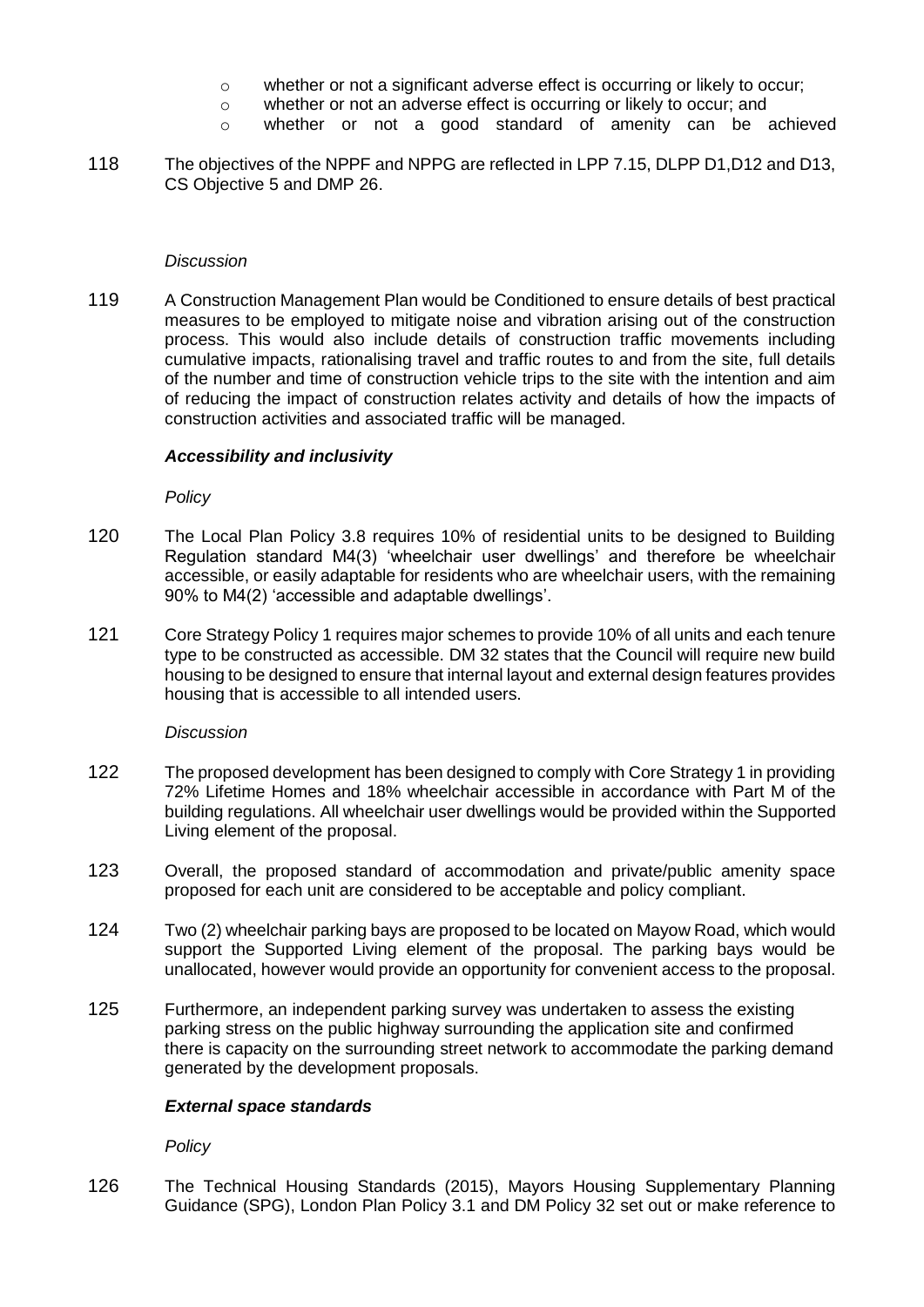- o whether or not a significant adverse effect is occurring or likely to occur;
- o whether or not an adverse effect is occurring or likely to occur; and
- o whether or not a good standard of amenity can be achieved
- 118 The objectives of the NPPF and NPPG are reflected in LPP 7.15, DLPP D1,D12 and D13, CS Objective 5 and DMP 26.

#### *Discussion*

119 A Construction Management Plan would be Conditioned to ensure details of best practical measures to be employed to mitigate noise and vibration arising out of the construction process. This would also include details of construction traffic movements including cumulative impacts, rationalising travel and traffic routes to and from the site, full details of the number and time of construction vehicle trips to the site with the intention and aim of reducing the impact of construction relates activity and details of how the impacts of construction activities and associated traffic will be managed.

### *Accessibility and inclusivity*

*Policy*

- 120 The Local Plan Policy 3.8 requires 10% of residential units to be designed to Building Regulation standard M4(3) 'wheelchair user dwellings' and therefore be wheelchair accessible, or easily adaptable for residents who are wheelchair users, with the remaining 90% to M4(2) 'accessible and adaptable dwellings'.
- 121 Core Strategy Policy 1 requires major schemes to provide 10% of all units and each tenure type to be constructed as accessible. DM 32 states that the Council will require new build housing to be designed to ensure that internal layout and external design features provides housing that is accessible to all intended users.

#### *Discussion*

- 122 The proposed development has been designed to comply with Core Strategy 1 in providing 72% Lifetime Homes and 18% wheelchair accessible in accordance with Part M of the building regulations. All wheelchair user dwellings would be provided within the Supported Living element of the proposal.
- 123 Overall, the proposed standard of accommodation and private/public amenity space proposed for each unit are considered to be acceptable and policy compliant.
- 124 Two (2) wheelchair parking bays are proposed to be located on Mayow Road, which would support the Supported Living element of the proposal. The parking bays would be unallocated, however would provide an opportunity for convenient access to the proposal.
- 125 Furthermore, an independent parking survey was undertaken to assess the existing parking stress on the public highway surrounding the application site and confirmed there is capacity on the surrounding street network to accommodate the parking demand generated by the development proposals.

## *External space standards*

*Policy*

126 The Technical Housing Standards (2015), Mayors Housing Supplementary Planning Guidance (SPG), London Plan Policy 3.1 and DM Policy 32 set out or make reference to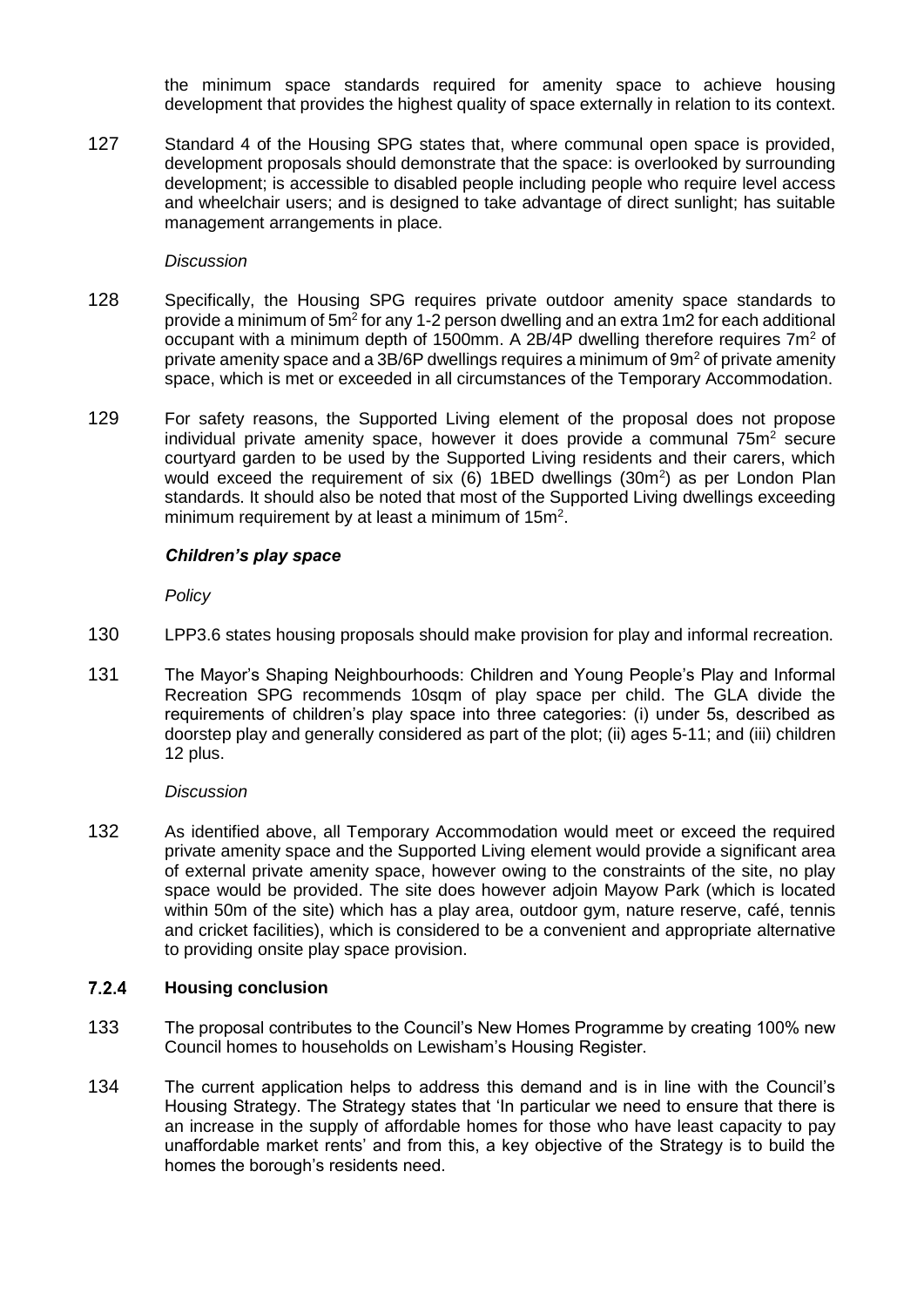the minimum space standards required for amenity space to achieve housing development that provides the highest quality of space externally in relation to its context.

127 Standard 4 of the Housing SPG states that, where communal open space is provided, development proposals should demonstrate that the space: is overlooked by surrounding development; is accessible to disabled people including people who require level access and wheelchair users; and is designed to take advantage of direct sunlight; has suitable management arrangements in place.

### *Discussion*

- 128 Specifically, the Housing SPG requires private outdoor amenity space standards to provide a minimum of  $5m^2$  for any 1-2 person dwelling and an extra 1m2 for each additional occupant with a minimum depth of 1500mm. A 2B/4P dwelling therefore requires  $7m^2$  of private amenity space and a  $3B/6P$  dwellings requires a minimum of  $9m<sup>2</sup>$  of private amenity space, which is met or exceeded in all circumstances of the Temporary Accommodation.
- 129 For safety reasons, the Supported Living element of the proposal does not propose individual private amenity space, however it does provide a communal  $75<sup>m²</sup>$  secure courtyard garden to be used by the Supported Living residents and their carers, which would exceed the requirement of six  $(6)$  1BED dwellings  $(30m^2)$  as per London Plan standards. It should also be noted that most of the Supported Living dwellings exceeding minimum requirement by at least a minimum of  $15m^2$ .

## *Children's play space*

*Policy*

- 130 LPP3.6 states housing proposals should make provision for play and informal recreation.
- 131 The Mayor's Shaping Neighbourhoods: Children and Young People's Play and Informal Recreation SPG recommends 10sqm of play space per child. The GLA divide the requirements of children's play space into three categories: (i) under 5s, described as doorstep play and generally considered as part of the plot; (ii) ages 5-11; and (iii) children 12 plus.

### *Discussion*

132 As identified above, all Temporary Accommodation would meet or exceed the required private amenity space and the Supported Living element would provide a significant area of external private amenity space, however owing to the constraints of the site, no play space would be provided. The site does however adjoin Mayow Park (which is located within 50m of the site) which has a play area, outdoor gym, nature reserve, café, tennis and cricket facilities), which is considered to be a convenient and appropriate alternative to providing onsite play space provision.

#### $7.2.4$ **Housing conclusion**

- 133 The proposal contributes to the Council's New Homes Programme by creating 100% new Council homes to households on Lewisham's Housing Register.
- 134 The current application helps to address this demand and is in line with the Council's Housing Strategy. The Strategy states that 'In particular we need to ensure that there is an increase in the supply of affordable homes for those who have least capacity to pay unaffordable market rents' and from this, a key objective of the Strategy is to build the homes the borough's residents need.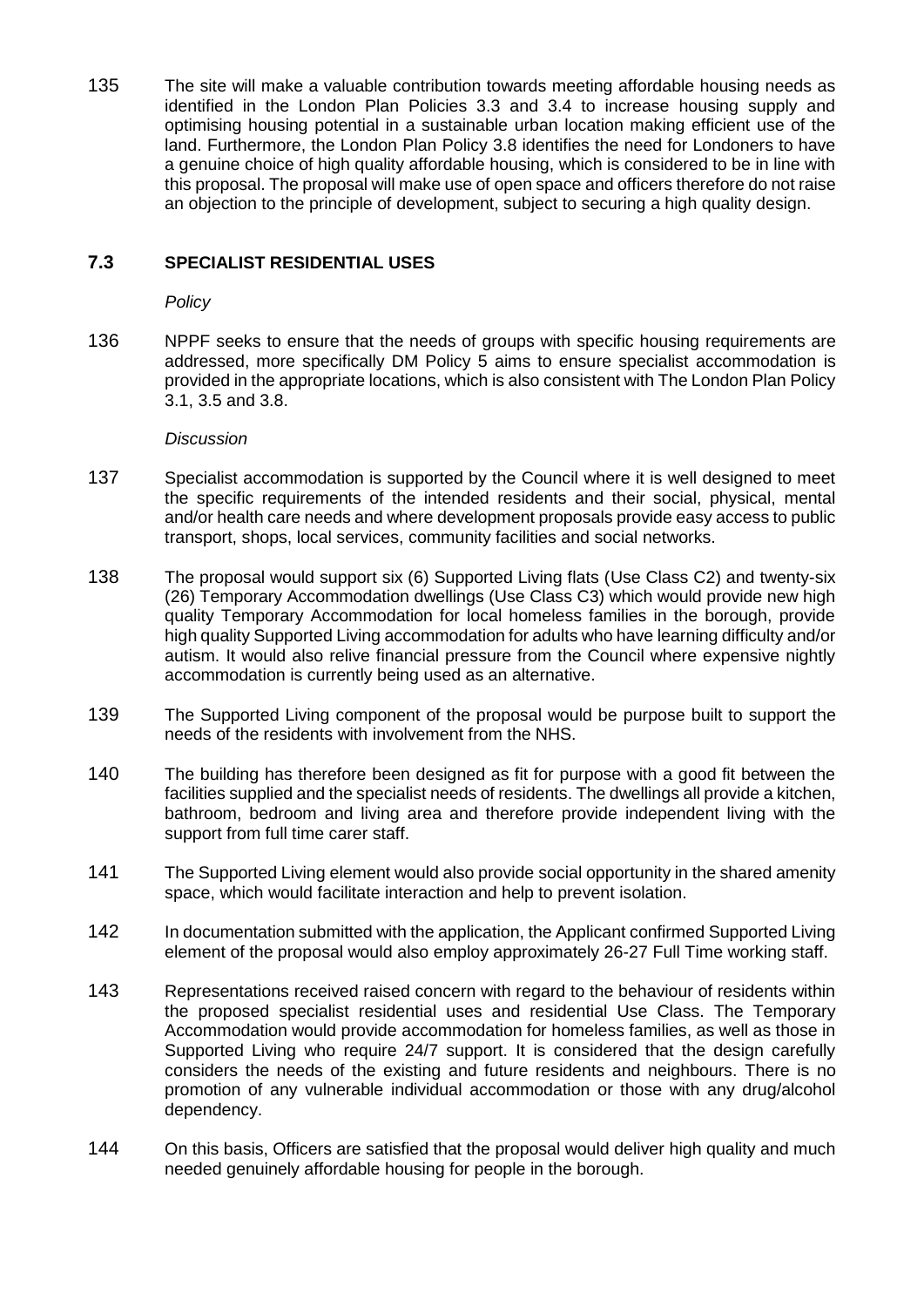135 The site will make a valuable contribution towards meeting affordable housing needs as identified in the London Plan Policies 3.3 and 3.4 to increase housing supply and optimising housing potential in a sustainable urban location making efficient use of the land. Furthermore, the London Plan Policy 3.8 identifies the need for Londoners to have a genuine choice of high quality affordable housing, which is considered to be in line with this proposal. The proposal will make use of open space and officers therefore do not raise an objection to the principle of development, subject to securing a high quality design.

# **7.3 SPECIALIST RESIDENTIAL USES**

*Policy*

136 NPPF seeks to ensure that the needs of groups with specific housing requirements are addressed, more specifically DM Policy 5 aims to ensure specialist accommodation is provided in the appropriate locations, which is also consistent with The London Plan Policy 3.1, 3.5 and 3.8.

#### *Discussion*

- 137 Specialist accommodation is supported by the Council where it is well designed to meet the specific requirements of the intended residents and their social, physical, mental and/or health care needs and where development proposals provide easy access to public transport, shops, local services, community facilities and social networks.
- 138 The proposal would support six (6) Supported Living flats (Use Class C2) and twenty-six (26) Temporary Accommodation dwellings (Use Class C3) which would provide new high quality Temporary Accommodation for local homeless families in the borough, provide high quality Supported Living accommodation for adults who have learning difficulty and/or autism. It would also relive financial pressure from the Council where expensive nightly accommodation is currently being used as an alternative.
- 139 The Supported Living component of the proposal would be purpose built to support the needs of the residents with involvement from the NHS.
- 140 The building has therefore been designed as fit for purpose with a good fit between the facilities supplied and the specialist needs of residents. The dwellings all provide a kitchen, bathroom, bedroom and living area and therefore provide independent living with the support from full time carer staff.
- 141 The Supported Living element would also provide social opportunity in the shared amenity space, which would facilitate interaction and help to prevent isolation.
- 142 In documentation submitted with the application, the Applicant confirmed Supported Living element of the proposal would also employ approximately 26-27 Full Time working staff.
- 143 Representations received raised concern with regard to the behaviour of residents within the proposed specialist residential uses and residential Use Class. The Temporary Accommodation would provide accommodation for homeless families, as well as those in Supported Living who require 24/7 support. It is considered that the design carefully considers the needs of the existing and future residents and neighbours. There is no promotion of any vulnerable individual accommodation or those with any drug/alcohol dependency.
- 144 On this basis, Officers are satisfied that the proposal would deliver high quality and much needed genuinely affordable housing for people in the borough.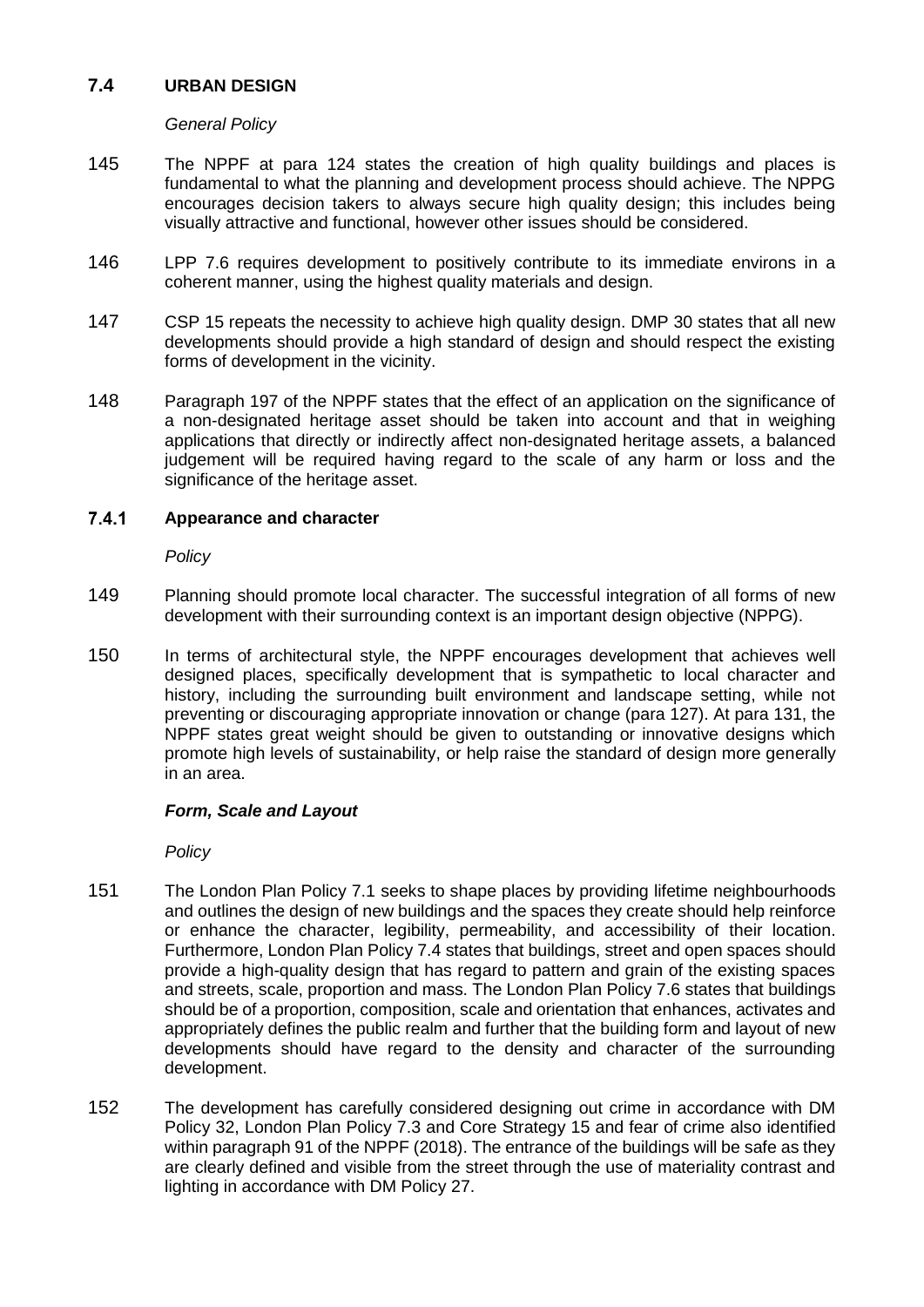# **7.4 URBAN DESIGN**

## *General Policy*

- 145 The NPPF at para 124 states the creation of high quality buildings and places is fundamental to what the planning and development process should achieve. The NPPG encourages decision takers to always secure high quality design; this includes being visually attractive and functional, however other issues should be considered.
- 146 LPP 7.6 requires development to positively contribute to its immediate environs in a coherent manner, using the highest quality materials and design.
- 147 CSP 15 repeats the necessity to achieve high quality design. DMP 30 states that all new developments should provide a high standard of design and should respect the existing forms of development in the vicinity.
- 148 Paragraph 197 of the NPPF states that the effect of an application on the significance of a non-designated heritage asset should be taken into account and that in weighing applications that directly or indirectly affect non-designated heritage assets, a balanced judgement will be required having regard to the scale of any harm or loss and the significance of the heritage asset.

#### $7.4.1$ **Appearance and character**

*Policy*

- 149 Planning should promote local character. The successful integration of all forms of new development with their surrounding context is an important design objective (NPPG).
- 150 In terms of architectural style, the NPPF encourages development that achieves well designed places, specifically development that is sympathetic to local character and history, including the surrounding built environment and landscape setting, while not preventing or discouraging appropriate innovation or change (para 127). At para 131, the NPPF states great weight should be given to outstanding or innovative designs which promote high levels of sustainability, or help raise the standard of design more generally in an area.

## *Form, Scale and Layout*

*Policy*

- 151 The London Plan Policy 7.1 seeks to shape places by providing lifetime neighbourhoods and outlines the design of new buildings and the spaces they create should help reinforce or enhance the character, legibility, permeability, and accessibility of their location. Furthermore, London Plan Policy 7.4 states that buildings, street and open spaces should provide a high-quality design that has regard to pattern and grain of the existing spaces and streets, scale, proportion and mass. The London Plan Policy 7.6 states that buildings should be of a proportion, composition, scale and orientation that enhances, activates and appropriately defines the public realm and further that the building form and layout of new developments should have regard to the density and character of the surrounding development.
- 152 The development has carefully considered designing out crime in accordance with DM Policy 32, London Plan Policy 7.3 and Core Strategy 15 and fear of crime also identified within paragraph 91 of the NPPF (2018). The entrance of the buildings will be safe as they are clearly defined and visible from the street through the use of materiality contrast and lighting in accordance with DM Policy 27.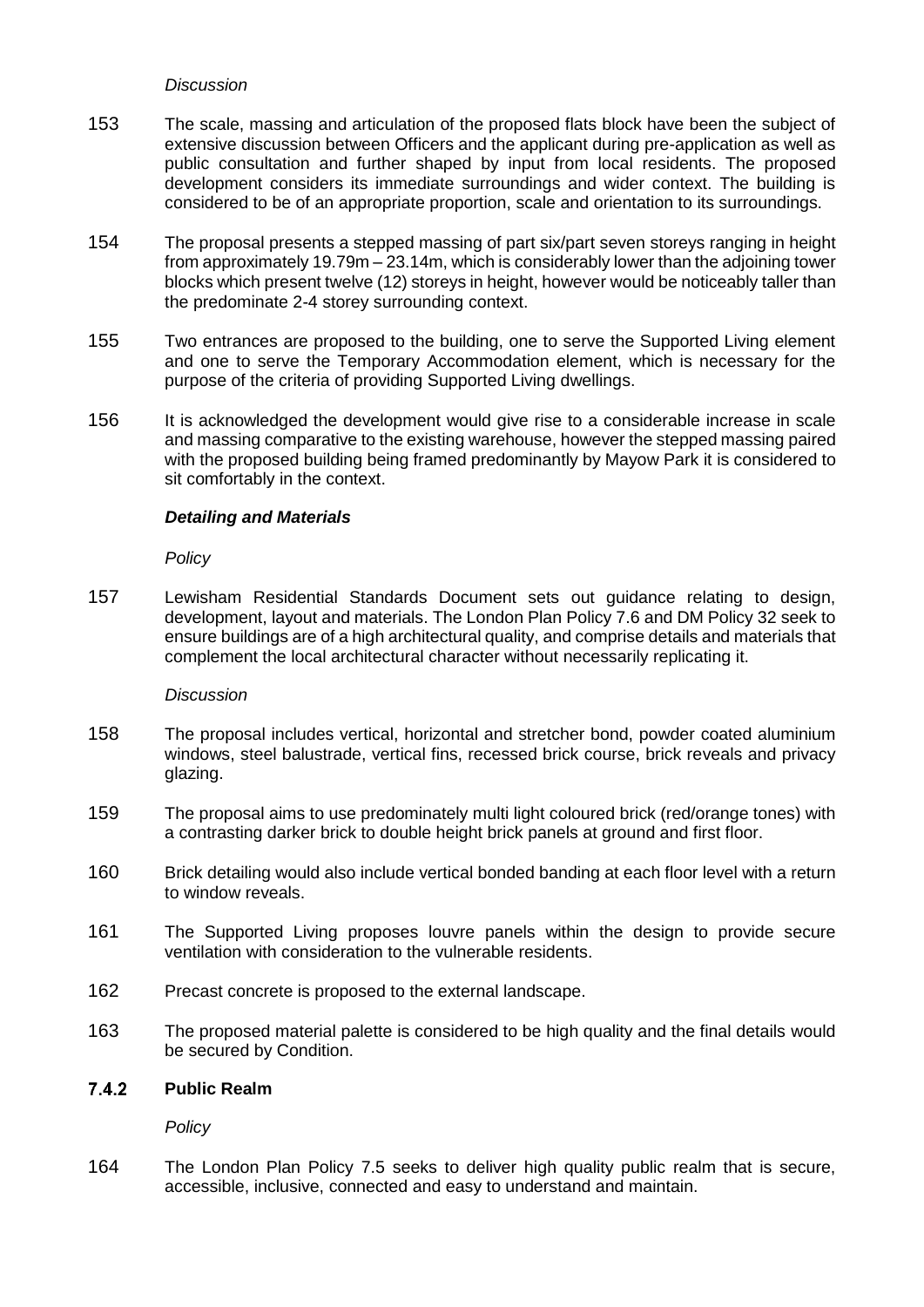#### *Discussion*

- 153 The scale, massing and articulation of the proposed flats block have been the subject of extensive discussion between Officers and the applicant during pre-application as well as public consultation and further shaped by input from local residents. The proposed development considers its immediate surroundings and wider context. The building is considered to be of an appropriate proportion, scale and orientation to its surroundings.
- 154 The proposal presents a stepped massing of part six/part seven storeys ranging in height from approximately 19.79m – 23.14m, which is considerably lower than the adjoining tower blocks which present twelve (12) storeys in height, however would be noticeably taller than the predominate 2-4 storey surrounding context.
- 155 Two entrances are proposed to the building, one to serve the Supported Living element and one to serve the Temporary Accommodation element, which is necessary for the purpose of the criteria of providing Supported Living dwellings.
- 156 It is acknowledged the development would give rise to a considerable increase in scale and massing comparative to the existing warehouse, however the stepped massing paired with the proposed building being framed predominantly by Mayow Park it is considered to sit comfortably in the context.

## *Detailing and Materials*

*Policy*

157 Lewisham Residential Standards Document sets out guidance relating to design, development, layout and materials. The London Plan Policy 7.6 and DM Policy 32 seek to ensure buildings are of a high architectural quality, and comprise details and materials that complement the local architectural character without necessarily replicating it.

#### *Discussion*

- 158 The proposal includes vertical, horizontal and stretcher bond, powder coated aluminium windows, steel balustrade, vertical fins, recessed brick course, brick reveals and privacy glazing.
- 159 The proposal aims to use predominately multi light coloured brick (red/orange tones) with a contrasting darker brick to double height brick panels at ground and first floor.
- 160 Brick detailing would also include vertical bonded banding at each floor level with a return to window reveals.
- 161 The Supported Living proposes louvre panels within the design to provide secure ventilation with consideration to the vulnerable residents.
- 162 Precast concrete is proposed to the external landscape.
- 163 The proposed material palette is considered to be high quality and the final details would be secured by Condition.

#### $7.4.2$ **Public Realm**

*Policy*

164 The London Plan Policy 7.5 seeks to deliver high quality public realm that is secure, accessible, inclusive, connected and easy to understand and maintain.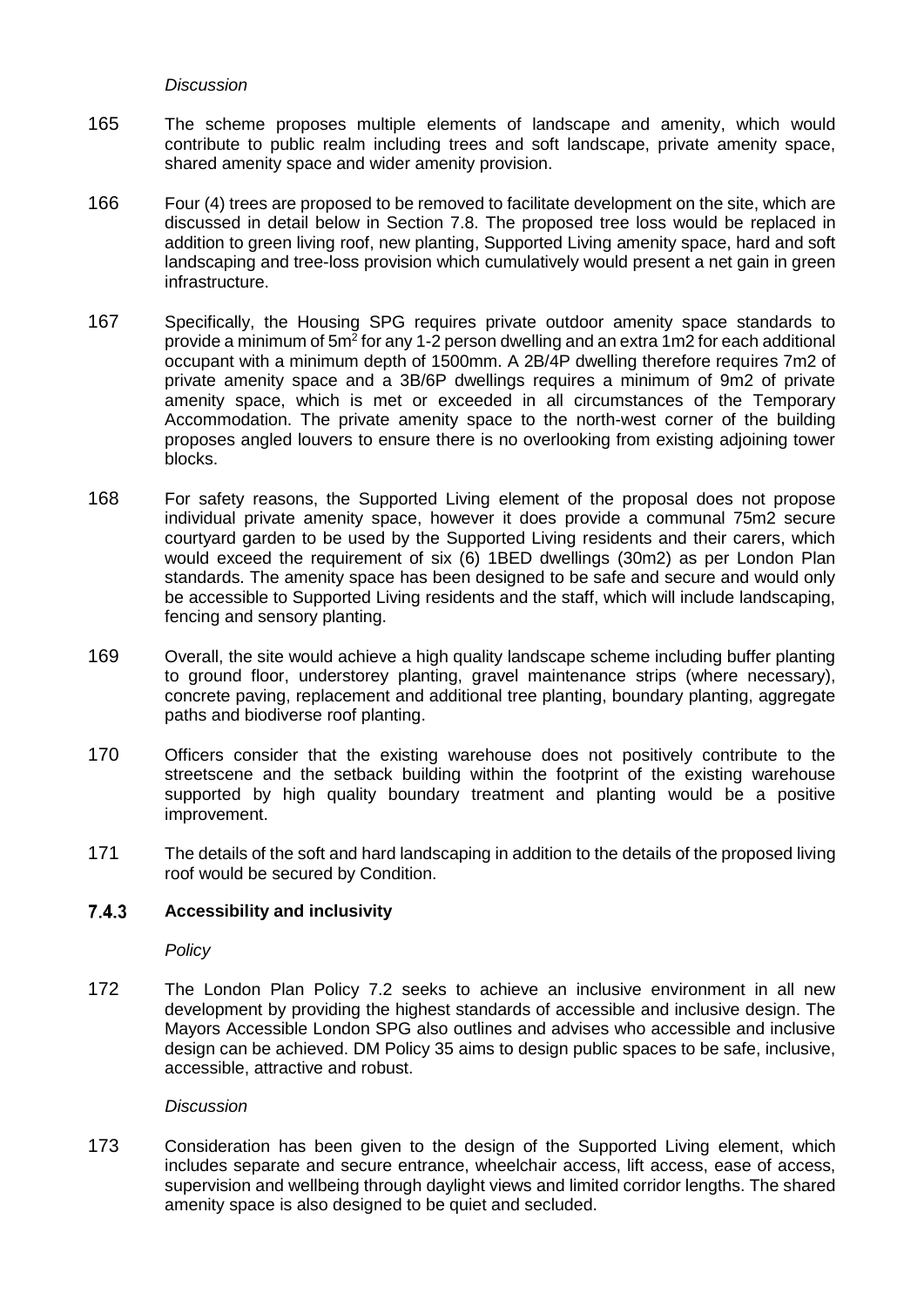#### *Discussion*

- 165 The scheme proposes multiple elements of landscape and amenity, which would contribute to public realm including trees and soft landscape, private amenity space, shared amenity space and wider amenity provision.
- 166 Four (4) trees are proposed to be removed to facilitate development on the site, which are discussed in detail below in Section 7.8. The proposed tree loss would be replaced in addition to green living roof, new planting, Supported Living amenity space, hard and soft landscaping and tree-loss provision which cumulatively would present a net gain in green infrastructure.
- 167 Specifically, the Housing SPG requires private outdoor amenity space standards to provide a minimum of  $5m^2$  for any 1-2 person dwelling and an extra 1m2 for each additional occupant with a minimum depth of 1500mm. A 2B/4P dwelling therefore requires 7m2 of private amenity space and a 3B/6P dwellings requires a minimum of 9m2 of private amenity space, which is met or exceeded in all circumstances of the Temporary Accommodation. The private amenity space to the north-west corner of the building proposes angled louvers to ensure there is no overlooking from existing adjoining tower blocks.
- 168 For safety reasons, the Supported Living element of the proposal does not propose individual private amenity space, however it does provide a communal 75m2 secure courtyard garden to be used by the Supported Living residents and their carers, which would exceed the requirement of six (6) 1BED dwellings (30m2) as per London Plan standards. The amenity space has been designed to be safe and secure and would only be accessible to Supported Living residents and the staff, which will include landscaping, fencing and sensory planting.
- 169 Overall, the site would achieve a high quality landscape scheme including buffer planting to ground floor, understorey planting, gravel maintenance strips (where necessary), concrete paving, replacement and additional tree planting, boundary planting, aggregate paths and biodiverse roof planting.
- 170 Officers consider that the existing warehouse does not positively contribute to the streetscene and the setback building within the footprint of the existing warehouse supported by high quality boundary treatment and planting would be a positive improvement.
- 171 The details of the soft and hard landscaping in addition to the details of the proposed living roof would be secured by Condition.

#### $7.4.3$ **Accessibility and inclusivity**

*Policy*

172 The London Plan Policy 7.2 seeks to achieve an inclusive environment in all new development by providing the highest standards of accessible and inclusive design. The Mayors Accessible London SPG also outlines and advises who accessible and inclusive design can be achieved. DM Policy 35 aims to design public spaces to be safe, inclusive, accessible, attractive and robust.

#### *Discussion*

173 Consideration has been given to the design of the Supported Living element, which includes separate and secure entrance, wheelchair access, lift access, ease of access, supervision and wellbeing through daylight views and limited corridor lengths. The shared amenity space is also designed to be quiet and secluded.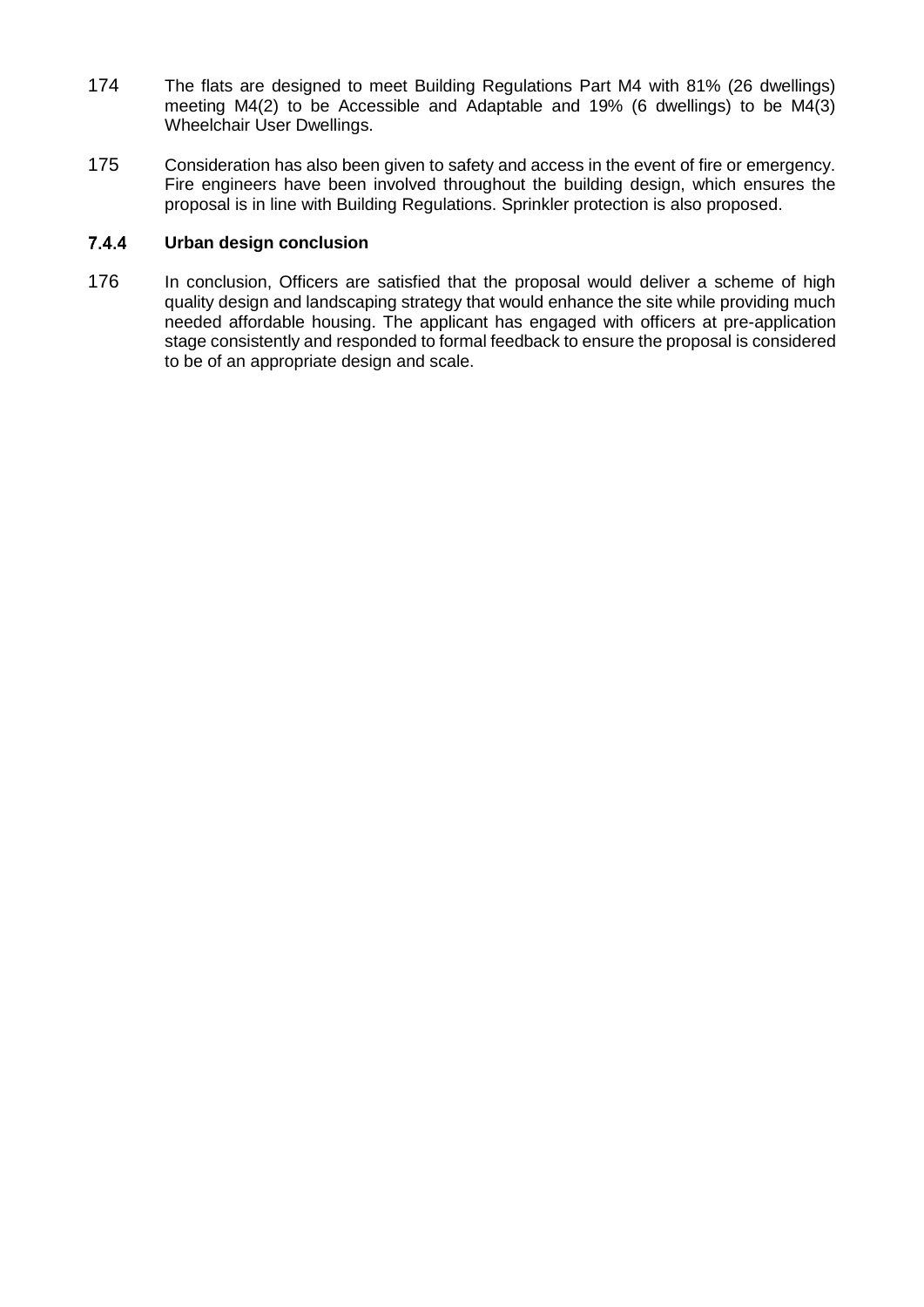- 174 The flats are designed to meet Building Regulations Part M4 with 81% (26 dwellings) meeting M4(2) to be Accessible and Adaptable and 19% (6 dwellings) to be M4(3) Wheelchair User Dwellings.
- 175 Consideration has also been given to safety and access in the event of fire or emergency. Fire engineers have been involved throughout the building design, which ensures the proposal is in line with Building Regulations. Sprinkler protection is also proposed.

#### $7.4.4$ **Urban design conclusion**

176 In conclusion, Officers are satisfied that the proposal would deliver a scheme of high quality design and landscaping strategy that would enhance the site while providing much needed affordable housing. The applicant has engaged with officers at pre-application stage consistently and responded to formal feedback to ensure the proposal is considered to be of an appropriate design and scale.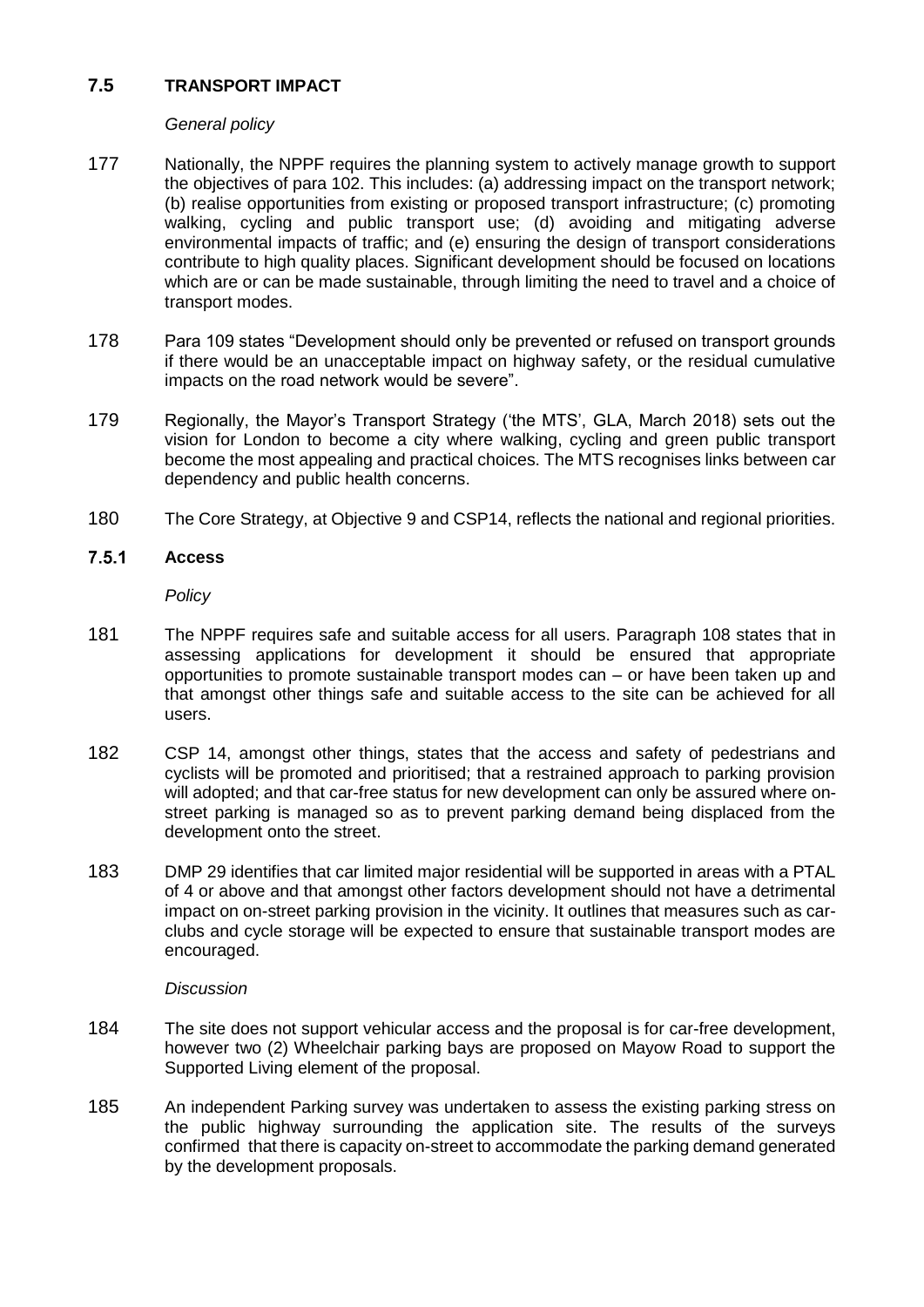# **7.5 TRANSPORT IMPACT**

## *General policy*

- 177 Nationally, the NPPF requires the planning system to actively manage growth to support the objectives of para 102. This includes: (a) addressing impact on the transport network; (b) realise opportunities from existing or proposed transport infrastructure; (c) promoting walking, cycling and public transport use; (d) avoiding and mitigating adverse environmental impacts of traffic; and (e) ensuring the design of transport considerations contribute to high quality places. Significant development should be focused on locations which are or can be made sustainable, through limiting the need to travel and a choice of transport modes.
- 178 Para 109 states "Development should only be prevented or refused on transport grounds if there would be an unacceptable impact on highway safety, or the residual cumulative impacts on the road network would be severe".
- 179 Regionally, the Mayor's Transport Strategy ('the MTS', GLA, March 2018) sets out the vision for London to become a city where walking, cycling and green public transport become the most appealing and practical choices. The MTS recognises links between car dependency and public health concerns.
- 180 The Core Strategy, at Objective 9 and CSP14, reflects the national and regional priorities.

#### $7.5.1$ **Access**

*Policy*

- 181 The NPPF requires safe and suitable access for all users. Paragraph 108 states that in assessing applications for development it should be ensured that appropriate opportunities to promote sustainable transport modes can – or have been taken up and that amongst other things safe and suitable access to the site can be achieved for all users.
- 182 CSP 14, amongst other things, states that the access and safety of pedestrians and cyclists will be promoted and prioritised; that a restrained approach to parking provision will adopted; and that car-free status for new development can only be assured where onstreet parking is managed so as to prevent parking demand being displaced from the development onto the street.
- 183 DMP 29 identifies that car limited major residential will be supported in areas with a PTAL of 4 or above and that amongst other factors development should not have a detrimental impact on on-street parking provision in the vicinity. It outlines that measures such as carclubs and cycle storage will be expected to ensure that sustainable transport modes are encouraged.

#### *Discussion*

- 184 The site does not support vehicular access and the proposal is for car-free development, however two (2) Wheelchair parking bays are proposed on Mayow Road to support the Supported Living element of the proposal.
- 185 An independent Parking survey was undertaken to assess the existing parking stress on the public highway surrounding the application site. The results of the surveys confirmed that there is capacity on-street to accommodate the parking demand generated by the development proposals.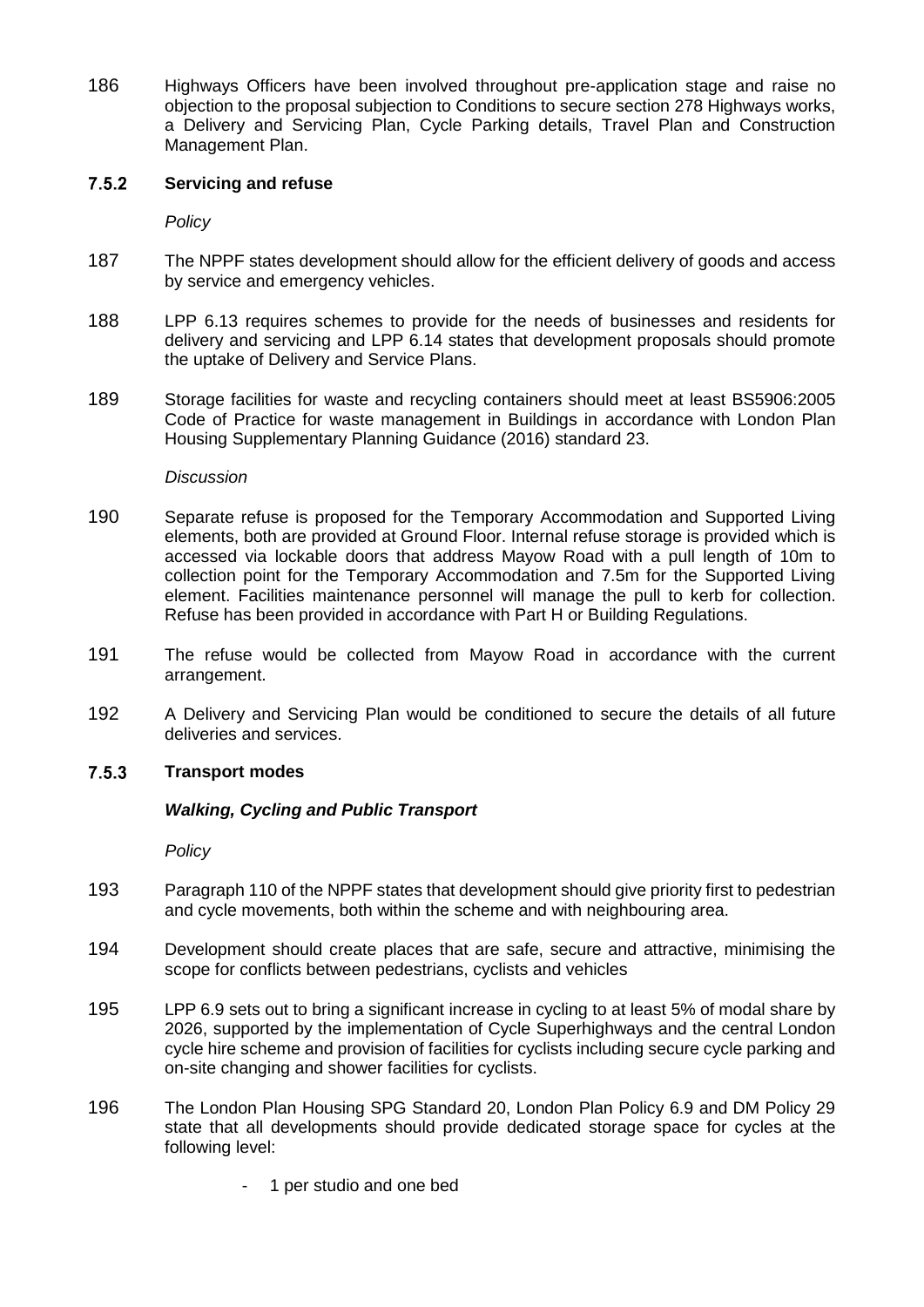186 Highways Officers have been involved throughout pre-application stage and raise no objection to the proposal subjection to Conditions to secure section 278 Highways works, a Delivery and Servicing Plan, Cycle Parking details, Travel Plan and Construction Management Plan.

#### $7.5.2$ **Servicing and refuse**

*Policy*

- 187 The NPPF states development should allow for the efficient delivery of goods and access by service and emergency vehicles.
- 188 LPP 6.13 requires schemes to provide for the needs of businesses and residents for delivery and servicing and LPP 6.14 states that development proposals should promote the uptake of Delivery and Service Plans.
- 189 Storage facilities for waste and recycling containers should meet at least BS5906:2005 Code of Practice for waste management in Buildings in accordance with London Plan Housing Supplementary Planning Guidance (2016) standard 23.

### *Discussion*

- 190 Separate refuse is proposed for the Temporary Accommodation and Supported Living elements, both are provided at Ground Floor. Internal refuse storage is provided which is accessed via lockable doors that address Mayow Road with a pull length of 10m to collection point for the Temporary Accommodation and 7.5m for the Supported Living element. Facilities maintenance personnel will manage the pull to kerb for collection. Refuse has been provided in accordance with Part H or Building Regulations.
- 191 The refuse would be collected from Mayow Road in accordance with the current arrangement.
- 192 A Delivery and Servicing Plan would be conditioned to secure the details of all future deliveries and services.

#### $7.5.3$ **Transport modes**

## *Walking, Cycling and Public Transport*

*Policy*

- 193 Paragraph 110 of the NPPF states that development should give priority first to pedestrian and cycle movements, both within the scheme and with neighbouring area.
- 194 Development should create places that are safe, secure and attractive, minimising the scope for conflicts between pedestrians, cyclists and vehicles
- 195 LPP 6.9 sets out to bring a significant increase in cycling to at least 5% of modal share by 2026, supported by the implementation of Cycle Superhighways and the central London cycle hire scheme and provision of facilities for cyclists including secure cycle parking and on-site changing and shower facilities for cyclists.
- 196 The London Plan Housing SPG Standard 20, London Plan Policy 6.9 and DM Policy 29 state that all developments should provide dedicated storage space for cycles at the following level:
	- 1 per studio and one bed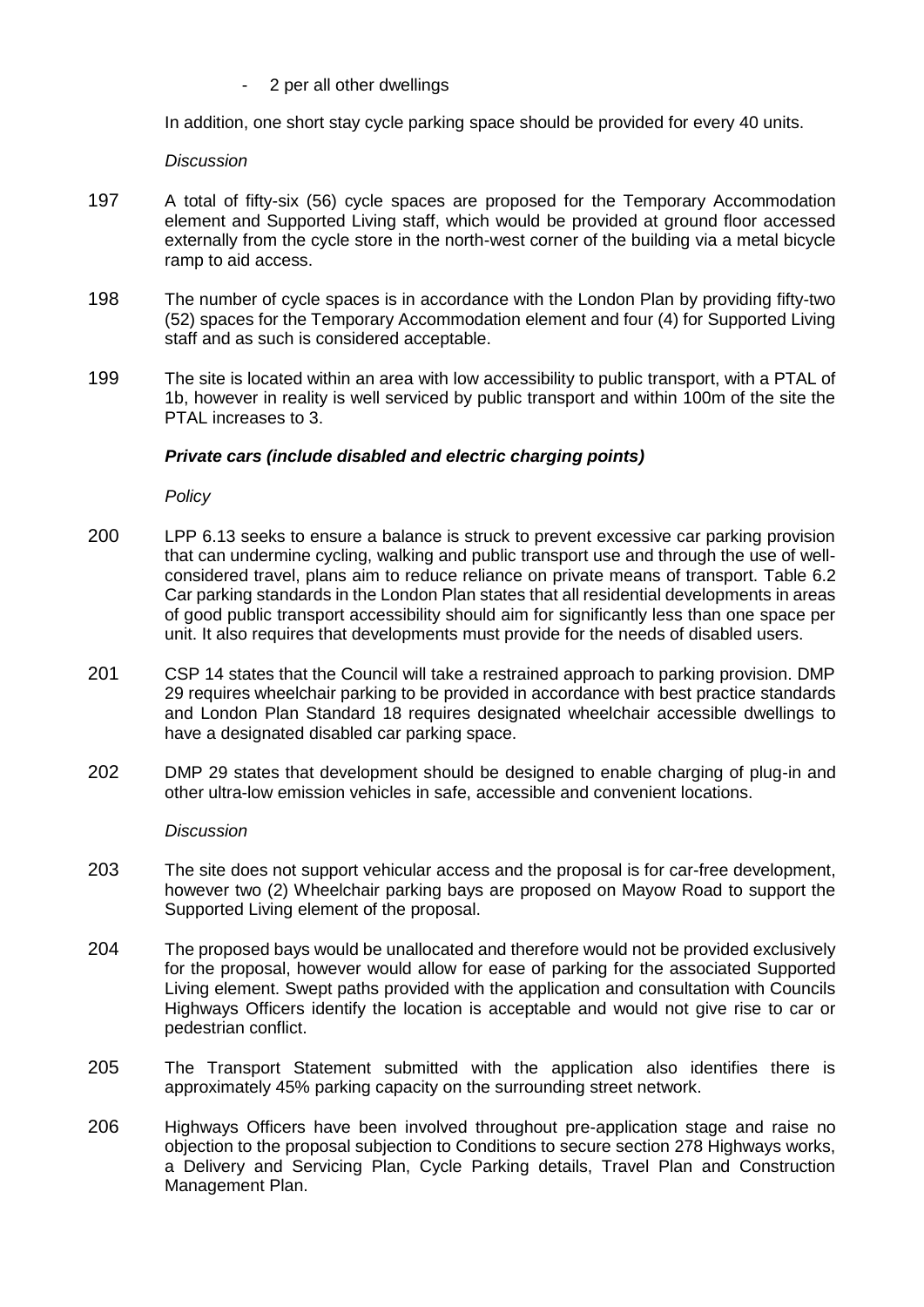2 per all other dwellings

In addition, one short stay cycle parking space should be provided for every 40 units.

### *Discussion*

- 197 A total of fifty-six (56) cycle spaces are proposed for the Temporary Accommodation element and Supported Living staff, which would be provided at ground floor accessed externally from the cycle store in the north-west corner of the building via a metal bicycle ramp to aid access.
- 198 The number of cycle spaces is in accordance with the London Plan by providing fifty-two (52) spaces for the Temporary Accommodation element and four (4) for Supported Living staff and as such is considered acceptable.
- 199 The site is located within an area with low accessibility to public transport, with a PTAL of 1b, however in reality is well serviced by public transport and within 100m of the site the PTAL increases to 3.

## *Private cars (include disabled and electric charging points)*

*Policy*

- 200 LPP 6.13 seeks to ensure a balance is struck to prevent excessive car parking provision that can undermine cycling, walking and public transport use and through the use of wellconsidered travel, plans aim to reduce reliance on private means of transport. Table 6.2 Car parking standards in the London Plan states that all residential developments in areas of good public transport accessibility should aim for significantly less than one space per unit. It also requires that developments must provide for the needs of disabled users.
- 201 CSP 14 states that the Council will take a restrained approach to parking provision. DMP 29 requires wheelchair parking to be provided in accordance with best practice standards and London Plan Standard 18 requires designated wheelchair accessible dwellings to have a designated disabled car parking space.
- 202 DMP 29 states that development should be designed to enable charging of plug-in and other ultra-low emission vehicles in safe, accessible and convenient locations.

*Discussion*

- 203 The site does not support vehicular access and the proposal is for car-free development, however two (2) Wheelchair parking bays are proposed on Mayow Road to support the Supported Living element of the proposal.
- 204 The proposed bays would be unallocated and therefore would not be provided exclusively for the proposal, however would allow for ease of parking for the associated Supported Living element. Swept paths provided with the application and consultation with Councils Highways Officers identify the location is acceptable and would not give rise to car or pedestrian conflict.
- 205 The Transport Statement submitted with the application also identifies there is approximately 45% parking capacity on the surrounding street network.
- 206 Highways Officers have been involved throughout pre-application stage and raise no objection to the proposal subjection to Conditions to secure section 278 Highways works, a Delivery and Servicing Plan, Cycle Parking details, Travel Plan and Construction Management Plan.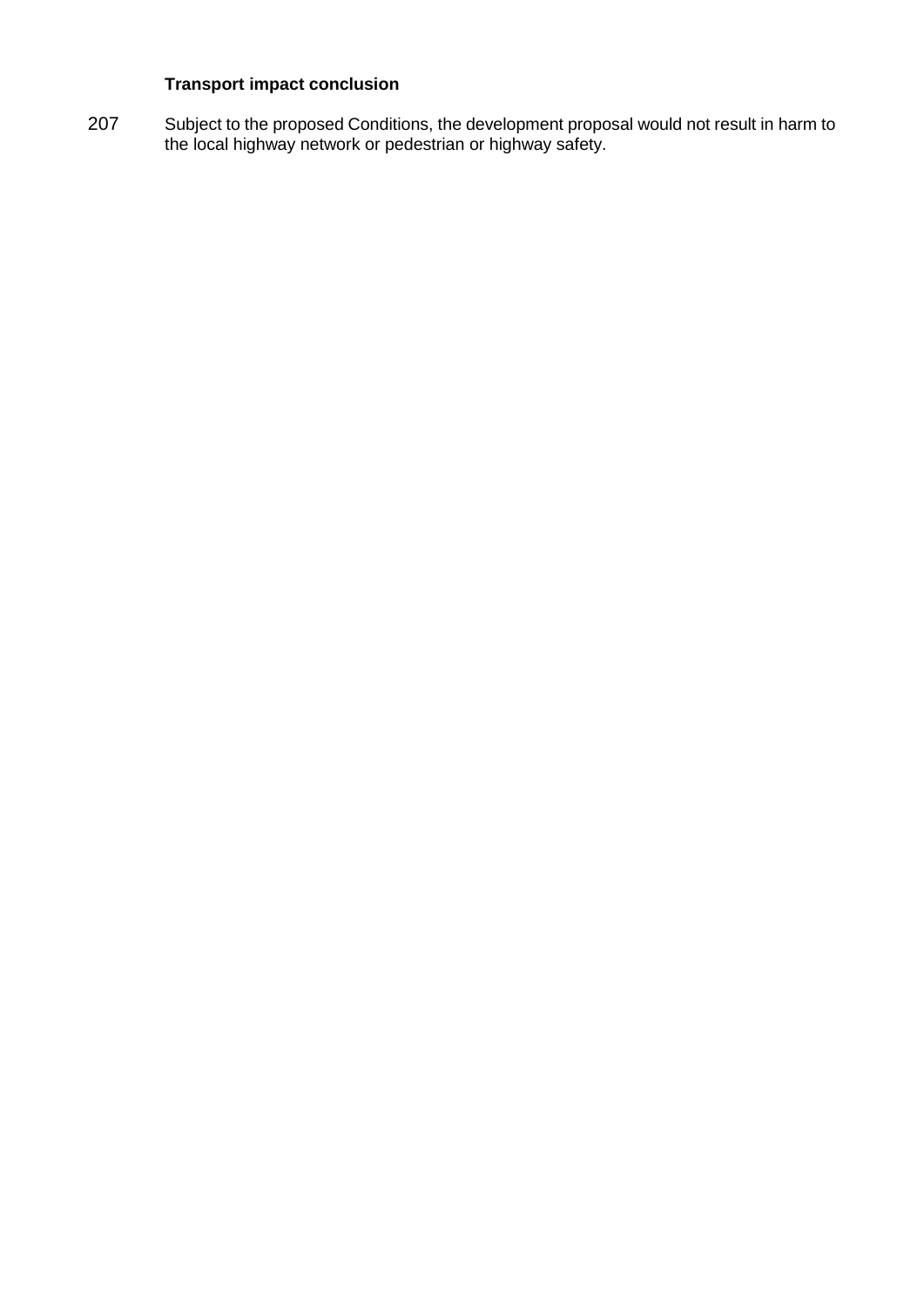# **Transport impact conclusion**

207 Subject to the proposed Conditions, the development proposal would not result in harm to the local highway network or pedestrian or highway safety.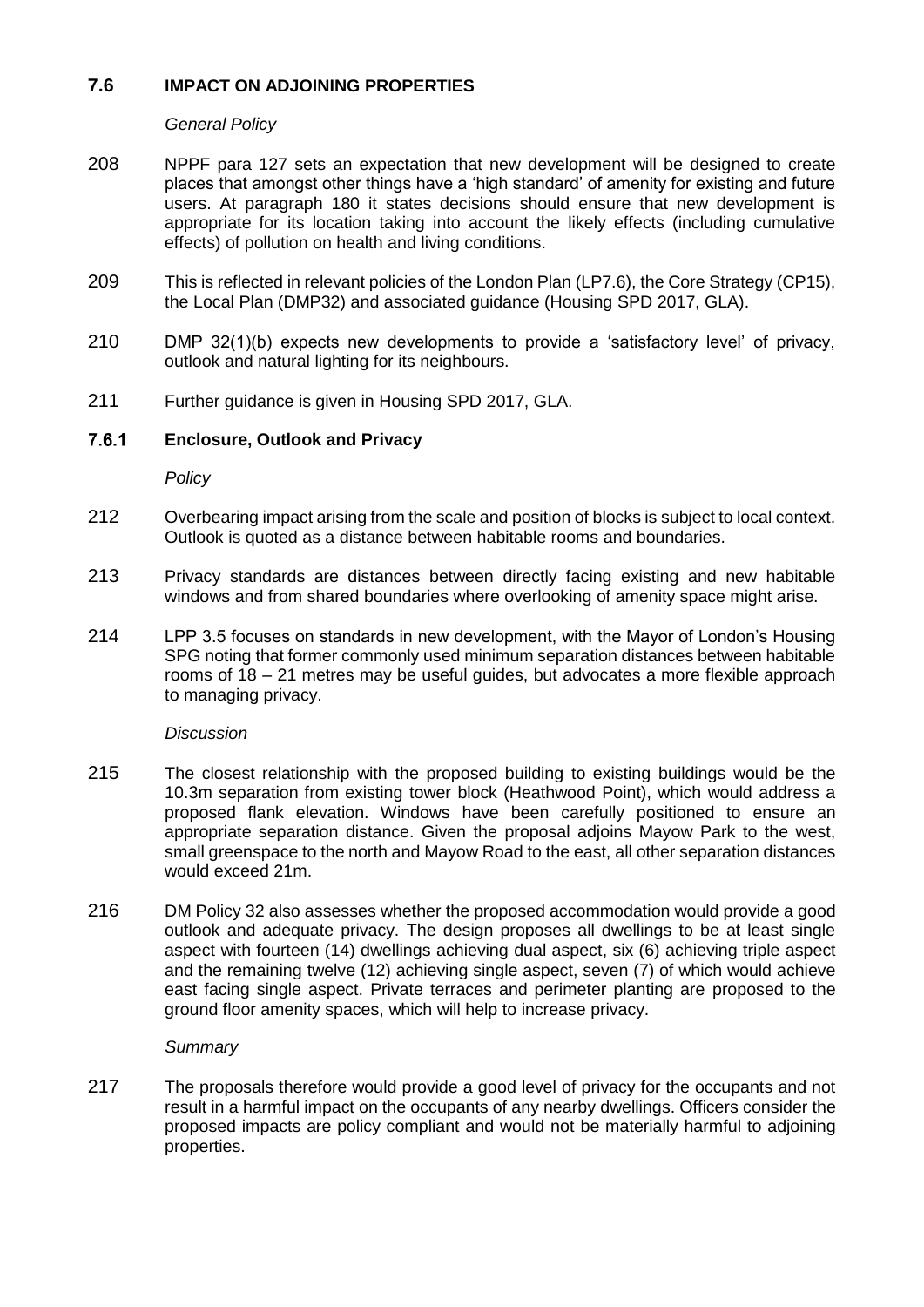## **7.6 IMPACT ON ADJOINING PROPERTIES**

*General Policy*

- 208 NPPF para 127 sets an expectation that new development will be designed to create places that amongst other things have a 'high standard' of amenity for existing and future users. At paragraph 180 it states decisions should ensure that new development is appropriate for its location taking into account the likely effects (including cumulative effects) of pollution on health and living conditions.
- 209 This is reflected in relevant policies of the London Plan (LP7.6), the Core Strategy (CP15), the Local Plan (DMP32) and associated guidance (Housing SPD 2017, GLA).
- 210 DMP 32(1)(b) expects new developments to provide a 'satisfactory level' of privacy, outlook and natural lighting for its neighbours.
- 211 Further guidance is given in Housing SPD 2017, GLA.

#### $7.6.1$ **Enclosure, Outlook and Privacy**

*Policy*

- 212 Overbearing impact arising from the scale and position of blocks is subject to local context. Outlook is quoted as a distance between habitable rooms and boundaries.
- 213 Privacy standards are distances between directly facing existing and new habitable windows and from shared boundaries where overlooking of amenity space might arise.
- 214 LPP 3.5 focuses on standards in new development, with the Mayor of London's Housing SPG noting that former commonly used minimum separation distances between habitable rooms of 18 – 21 metres may be useful guides, but advocates a more flexible approach to managing privacy.

## *Discussion*

- 215 The closest relationship with the proposed building to existing buildings would be the 10.3m separation from existing tower block (Heathwood Point), which would address a proposed flank elevation. Windows have been carefully positioned to ensure an appropriate separation distance. Given the proposal adjoins Mayow Park to the west, small greenspace to the north and Mayow Road to the east, all other separation distances would exceed 21m.
- 216 DM Policy 32 also assesses whether the proposed accommodation would provide a good outlook and adequate privacy. The design proposes all dwellings to be at least single aspect with fourteen (14) dwellings achieving dual aspect, six (6) achieving triple aspect and the remaining twelve (12) achieving single aspect, seven (7) of which would achieve east facing single aspect. Private terraces and perimeter planting are proposed to the ground floor amenity spaces, which will help to increase privacy.

## *Summary*

217 The proposals therefore would provide a good level of privacy for the occupants and not result in a harmful impact on the occupants of any nearby dwellings. Officers consider the proposed impacts are policy compliant and would not be materially harmful to adjoining properties.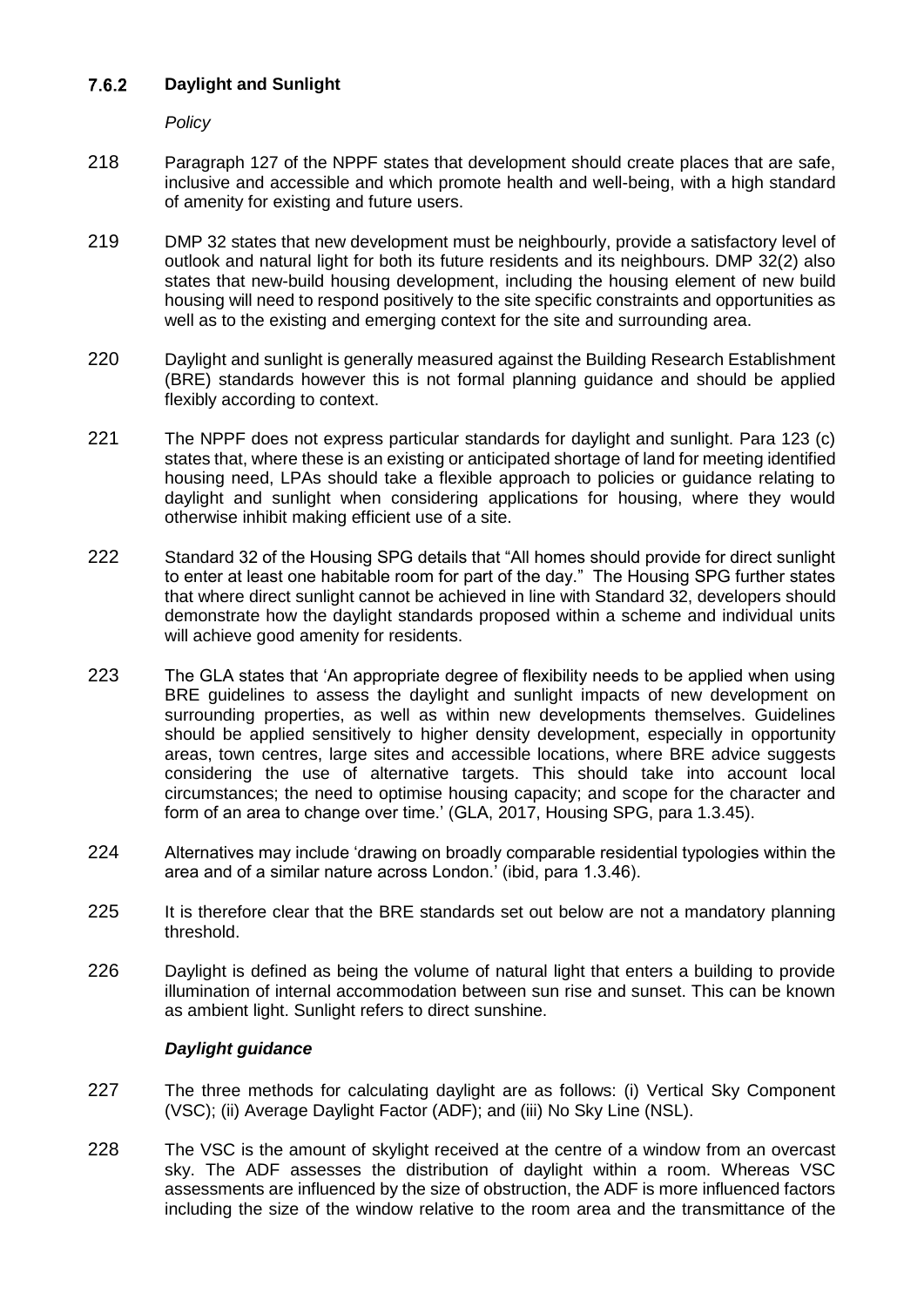#### $7.6.2$ **Daylight and Sunlight**

*Policy*

- 218 Paragraph 127 of the NPPF states that development should create places that are safe, inclusive and accessible and which promote health and well-being, with a high standard of amenity for existing and future users.
- 219 DMP 32 states that new development must be neighbourly, provide a satisfactory level of outlook and natural light for both its future residents and its neighbours. DMP 32(2) also states that new-build housing development, including the housing element of new build housing will need to respond positively to the site specific constraints and opportunities as well as to the existing and emerging context for the site and surrounding area.
- 220 Daylight and sunlight is generally measured against the Building Research Establishment (BRE) standards however this is not formal planning guidance and should be applied flexibly according to context.
- 221 The NPPF does not express particular standards for daylight and sunlight. Para 123 (c) states that, where these is an existing or anticipated shortage of land for meeting identified housing need, LPAs should take a flexible approach to policies or guidance relating to daylight and sunlight when considering applications for housing, where they would otherwise inhibit making efficient use of a site.
- 222 Standard 32 of the Housing SPG details that "All homes should provide for direct sunlight to enter at least one habitable room for part of the day." The Housing SPG further states that where direct sunlight cannot be achieved in line with Standard 32, developers should demonstrate how the daylight standards proposed within a scheme and individual units will achieve good amenity for residents.
- 223 The GLA states that 'An appropriate degree of flexibility needs to be applied when using BRE guidelines to assess the daylight and sunlight impacts of new development on surrounding properties, as well as within new developments themselves. Guidelines should be applied sensitively to higher density development, especially in opportunity areas, town centres, large sites and accessible locations, where BRE advice suggests considering the use of alternative targets. This should take into account local circumstances; the need to optimise housing capacity; and scope for the character and form of an area to change over time.' (GLA, 2017, Housing SPG, para 1.3.45).
- 224 Alternatives may include 'drawing on broadly comparable residential typologies within the area and of a similar nature across London.' (ibid, para 1.3.46).
- 225 It is therefore clear that the BRE standards set out below are not a mandatory planning threshold.
- 226 Daylight is defined as being the volume of natural light that enters a building to provide illumination of internal accommodation between sun rise and sunset. This can be known as ambient light. Sunlight refers to direct sunshine.

# *Daylight guidance*

- 227 The three methods for calculating daylight are as follows: (i) Vertical Sky Component (VSC); (ii) Average Daylight Factor (ADF); and (iii) No Sky Line (NSL).
- 228 The VSC is the amount of skylight received at the centre of a window from an overcast sky. The ADF assesses the distribution of daylight within a room. Whereas VSC assessments are influenced by the size of obstruction, the ADF is more influenced factors including the size of the window relative to the room area and the transmittance of the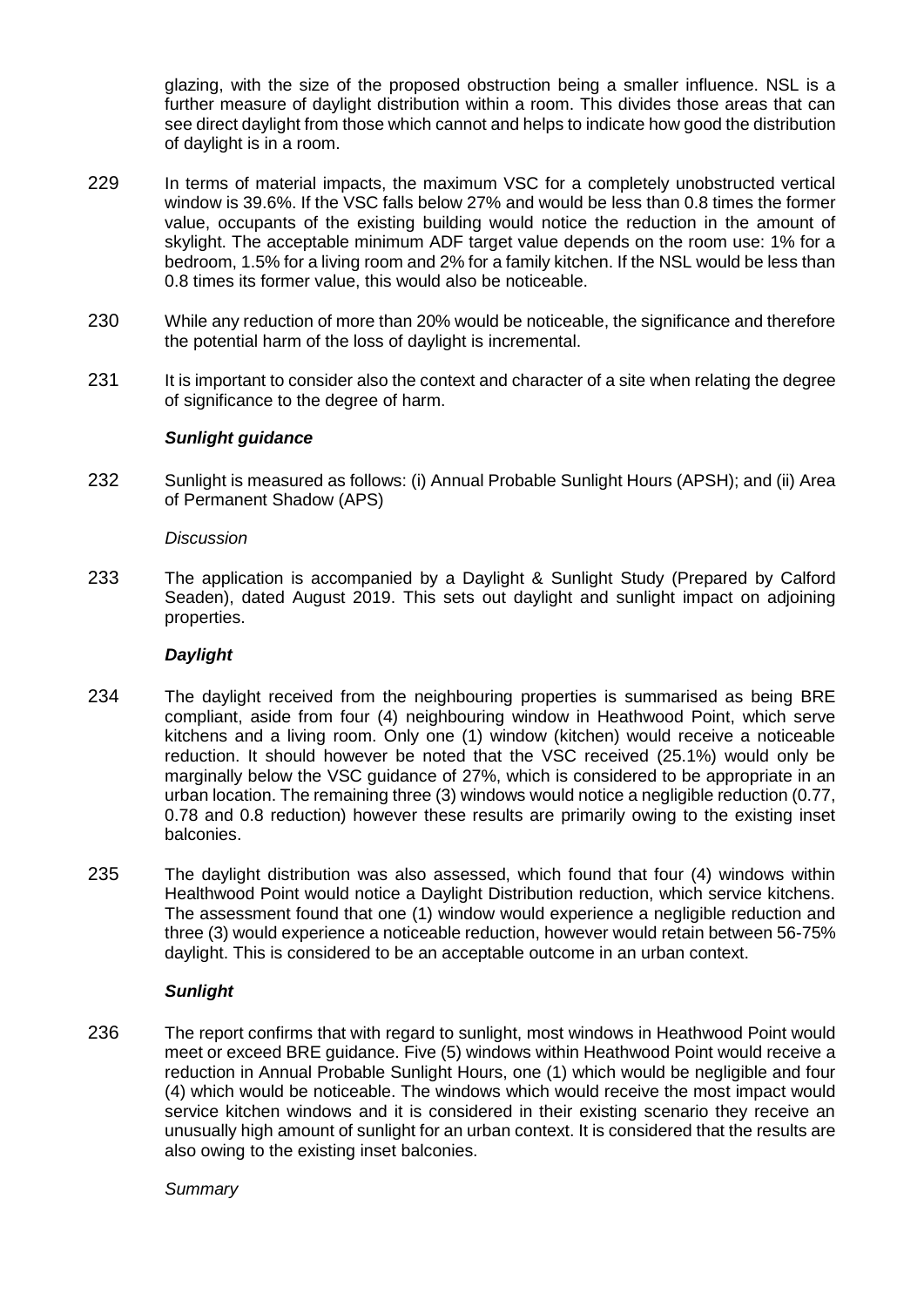glazing, with the size of the proposed obstruction being a smaller influence. NSL is a further measure of daylight distribution within a room. This divides those areas that can see direct daylight from those which cannot and helps to indicate how good the distribution of daylight is in a room.

- 229 In terms of material impacts, the maximum VSC for a completely unobstructed vertical window is 39.6%. If the VSC falls below 27% and would be less than 0.8 times the former value, occupants of the existing building would notice the reduction in the amount of skylight. The acceptable minimum ADF target value depends on the room use: 1% for a bedroom, 1.5% for a living room and 2% for a family kitchen. If the NSL would be less than 0.8 times its former value, this would also be noticeable.
- 230 While any reduction of more than 20% would be noticeable, the significance and therefore the potential harm of the loss of daylight is incremental.
- 231 It is important to consider also the context and character of a site when relating the degree of significance to the degree of harm.

### *Sunlight guidance*

232 Sunlight is measured as follows: (i) Annual Probable Sunlight Hours (APSH); and (ii) Area of Permanent Shadow (APS)

#### *Discussion*

233 The application is accompanied by a Daylight & Sunlight Study (Prepared by Calford Seaden), dated August 2019. This sets out daylight and sunlight impact on adjoining properties.

#### *Daylight*

- 234 The daylight received from the neighbouring properties is summarised as being BRE compliant, aside from four (4) neighbouring window in Heathwood Point, which serve kitchens and a living room. Only one (1) window (kitchen) would receive a noticeable reduction. It should however be noted that the VSC received (25.1%) would only be marginally below the VSC guidance of 27%, which is considered to be appropriate in an urban location. The remaining three (3) windows would notice a negligible reduction (0.77, 0.78 and 0.8 reduction) however these results are primarily owing to the existing inset balconies.
- 235 The daylight distribution was also assessed, which found that four (4) windows within Healthwood Point would notice a Daylight Distribution reduction, which service kitchens. The assessment found that one (1) window would experience a negligible reduction and three (3) would experience a noticeable reduction, however would retain between 56-75% daylight. This is considered to be an acceptable outcome in an urban context.

#### *Sunlight*

236 The report confirms that with regard to sunlight, most windows in Heathwood Point would meet or exceed BRE guidance. Five (5) windows within Heathwood Point would receive a reduction in Annual Probable Sunlight Hours, one (1) which would be negligible and four (4) which would be noticeable. The windows which would receive the most impact would service kitchen windows and it is considered in their existing scenario they receive an unusually high amount of sunlight for an urban context. It is considered that the results are also owing to the existing inset balconies.

#### *Summary*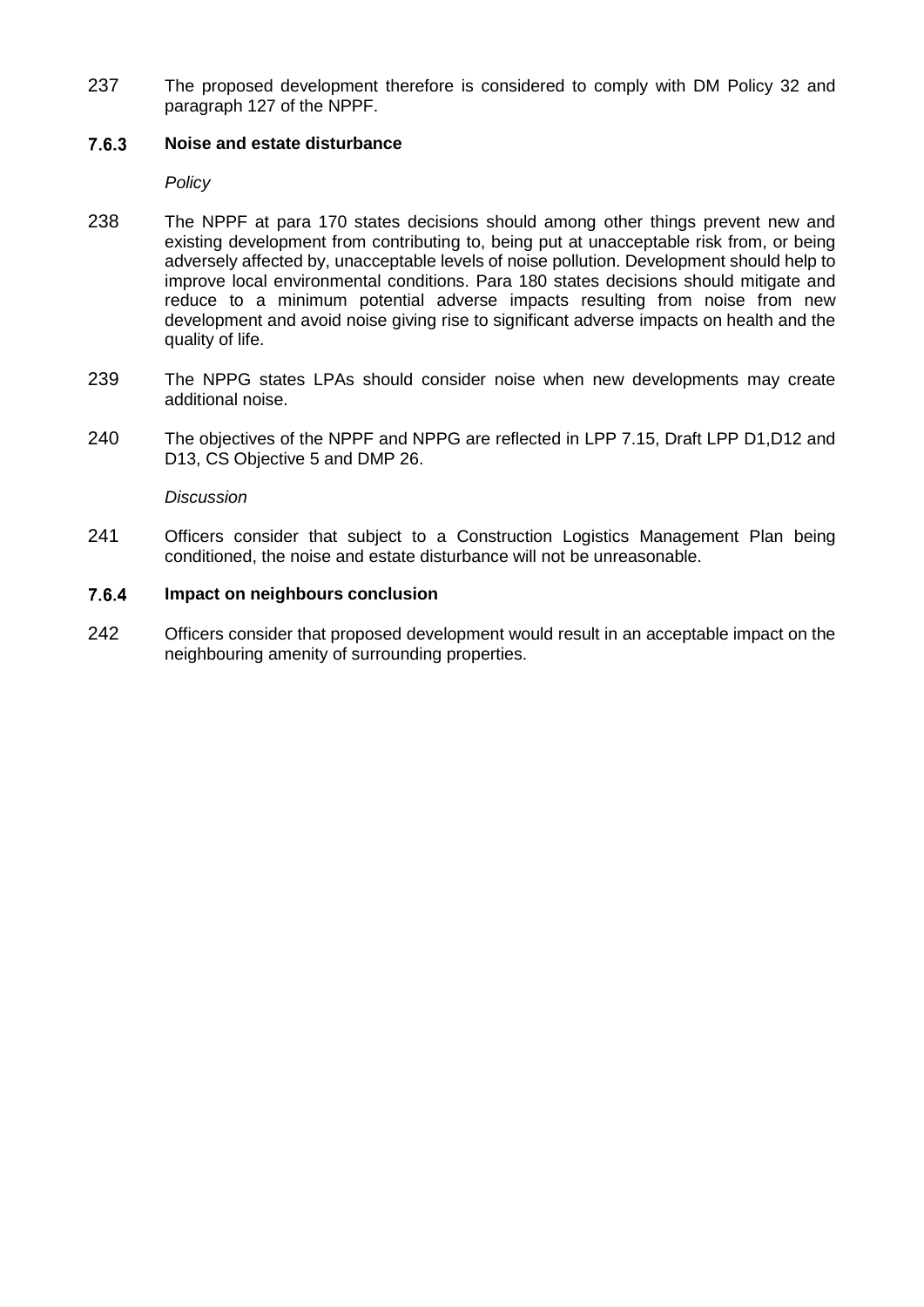237 The proposed development therefore is considered to comply with DM Policy 32 and paragraph 127 of the NPPF.

#### $7.6.3$ **Noise and estate disturbance**

*Policy*

- 238 The NPPF at para 170 states decisions should among other things prevent new and existing development from contributing to, being put at unacceptable risk from, or being adversely affected by, unacceptable levels of noise pollution. Development should help to improve local environmental conditions. Para 180 states decisions should mitigate and reduce to a minimum potential adverse impacts resulting from noise from new development and avoid noise giving rise to significant adverse impacts on health and the quality of life.
- 239 The NPPG states LPAs should consider noise when new developments may create additional noise.
- 240 The objectives of the NPPF and NPPG are reflected in LPP 7.15, Draft LPP D1,D12 and D13, CS Objective 5 and DMP 26.

*Discussion*

241 Officers consider that subject to a Construction Logistics Management Plan being conditioned, the noise and estate disturbance will not be unreasonable.

#### 7.6.4 **Impact on neighbours conclusion**

242 Officers consider that proposed development would result in an acceptable impact on the neighbouring amenity of surrounding properties.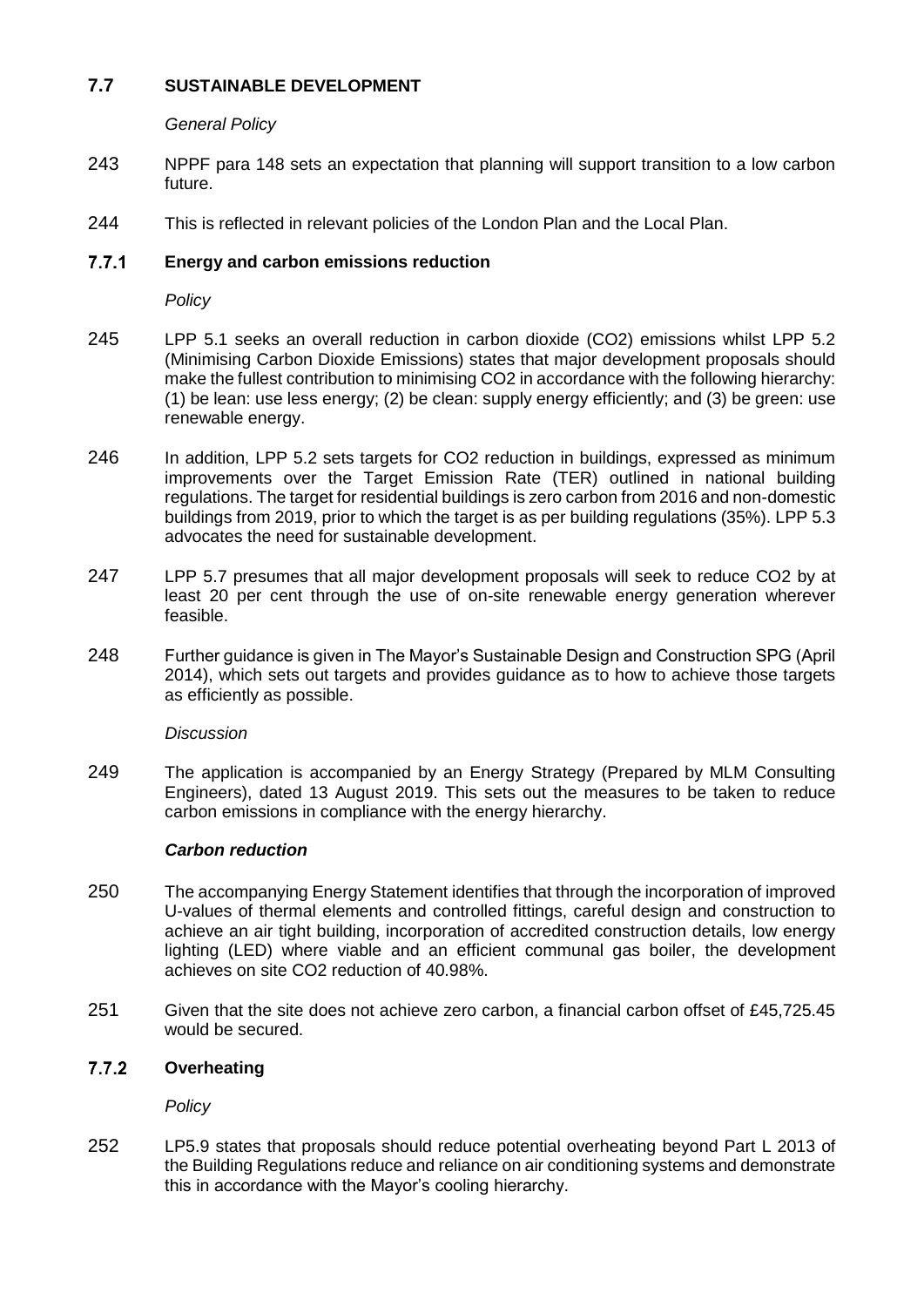# **7.7 SUSTAINABLE DEVELOPMENT**

*General Policy*

- 243 NPPF para 148 sets an expectation that planning will support transition to a low carbon future.
- 244 This is reflected in relevant policies of the London Plan and the Local Plan.

#### $7.7.1$ **Energy and carbon emissions reduction**

*Policy*

- 245 LPP 5.1 seeks an overall reduction in carbon dioxide (CO2) emissions whilst LPP 5.2 (Minimising Carbon Dioxide Emissions) states that major development proposals should make the fullest contribution to minimising CO2 in accordance with the following hierarchy: (1) be lean: use less energy; (2) be clean: supply energy efficiently; and (3) be green: use renewable energy.
- 246 In addition, LPP 5.2 sets targets for CO2 reduction in buildings, expressed as minimum improvements over the Target Emission Rate (TER) outlined in national building regulations. The target for residential buildings is zero carbon from 2016 and non-domestic buildings from 2019, prior to which the target is as per building regulations (35%). LPP 5.3 advocates the need for sustainable development.
- 247 LPP 5.7 presumes that all major development proposals will seek to reduce CO2 by at least 20 per cent through the use of on-site renewable energy generation wherever feasible.
- 248 Further guidance is given in The Mayor's Sustainable Design and Construction SPG (April 2014), which sets out targets and provides guidance as to how to achieve those targets as efficiently as possible.

*Discussion*

249 The application is accompanied by an Energy Strategy (Prepared by MLM Consulting Engineers), dated 13 August 2019. This sets out the measures to be taken to reduce carbon emissions in compliance with the energy hierarchy.

# *Carbon reduction*

- 250 The accompanying Energy Statement identifies that through the incorporation of improved U-values of thermal elements and controlled fittings, careful design and construction to achieve an air tight building, incorporation of accredited construction details, low energy lighting (LED) where viable and an efficient communal gas boiler, the development achieves on site CO2 reduction of 40.98%.
- 251 Given that the site does not achieve zero carbon, a financial carbon offset of £45,725.45 would be secured.

#### $7.7.2$ **Overheating**

*Policy*

252 LP5.9 states that proposals should reduce potential overheating beyond Part L 2013 of the Building Regulations reduce and reliance on air conditioning systems and demonstrate this in accordance with the Mayor's cooling hierarchy.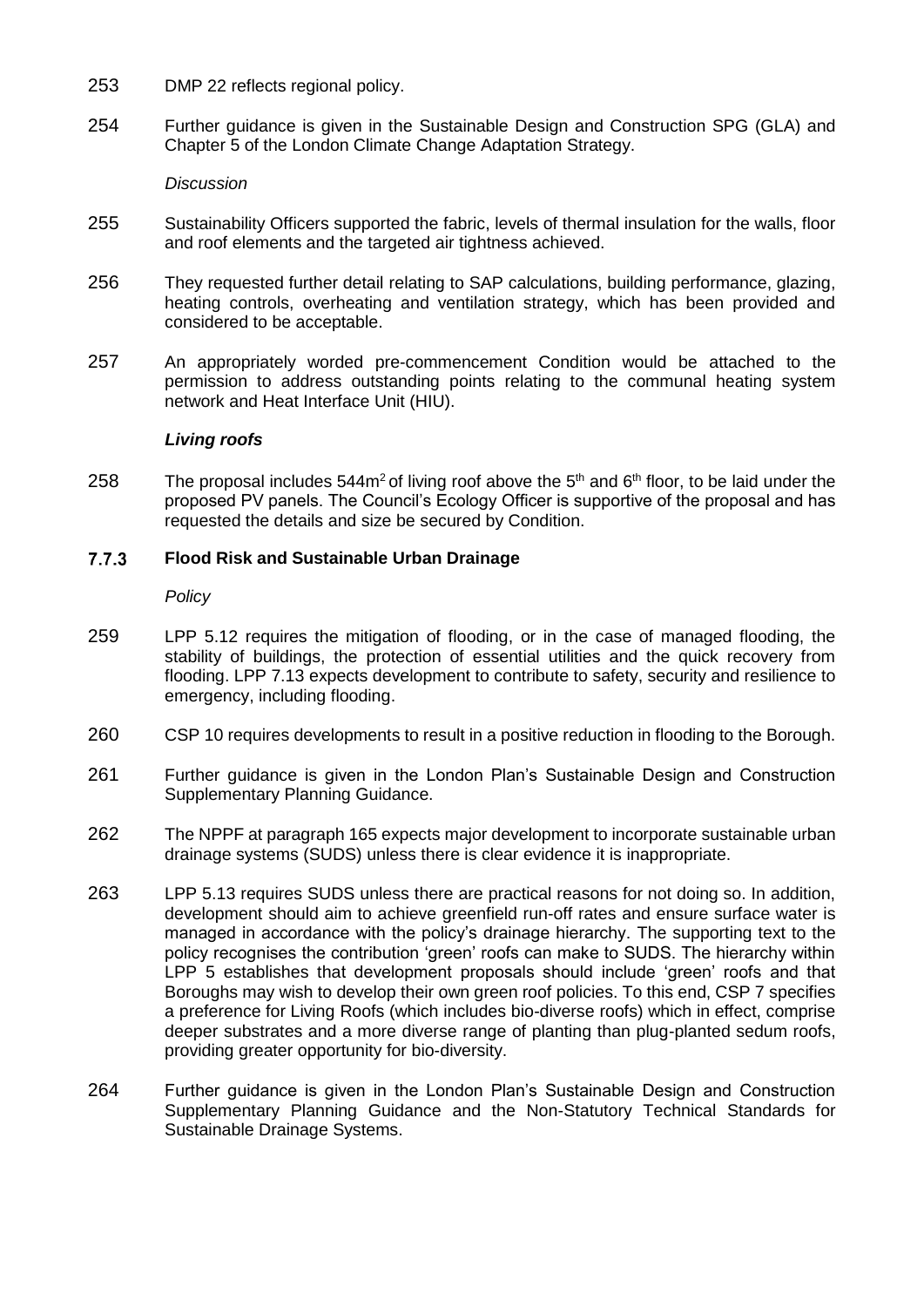- 253 DMP 22 reflects regional policy.
- 254 Further guidance is given in the Sustainable Design and Construction SPG (GLA) and Chapter 5 of the London Climate Change Adaptation Strategy.

### *Discussion*

- 255 Sustainability Officers supported the fabric, levels of thermal insulation for the walls, floor and roof elements and the targeted air tightness achieved.
- 256 They requested further detail relating to SAP calculations, building performance, glazing, heating controls, overheating and ventilation strategy, which has been provided and considered to be acceptable.
- 257 An appropriately worded pre-commencement Condition would be attached to the permission to address outstanding points relating to the communal heating system network and Heat Interface Unit (HIU).

### *Living roofs*

258 The proposal includes  $544m^2$  of living roof above the  $5<sup>th</sup>$  and  $6<sup>th</sup>$  floor, to be laid under the proposed PV panels. The Council's Ecology Officer is supportive of the proposal and has requested the details and size be secured by Condition.

#### $7.7.3$ **Flood Risk and Sustainable Urban Drainage**

*Policy*

- 259 LPP 5.12 requires the mitigation of flooding, or in the case of managed flooding, the stability of buildings, the protection of essential utilities and the quick recovery from flooding. LPP 7.13 expects development to contribute to safety, security and resilience to emergency, including flooding.
- 260 CSP 10 requires developments to result in a positive reduction in flooding to the Borough.
- 261 Further guidance is given in the London Plan's Sustainable Design and Construction Supplementary Planning Guidance.
- 262 The NPPF at paragraph 165 expects major development to incorporate sustainable urban drainage systems (SUDS) unless there is clear evidence it is inappropriate.
- 263 LPP 5.13 requires SUDS unless there are practical reasons for not doing so. In addition, development should aim to achieve greenfield run-off rates and ensure surface water is managed in accordance with the policy's drainage hierarchy. The supporting text to the policy recognises the contribution 'green' roofs can make to SUDS. The hierarchy within LPP 5 establishes that development proposals should include 'green' roofs and that Boroughs may wish to develop their own green roof policies. To this end, CSP 7 specifies a preference for Living Roofs (which includes bio-diverse roofs) which in effect, comprise deeper substrates and a more diverse range of planting than plug-planted sedum roofs, providing greater opportunity for bio-diversity.
- 264 Further guidance is given in the London Plan's Sustainable Design and Construction Supplementary Planning Guidance and the Non-Statutory Technical Standards for Sustainable Drainage Systems.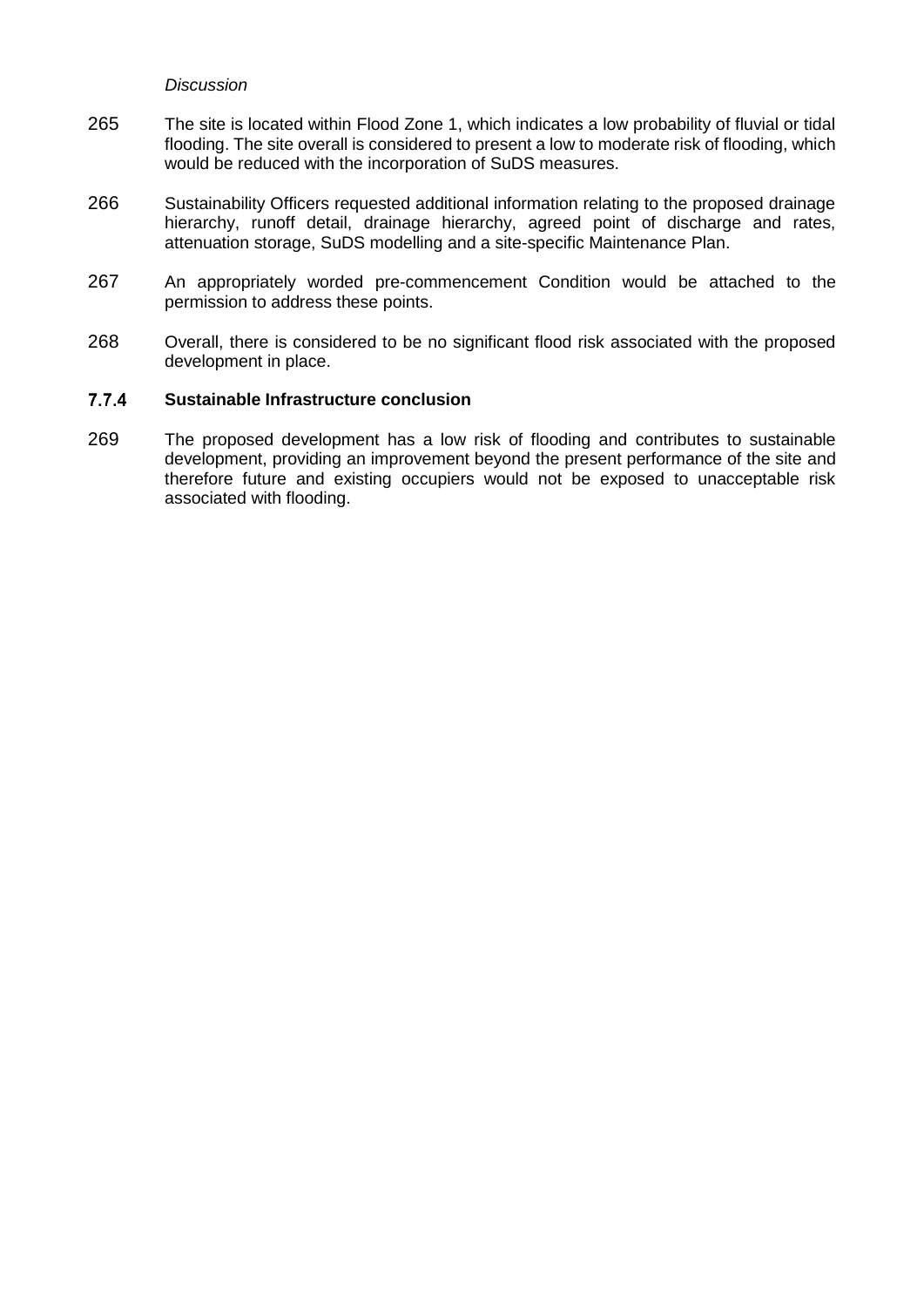#### *Discussion*

- 265 The site is located within Flood Zone 1, which indicates a low probability of fluvial or tidal flooding. The site overall is considered to present a low to moderate risk of flooding, which would be reduced with the incorporation of SuDS measures.
- 266 Sustainability Officers requested additional information relating to the proposed drainage hierarchy, runoff detail, drainage hierarchy, agreed point of discharge and rates, attenuation storage, SuDS modelling and a site-specific Maintenance Plan.
- 267 An appropriately worded pre-commencement Condition would be attached to the permission to address these points.
- 268 Overall, there is considered to be no significant flood risk associated with the proposed development in place.

#### $7.7.4$ **Sustainable Infrastructure conclusion**

269 The proposed development has a low risk of flooding and contributes to sustainable development, providing an improvement beyond the present performance of the site and therefore future and existing occupiers would not be exposed to unacceptable risk associated with flooding.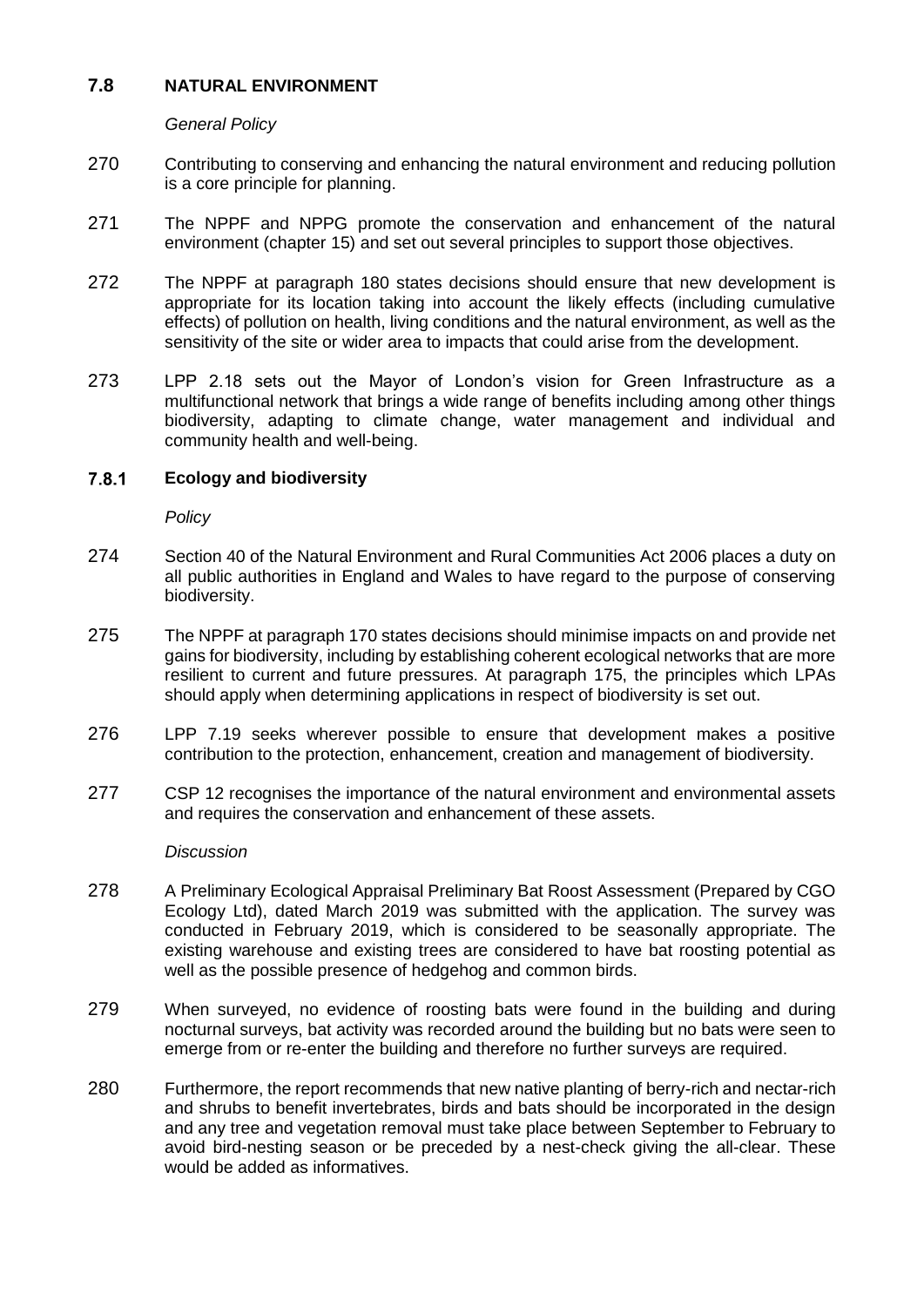## **7.8 NATURAL ENVIRONMENT**

*General Policy*

- 270 Contributing to conserving and enhancing the natural environment and reducing pollution is a core principle for planning.
- 271 The NPPF and NPPG promote the conservation and enhancement of the natural environment (chapter 15) and set out several principles to support those objectives.
- 272 The NPPF at paragraph 180 states decisions should ensure that new development is appropriate for its location taking into account the likely effects (including cumulative effects) of pollution on health, living conditions and the natural environment, as well as the sensitivity of the site or wider area to impacts that could arise from the development.
- 273 LPP 2.18 sets out the Mayor of London's vision for Green Infrastructure as a multifunctional network that brings a wide range of benefits including among other things biodiversity, adapting to climate change, water management and individual and community health and well-being.

#### $7.8.1$ **Ecology and biodiversity**

*Policy*

- 274 Section 40 of the Natural Environment and Rural Communities Act 2006 places a duty on all public authorities in England and Wales to have regard to the purpose of conserving biodiversity.
- 275 The NPPF at paragraph 170 states decisions should minimise impacts on and provide net gains for biodiversity, including by establishing coherent ecological networks that are more resilient to current and future pressures. At paragraph 175, the principles which LPAs should apply when determining applications in respect of biodiversity is set out.
- 276 LPP 7.19 seeks wherever possible to ensure that development makes a positive contribution to the protection, enhancement, creation and management of biodiversity.
- 277 CSP 12 recognises the importance of the natural environment and environmental assets and requires the conservation and enhancement of these assets.

## *Discussion*

- 278 A Preliminary Ecological Appraisal Preliminary Bat Roost Assessment (Prepared by CGO Ecology Ltd), dated March 2019 was submitted with the application. The survey was conducted in February 2019, which is considered to be seasonally appropriate. The existing warehouse and existing trees are considered to have bat roosting potential as well as the possible presence of hedgehog and common birds.
- 279 When surveyed, no evidence of roosting bats were found in the building and during nocturnal surveys, bat activity was recorded around the building but no bats were seen to emerge from or re-enter the building and therefore no further surveys are required.
- 280 Furthermore, the report recommends that new native planting of berry-rich and nectar-rich and shrubs to benefit invertebrates, birds and bats should be incorporated in the design and any tree and vegetation removal must take place between September to February to avoid bird-nesting season or be preceded by a nest-check giving the all-clear. These would be added as informatives.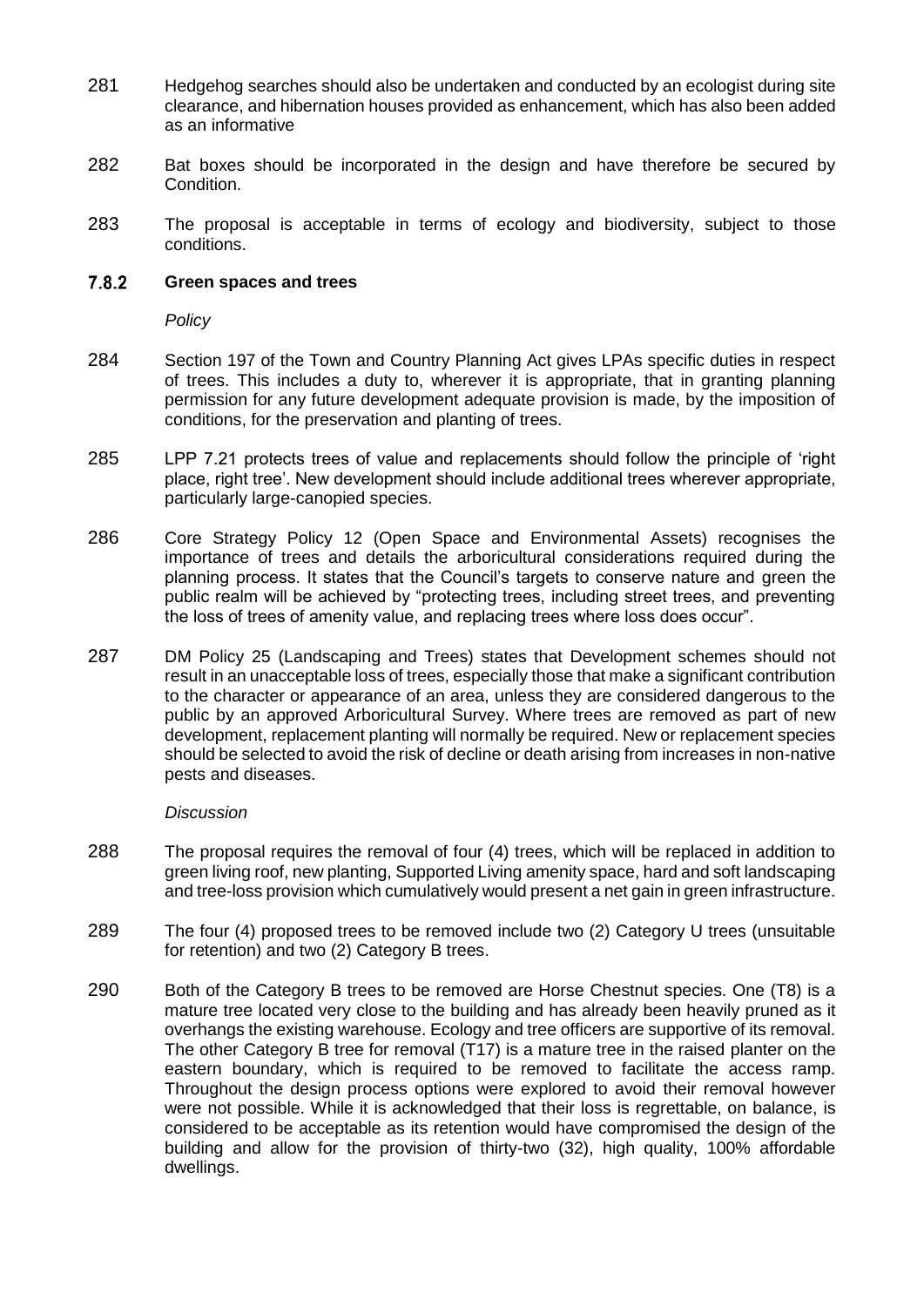- 281 Hedgehog searches should also be undertaken and conducted by an ecologist during site clearance, and hibernation houses provided as enhancement, which has also been added as an informative
- 282 Bat boxes should be incorporated in the design and have therefore be secured by Condition.
- 283 The proposal is acceptable in terms of ecology and biodiversity, subject to those conditions.

#### $7.8.2$ **Green spaces and trees**

*Policy*

- 284 Section 197 of the Town and Country Planning Act gives LPAs specific duties in respect of trees. This includes a duty to, wherever it is appropriate, that in granting planning permission for any future development adequate provision is made, by the imposition of conditions, for the preservation and planting of trees.
- 285 LPP 7.21 protects trees of value and replacements should follow the principle of 'right place, right tree'. New development should include additional trees wherever appropriate, particularly large-canopied species.
- 286 Core Strategy Policy 12 (Open Space and Environmental Assets) recognises the importance of trees and details the arboricultural considerations required during the planning process. It states that the Council's targets to conserve nature and green the public realm will be achieved by "protecting trees, including street trees, and preventing the loss of trees of amenity value, and replacing trees where loss does occur".
- 287 DM Policy 25 (Landscaping and Trees) states that Development schemes should not result in an unacceptable loss of trees, especially those that make a significant contribution to the character or appearance of an area, unless they are considered dangerous to the public by an approved Arboricultural Survey. Where trees are removed as part of new development, replacement planting will normally be required. New or replacement species should be selected to avoid the risk of decline or death arising from increases in non-native pests and diseases.

#### *Discussion*

- 288 The proposal requires the removal of four (4) trees, which will be replaced in addition to green living roof, new planting, Supported Living amenity space, hard and soft landscaping and tree-loss provision which cumulatively would present a net gain in green infrastructure.
- 289 The four (4) proposed trees to be removed include two (2) Category U trees (unsuitable for retention) and two (2) Category B trees.
- 290 Both of the Category B trees to be removed are Horse Chestnut species. One (T8) is a mature tree located very close to the building and has already been heavily pruned as it overhangs the existing warehouse. Ecology and tree officers are supportive of its removal. The other Category B tree for removal (T17) is a mature tree in the raised planter on the eastern boundary, which is required to be removed to facilitate the access ramp. Throughout the design process options were explored to avoid their removal however were not possible. While it is acknowledged that their loss is regrettable, on balance, is considered to be acceptable as its retention would have compromised the design of the building and allow for the provision of thirty-two (32), high quality, 100% affordable dwellings.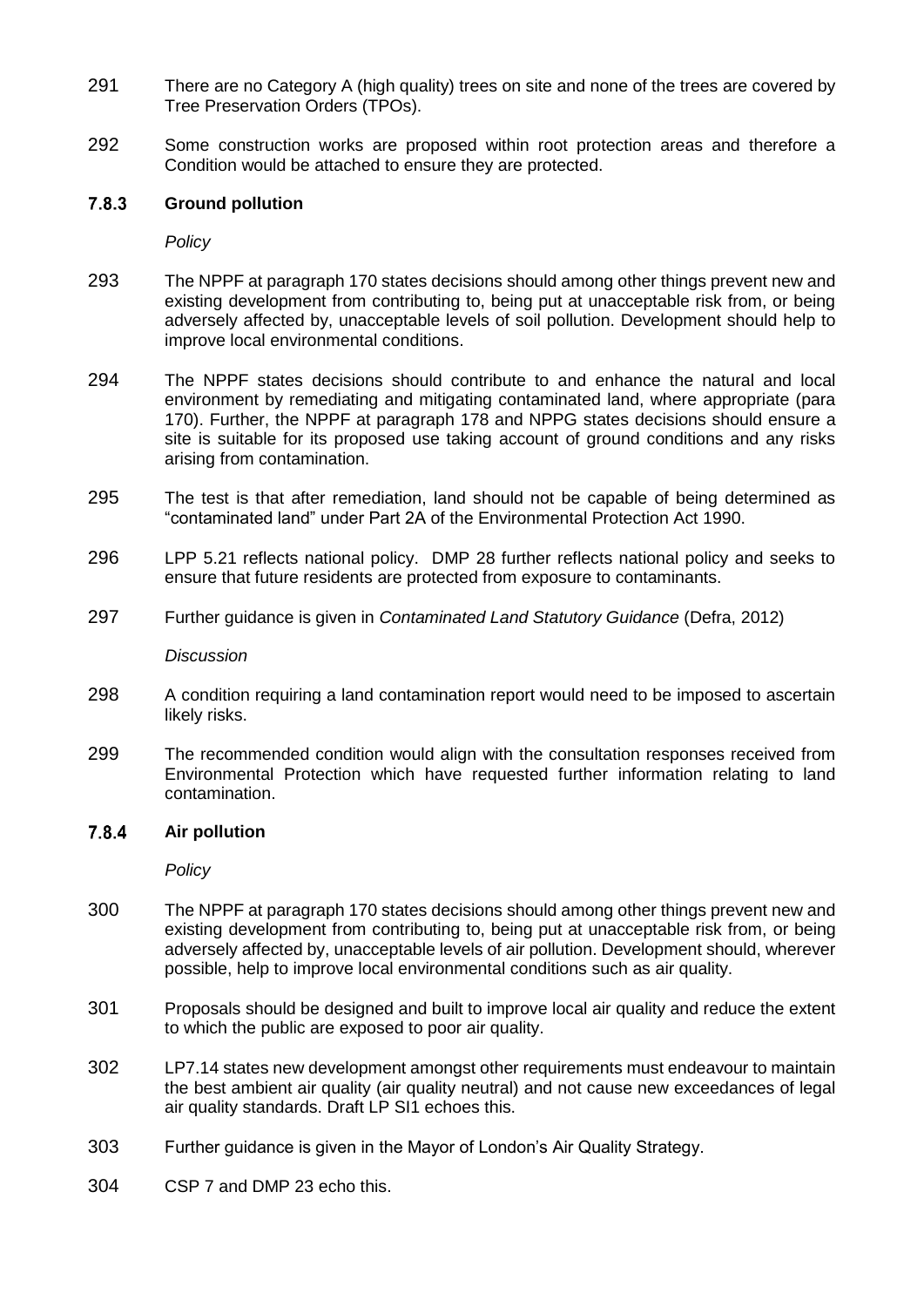- 291 There are no Category A (high quality) trees on site and none of the trees are covered by Tree Preservation Orders (TPOs).
- 292 Some construction works are proposed within root protection areas and therefore a Condition would be attached to ensure they are protected.

#### $7.8.3$ **Ground pollution**

*Policy*

- 293 The NPPF at paragraph 170 states decisions should among other things prevent new and existing development from contributing to, being put at unacceptable risk from, or being adversely affected by, unacceptable levels of soil pollution. Development should help to improve local environmental conditions.
- 294 The NPPF states decisions should contribute to and enhance the natural and local environment by remediating and mitigating contaminated land, where appropriate (para 170). Further, the NPPF at paragraph 178 and NPPG states decisions should ensure a site is suitable for its proposed use taking account of ground conditions and any risks arising from contamination.
- 295 The test is that after remediation, land should not be capable of being determined as "contaminated land" under Part 2A of the Environmental Protection Act 1990.
- 296 LPP 5.21 reflects national policy. DMP 28 further reflects national policy and seeks to ensure that future residents are protected from exposure to contaminants.
- 297 Further guidance is given in *Contaminated Land Statutory Guidance* (Defra, 2012)

*Discussion*

- 298 A condition requiring a land contamination report would need to be imposed to ascertain likely risks.
- 299 The recommended condition would align with the consultation responses received from Environmental Protection which have requested further information relating to land contamination.

#### 7.8.4 **Air pollution**

*Policy*

- 300 The NPPF at paragraph 170 states decisions should among other things prevent new and existing development from contributing to, being put at unacceptable risk from, or being adversely affected by, unacceptable levels of air pollution. Development should, wherever possible, help to improve local environmental conditions such as air quality.
- 301 Proposals should be designed and built to improve local air quality and reduce the extent to which the public are exposed to poor air quality.
- 302 LP7.14 states new development amongst other requirements must endeavour to maintain the best ambient air quality (air quality neutral) and not cause new exceedances of legal air quality standards. Draft LP SI1 echoes this.
- 303 Further guidance is given in the Mayor of London's Air Quality Strategy.
- 304 CSP 7 and DMP 23 echo this.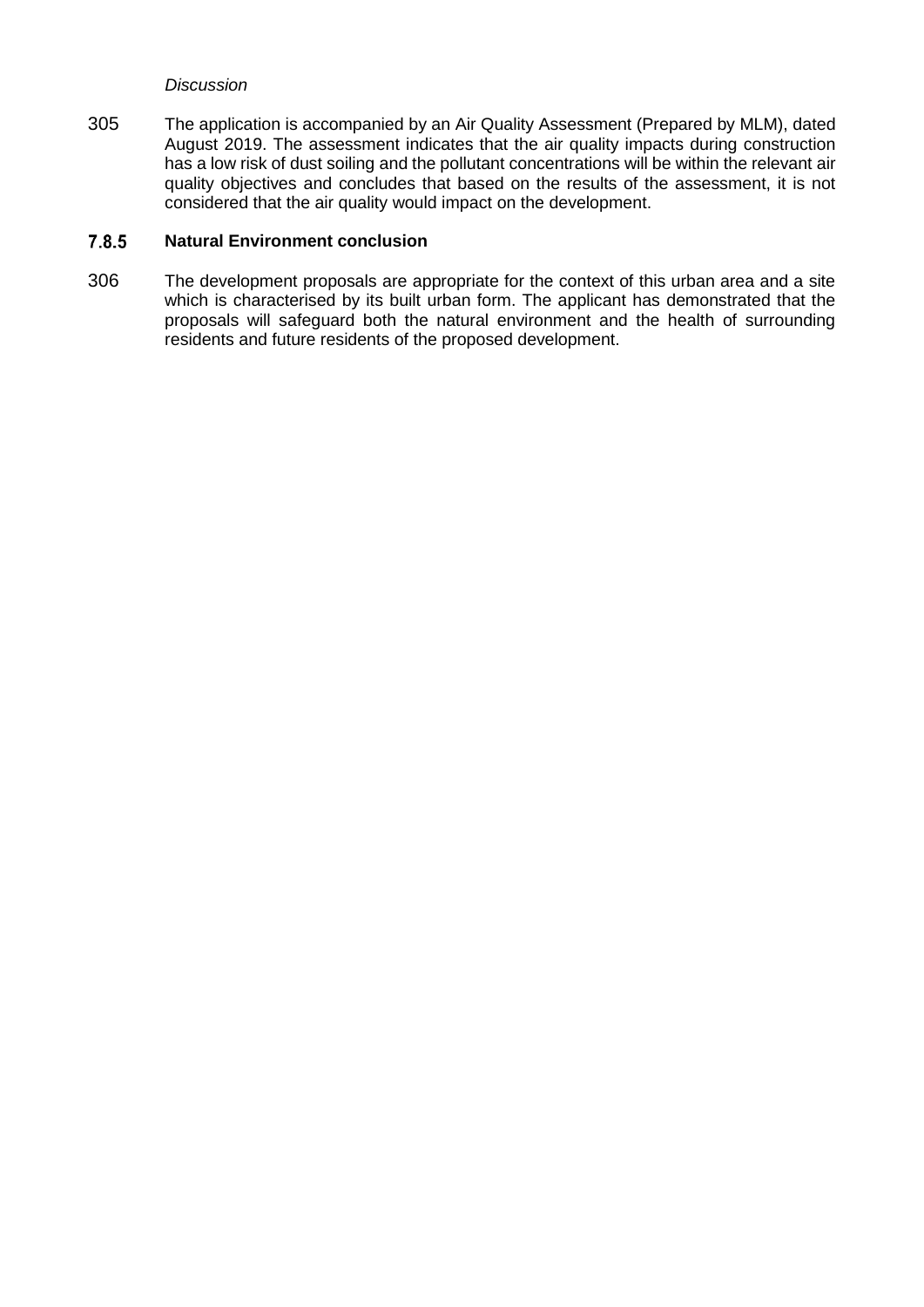### *Discussion*

305 The application is accompanied by an Air Quality Assessment (Prepared by MLM), dated August 2019. The assessment indicates that the air quality impacts during construction has a low risk of dust soiling and the pollutant concentrations will be within the relevant air quality objectives and concludes that based on the results of the assessment, it is not considered that the air quality would impact on the development.

#### $7.8.5$ **Natural Environment conclusion**

306 The development proposals are appropriate for the context of this urban area and a site which is characterised by its built urban form. The applicant has demonstrated that the proposals will safeguard both the natural environment and the health of surrounding residents and future residents of the proposed development.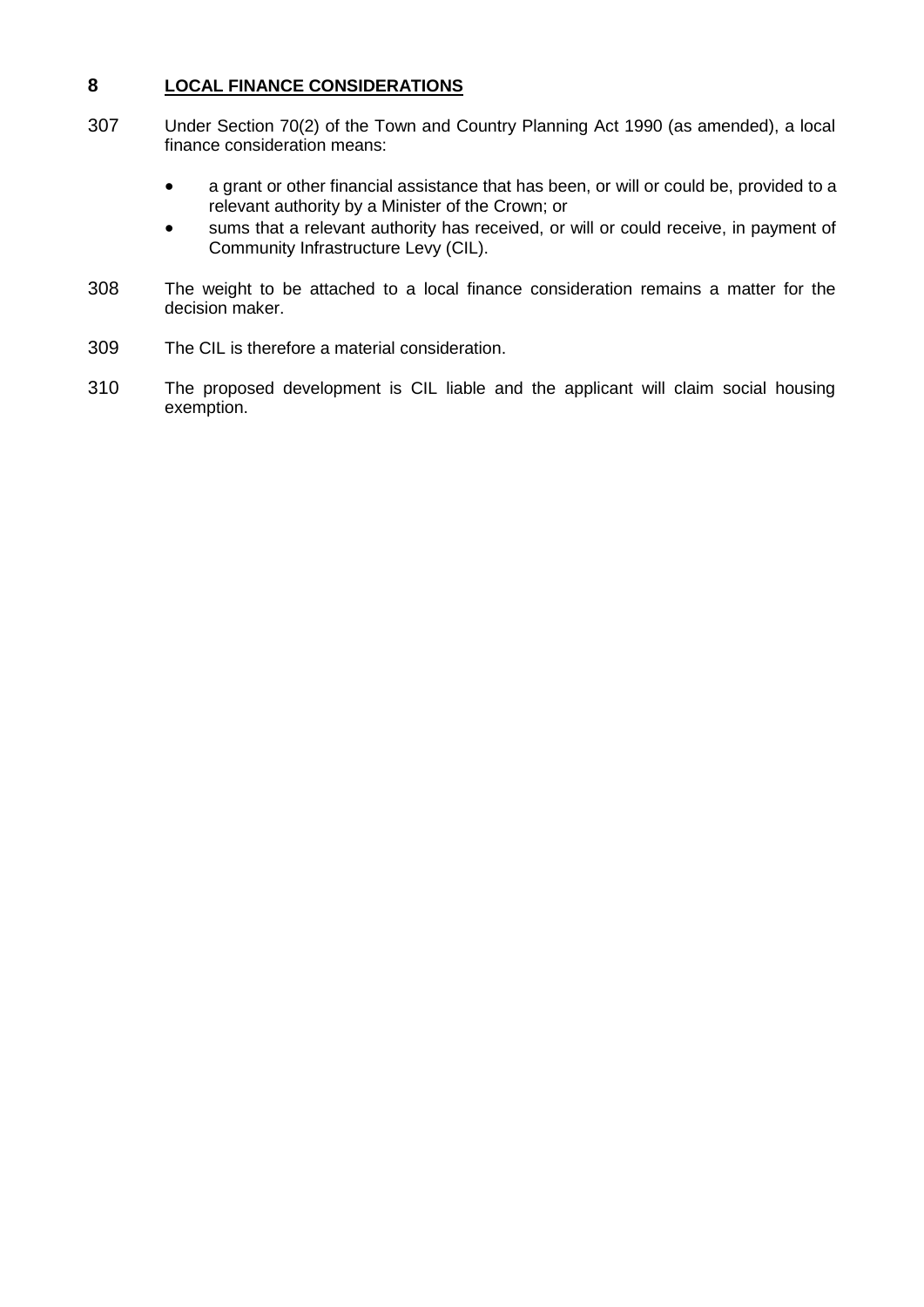## **8 LOCAL FINANCE CONSIDERATIONS**

- 307 Under Section 70(2) of the Town and Country Planning Act 1990 (as amended), a local finance consideration means:
	- a grant or other financial assistance that has been, or will or could be, provided to a relevant authority by a Minister of the Crown; or
	- sums that a relevant authority has received, or will or could receive, in payment of Community Infrastructure Levy (CIL).
- 308 The weight to be attached to a local finance consideration remains a matter for the decision maker.
- 309 The CIL is therefore a material consideration.
- 310 The proposed development is CIL liable and the applicant will claim social housing exemption.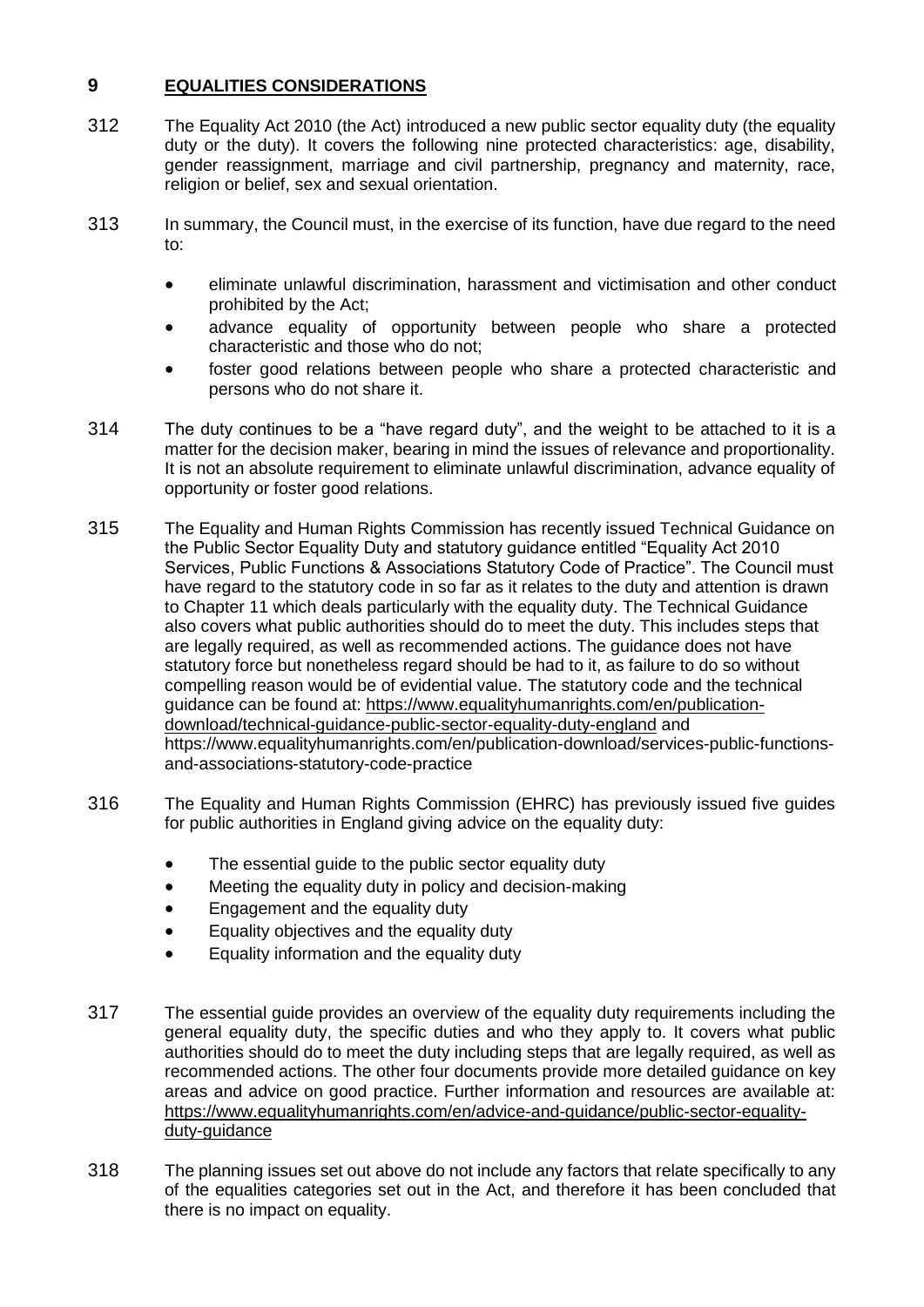# **9 EQUALITIES CONSIDERATIONS**

- 312 The Equality Act 2010 (the Act) introduced a new public sector equality duty (the equality duty or the duty). It covers the following nine protected characteristics: age, disability, gender reassignment, marriage and civil partnership, pregnancy and maternity, race, religion or belief, sex and sexual orientation.
- 313 In summary, the Council must, in the exercise of its function, have due regard to the need to:
	- eliminate unlawful discrimination, harassment and victimisation and other conduct prohibited by the Act;
	- advance equality of opportunity between people who share a protected characteristic and those who do not;
	- foster good relations between people who share a protected characteristic and persons who do not share it.
- 314 The duty continues to be a "have regard duty", and the weight to be attached to it is a matter for the decision maker, bearing in mind the issues of relevance and proportionality. It is not an absolute requirement to eliminate unlawful discrimination, advance equality of opportunity or foster good relations.
- 315 The Equality and Human Rights Commission has recently issued Technical Guidance on the Public Sector Equality Duty and statutory guidance entitled "Equality Act 2010 Services, Public Functions & Associations Statutory Code of Practice". The Council must have regard to the statutory code in so far as it relates to the duty and attention is drawn to Chapter 11 which deals particularly with the equality duty. The Technical Guidance also covers what public authorities should do to meet the duty. This includes steps that are legally required, as well as recommended actions. The guidance does not have statutory force but nonetheless regard should be had to it, as failure to do so without compelling reason would be of evidential value. The statutory code and the technical guidance can be found at: [https://www.equalityhumanrights.com/en/publication](https://www.equalityhumanrights.com/en/publication-download/technical-guidance-public-sector-equality-duty-england)[download/technical-guidance-public-sector-equality-duty-england](https://www.equalityhumanrights.com/en/publication-download/technical-guidance-public-sector-equality-duty-england) and https://www.equalityhumanrights.com/en/publication-download/services-public-functionsand-associations-statutory-code-practice
- 316 The Equality and Human Rights Commission (EHRC) has previously issued five guides for public authorities in England giving advice on the equality duty:
	- The essential quide to the public sector equality duty
	- Meeting the equality duty in policy and decision-making
	- Engagement and the equality duty
	- **Equality objectives and the equality duty**
	- Equality information and the equality duty
- 317 The essential guide provides an overview of the equality duty requirements including the general equality duty, the specific duties and who they apply to. It covers what public authorities should do to meet the duty including steps that are legally required, as well as recommended actions. The other four documents provide more detailed guidance on key areas and advice on good practice. Further information and resources are available at: [https://www.equalityhumanrights.com/en/advice-and-guidance/public-sector-equality](https://www.equalityhumanrights.com/en/advice-and-guidance/public-sector-equality-duty-guidance)duty-quidance
- 318 The planning issues set out above do not include any factors that relate specifically to any of the equalities categories set out in the Act, and therefore it has been concluded that there is no impact on equality.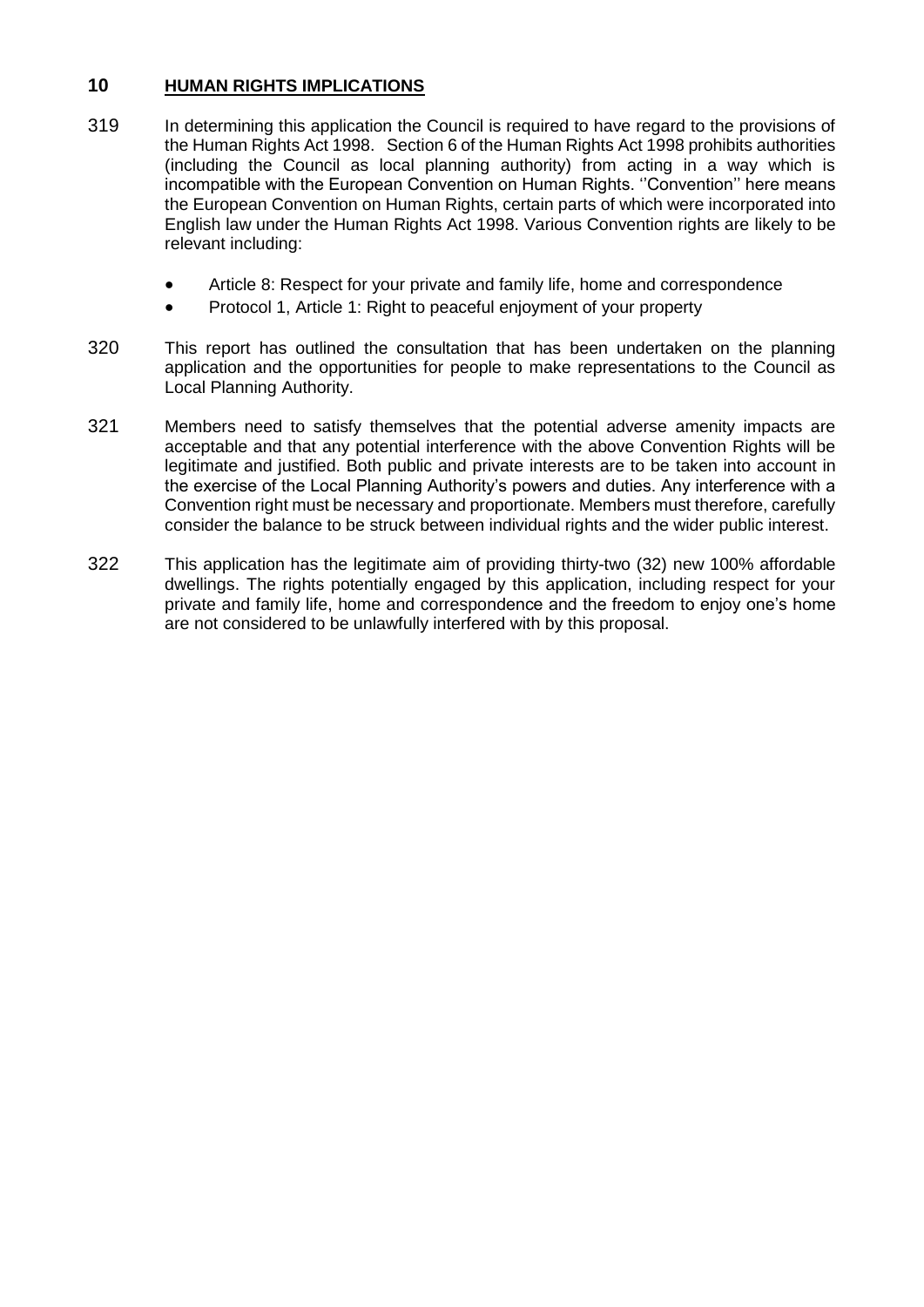# **10 HUMAN RIGHTS IMPLICATIONS**

- 319 In determining this application the Council is required to have regard to the provisions of the Human Rights Act 1998. Section 6 of the Human Rights Act 1998 prohibits authorities (including the Council as local planning authority) from acting in a way which is incompatible with the European Convention on Human Rights. ''Convention'' here means the European Convention on Human Rights, certain parts of which were incorporated into English law under the Human Rights Act 1998. Various Convention rights are likely to be relevant including:
	- Article 8: Respect for your private and family life, home and correspondence
	- Protocol 1, Article 1: Right to peaceful enjoyment of your property
- 320 This report has outlined the consultation that has been undertaken on the planning application and the opportunities for people to make representations to the Council as Local Planning Authority.
- 321 Members need to satisfy themselves that the potential adverse amenity impacts are acceptable and that any potential interference with the above Convention Rights will be legitimate and justified. Both public and private interests are to be taken into account in the exercise of the Local Planning Authority's powers and duties. Any interference with a Convention right must be necessary and proportionate. Members must therefore, carefully consider the balance to be struck between individual rights and the wider public interest.
- 322 This application has the legitimate aim of providing thirty-two (32) new 100% affordable dwellings. The rights potentially engaged by this application, including respect for your private and family life, home and correspondence and the freedom to enjoy one's home are not considered to be unlawfully interfered with by this proposal.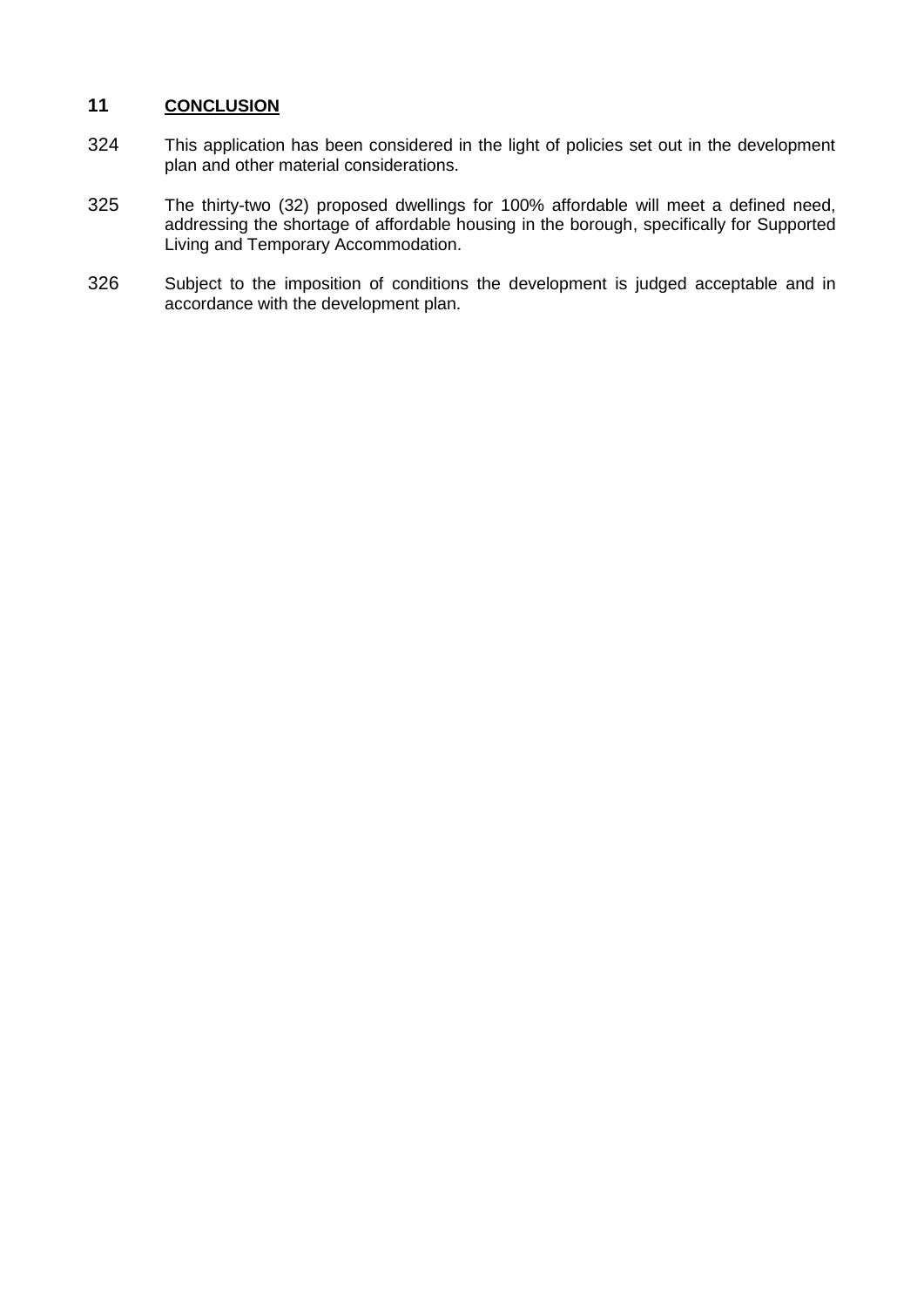# **11 CONCLUSION**

- 324 This application has been considered in the light of policies set out in the development plan and other material considerations.
- 325 The thirty-two (32) proposed dwellings for 100% affordable will meet a defined need, addressing the shortage of affordable housing in the borough, specifically for Supported Living and Temporary Accommodation.
- 326 Subject to the imposition of conditions the development is judged acceptable and in accordance with the development plan.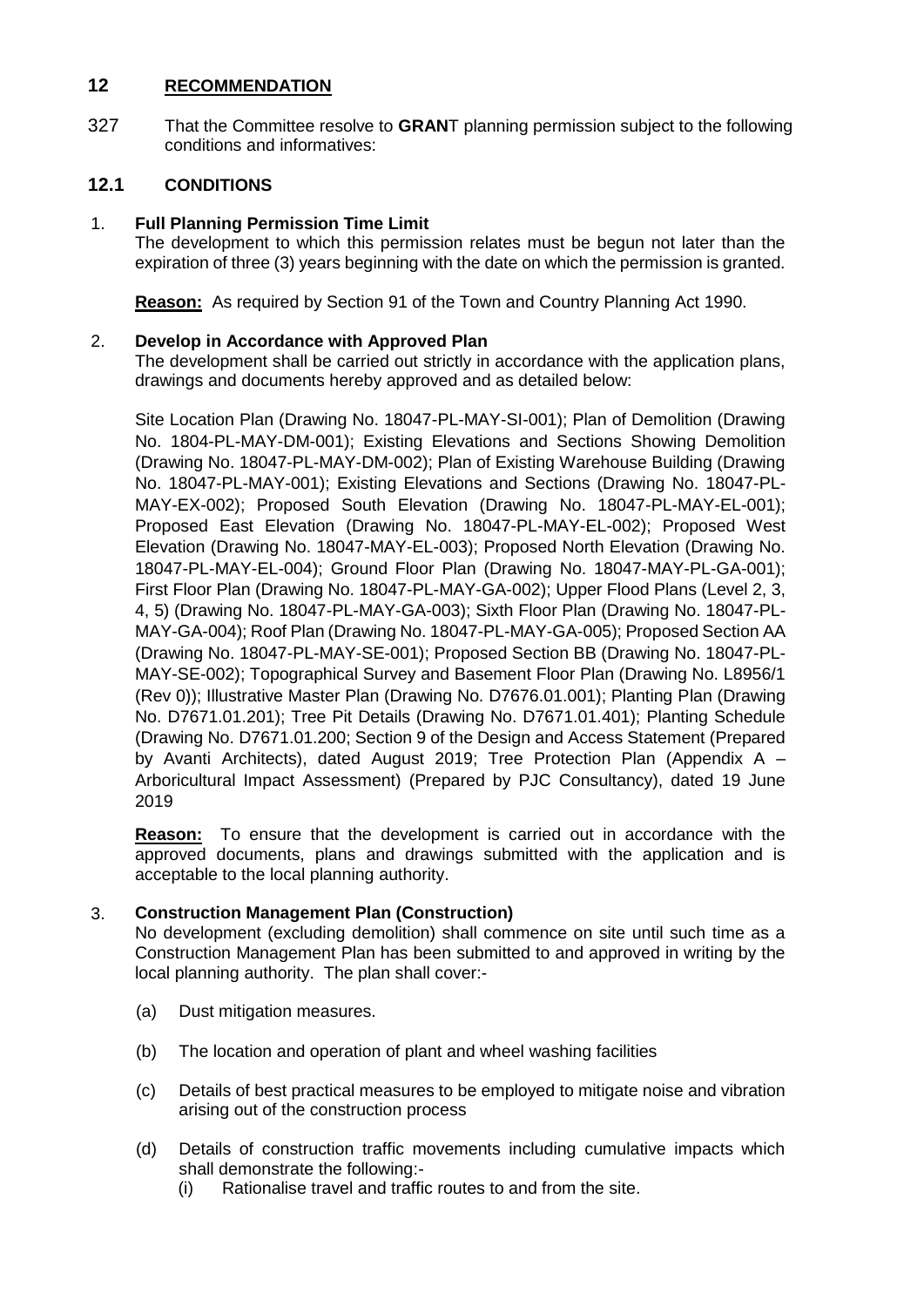## **12 RECOMMENDATION**

327 That the Committee resolve to **GRAN**T planning permission subject to the following conditions and informatives:

# **12.1 CONDITIONS**

# 1. **Full Planning Permission Time Limit**

The development to which this permission relates must be begun not later than the expiration of three (3) years beginning with the date on which the permission is granted.

**Reason:** As required by Section 91 of the Town and Country Planning Act 1990.

## 2. **Develop in Accordance with Approved Plan**

The development shall be carried out strictly in accordance with the application plans, drawings and documents hereby approved and as detailed below:

Site Location Plan (Drawing No. 18047-PL-MAY-SI-001); Plan of Demolition (Drawing No. 1804-PL-MAY-DM-001); Existing Elevations and Sections Showing Demolition (Drawing No. 18047-PL-MAY-DM-002); Plan of Existing Warehouse Building (Drawing No. 18047-PL-MAY-001); Existing Elevations and Sections (Drawing No. 18047-PL-MAY-EX-002); Proposed South Elevation (Drawing No. 18047-PL-MAY-EL-001); Proposed East Elevation (Drawing No. 18047-PL-MAY-EL-002); Proposed West Elevation (Drawing No. 18047-MAY-EL-003); Proposed North Elevation (Drawing No. 18047-PL-MAY-EL-004); Ground Floor Plan (Drawing No. 18047-MAY-PL-GA-001); First Floor Plan (Drawing No. 18047-PL-MAY-GA-002); Upper Flood Plans (Level 2, 3, 4, 5) (Drawing No. 18047-PL-MAY-GA-003); Sixth Floor Plan (Drawing No. 18047-PL-MAY-GA-004); Roof Plan (Drawing No. 18047-PL-MAY-GA-005); Proposed Section AA (Drawing No. 18047-PL-MAY-SE-001); Proposed Section BB (Drawing No. 18047-PL-MAY-SE-002); Topographical Survey and Basement Floor Plan (Drawing No. L8956/1 (Rev 0)); Illustrative Master Plan (Drawing No. D7676.01.001); Planting Plan (Drawing No. D7671.01.201); Tree Pit Details (Drawing No. D7671.01.401); Planting Schedule (Drawing No. D7671.01.200; Section 9 of the Design and Access Statement (Prepared by Avanti Architects), dated August 2019; Tree Protection Plan (Appendix A – Arboricultural Impact Assessment) (Prepared by PJC Consultancy), dated 19 June 2019

**Reason:** To ensure that the development is carried out in accordance with the approved documents, plans and drawings submitted with the application and is acceptable to the local planning authority.

# 3. **Construction Management Plan (Construction)**

No development (excluding demolition) shall commence on site until such time as a Construction Management Plan has been submitted to and approved in writing by the local planning authority. The plan shall cover:-

- (a) Dust mitigation measures.
- (b) The location and operation of plant and wheel washing facilities
- (c) Details of best practical measures to be employed to mitigate noise and vibration arising out of the construction process
- (d) Details of construction traffic movements including cumulative impacts which shall demonstrate the following:-
	- (i) Rationalise travel and traffic routes to and from the site.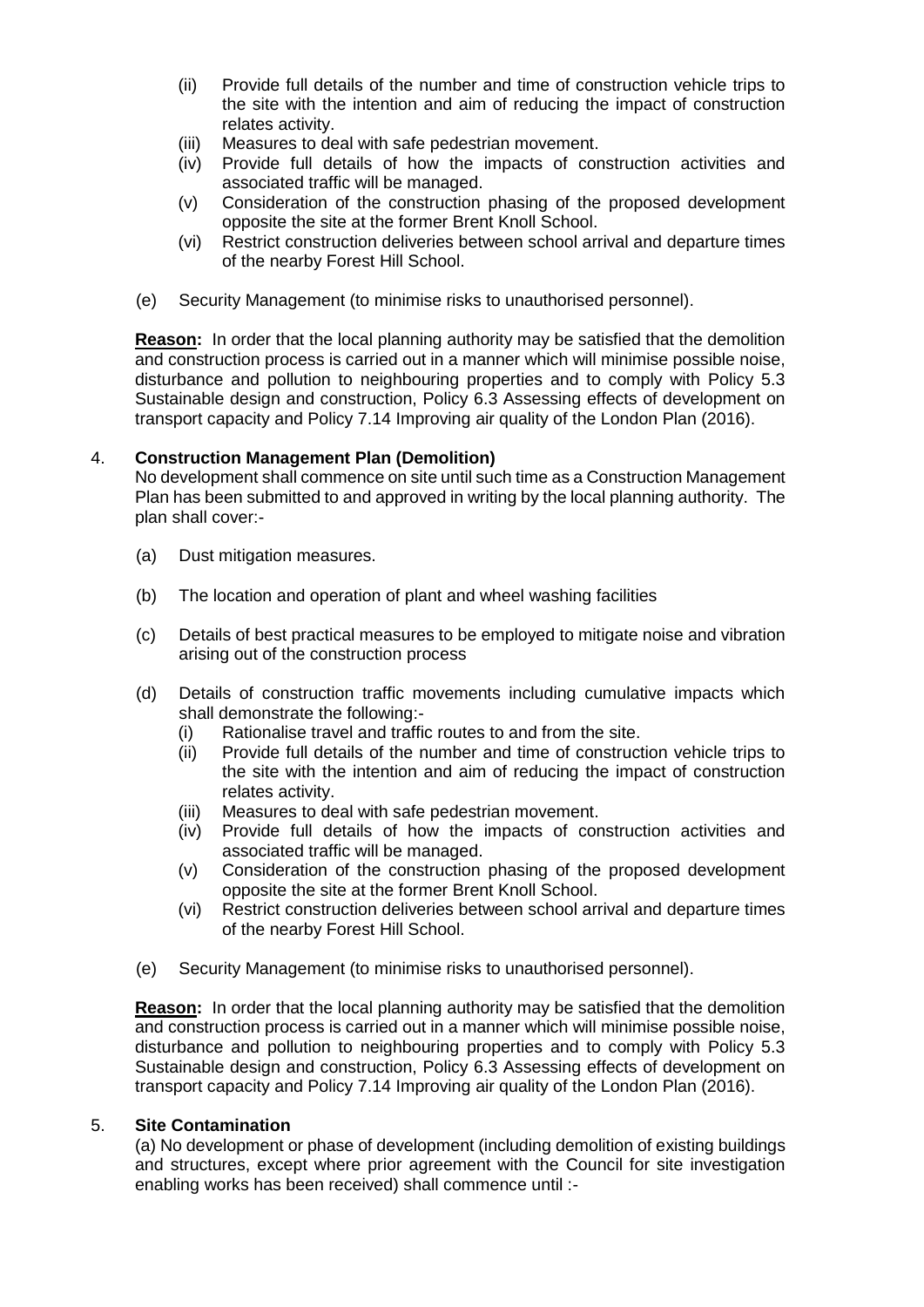- (ii) Provide full details of the number and time of construction vehicle trips to the site with the intention and aim of reducing the impact of construction relates activity.
- (iii) Measures to deal with safe pedestrian movement.
- (iv) Provide full details of how the impacts of construction activities and associated traffic will be managed.
- (v) Consideration of the construction phasing of the proposed development opposite the site at the former Brent Knoll School.
- (vi) Restrict construction deliveries between school arrival and departure times of the nearby Forest Hill School.
- (e) Security Management (to minimise risks to unauthorised personnel).

**Reason:** In order that the local planning authority may be satisfied that the demolition and construction process is carried out in a manner which will minimise possible noise, disturbance and pollution to neighbouring properties and to comply with Policy 5.3 Sustainable design and construction, Policy 6.3 Assessing effects of development on transport capacity and Policy 7.14 Improving air quality of the London Plan (2016).

### 4. **Construction Management Plan (Demolition)**

No development shall commence on site until such time as a Construction Management Plan has been submitted to and approved in writing by the local planning authority. The plan shall cover:-

- (a) Dust mitigation measures.
- (b) The location and operation of plant and wheel washing facilities
- (c) Details of best practical measures to be employed to mitigate noise and vibration arising out of the construction process
- (d) Details of construction traffic movements including cumulative impacts which shall demonstrate the following:-
	- (i) Rationalise travel and traffic routes to and from the site.
	- (ii) Provide full details of the number and time of construction vehicle trips to the site with the intention and aim of reducing the impact of construction relates activity.
	- (iii) Measures to deal with safe pedestrian movement.
	- (iv) Provide full details of how the impacts of construction activities and associated traffic will be managed.
	- (v) Consideration of the construction phasing of the proposed development opposite the site at the former Brent Knoll School.
	- (vi) Restrict construction deliveries between school arrival and departure times of the nearby Forest Hill School.
- (e) Security Management (to minimise risks to unauthorised personnel).

**Reason:** In order that the local planning authority may be satisfied that the demolition and construction process is carried out in a manner which will minimise possible noise, disturbance and pollution to neighbouring properties and to comply with Policy 5.3 Sustainable design and construction, Policy 6.3 Assessing effects of development on transport capacity and Policy 7.14 Improving air quality of the London Plan (2016).

#### 5. **Site Contamination**

(a) No development or phase of development (including demolition of existing buildings and structures, except where prior agreement with the Council for site investigation enabling works has been received) shall commence until :-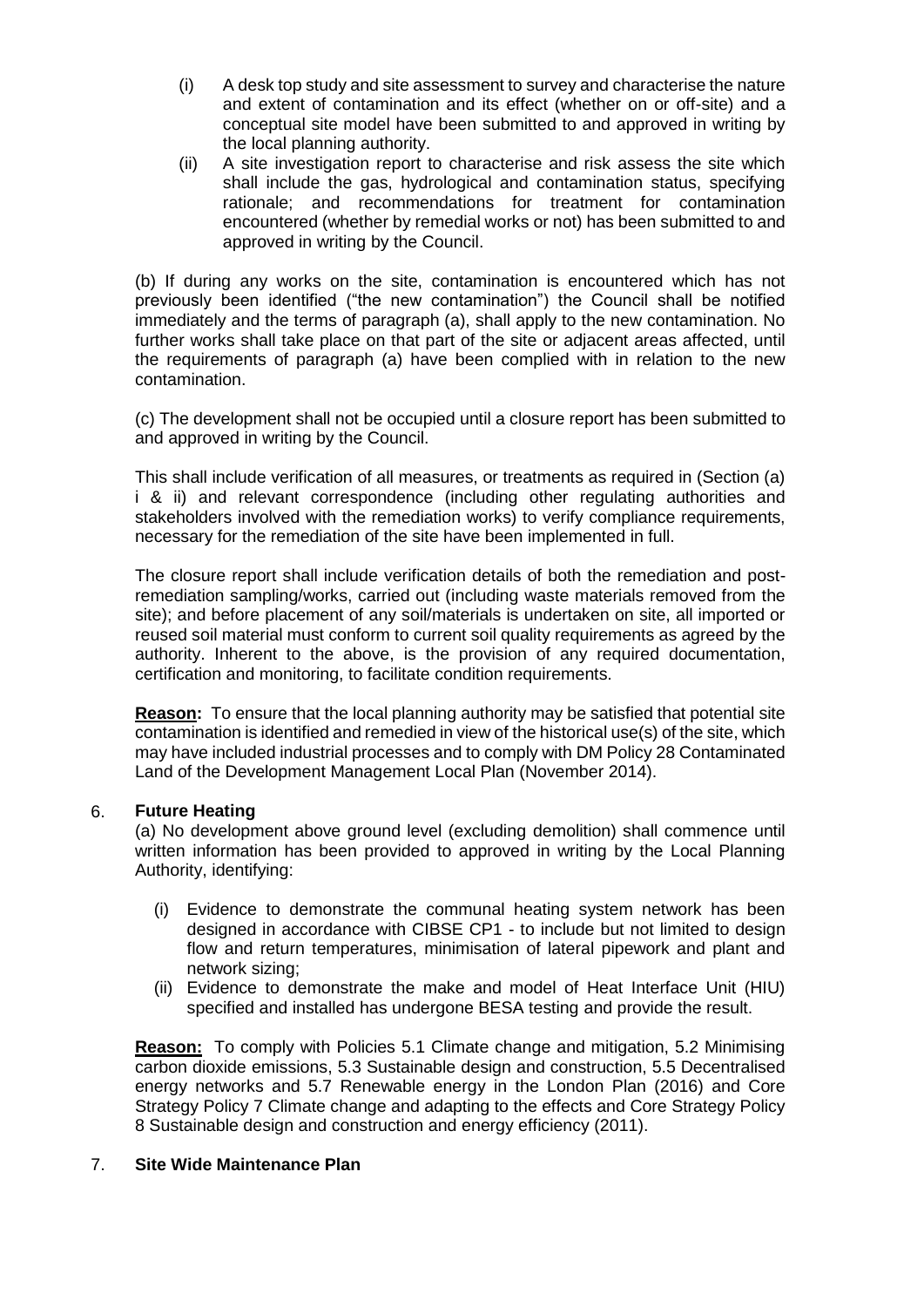- (i) A desk top study and site assessment to survey and characterise the nature and extent of contamination and its effect (whether on or off-site) and a conceptual site model have been submitted to and approved in writing by the local planning authority.
- (ii) A site investigation report to characterise and risk assess the site which shall include the gas, hydrological and contamination status, specifying rationale; and recommendations for treatment for contamination encountered (whether by remedial works or not) has been submitted to and approved in writing by the Council.

(b) If during any works on the site, contamination is encountered which has not previously been identified ("the new contamination") the Council shall be notified immediately and the terms of paragraph (a), shall apply to the new contamination. No further works shall take place on that part of the site or adjacent areas affected, until the requirements of paragraph (a) have been complied with in relation to the new contamination.

(c) The development shall not be occupied until a closure report has been submitted to and approved in writing by the Council.

This shall include verification of all measures, or treatments as required in (Section (a) i & ii) and relevant correspondence (including other regulating authorities and stakeholders involved with the remediation works) to verify compliance requirements, necessary for the remediation of the site have been implemented in full.

The closure report shall include verification details of both the remediation and postremediation sampling/works, carried out (including waste materials removed from the site); and before placement of any soil/materials is undertaken on site, all imported or reused soil material must conform to current soil quality requirements as agreed by the authority. Inherent to the above, is the provision of any required documentation, certification and monitoring, to facilitate condition requirements.

**Reason:** To ensure that the local planning authority may be satisfied that potential site contamination is identified and remedied in view of the historical use(s) of the site, which may have included industrial processes and to comply with DM Policy 28 Contaminated Land of the Development Management Local Plan (November 2014).

## 6. **Future Heating**

(a) No development above ground level (excluding demolition) shall commence until written information has been provided to approved in writing by the Local Planning Authority, identifying:

- (i) Evidence to demonstrate the communal heating system network has been designed in accordance with CIBSE CP1 - to include but not limited to design flow and return temperatures, minimisation of lateral pipework and plant and network sizing;
- (ii) Evidence to demonstrate the make and model of Heat Interface Unit (HIU) specified and installed has undergone BESA testing and provide the result.

**Reason:** To comply with Policies 5.1 Climate change and mitigation, 5.2 Minimising carbon dioxide emissions, 5.3 Sustainable design and construction, 5.5 Decentralised energy networks and 5.7 Renewable energy in the London Plan (2016) and Core Strategy Policy 7 Climate change and adapting to the effects and Core Strategy Policy 8 Sustainable design and construction and energy efficiency (2011).

#### 7. **Site Wide Maintenance Plan**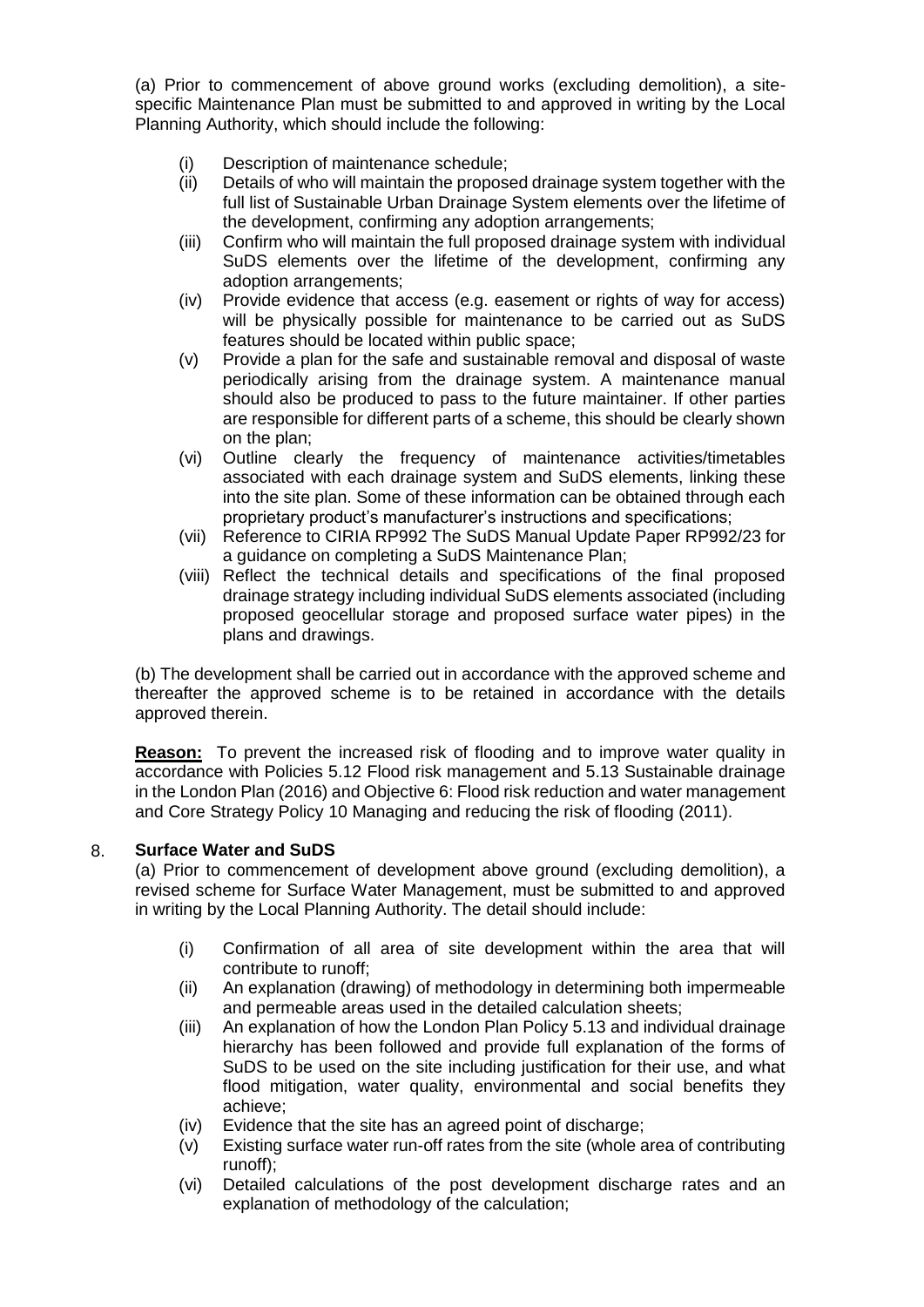(a) Prior to commencement of above ground works (excluding demolition), a sitespecific Maintenance Plan must be submitted to and approved in writing by the Local Planning Authority, which should include the following:

- (i) Description of maintenance schedule;<br>(ii) Details of who will maintain the propose
- Details of who will maintain the proposed drainage system together with the full list of Sustainable Urban Drainage System elements over the lifetime of the development, confirming any adoption arrangements;
- (iii) Confirm who will maintain the full proposed drainage system with individual SuDS elements over the lifetime of the development, confirming any adoption arrangements;
- (iv) Provide evidence that access (e.g. easement or rights of way for access) will be physically possible for maintenance to be carried out as SuDS features should be located within public space;
- (v) Provide a plan for the safe and sustainable removal and disposal of waste periodically arising from the drainage system. A maintenance manual should also be produced to pass to the future maintainer. If other parties are responsible for different parts of a scheme, this should be clearly shown on the plan;
- (vi) Outline clearly the frequency of maintenance activities/timetables associated with each drainage system and SuDS elements, linking these into the site plan. Some of these information can be obtained through each proprietary product's manufacturer's instructions and specifications;
- (vii) Reference to CIRIA RP992 The SuDS Manual Update Paper RP992/23 for a guidance on completing a SuDS Maintenance Plan;
- (viii) Reflect the technical details and specifications of the final proposed drainage strategy including individual SuDS elements associated (including proposed geocellular storage and proposed surface water pipes) in the plans and drawings.

(b) The development shall be carried out in accordance with the approved scheme and thereafter the approved scheme is to be retained in accordance with the details approved therein.

**Reason:** To prevent the increased risk of flooding and to improve water quality in accordance with Policies 5.12 Flood risk management and 5.13 Sustainable drainage in the London Plan (2016) and Objective 6: Flood risk reduction and water management and Core Strategy Policy 10 Managing and reducing the risk of flooding (2011).

## 8. **Surface Water and SuDS**

(a) Prior to commencement of development above ground (excluding demolition), a revised scheme for Surface Water Management, must be submitted to and approved in writing by the Local Planning Authority. The detail should include:

- (i) Confirmation of all area of site development within the area that will contribute to runoff;
- (ii) An explanation (drawing) of methodology in determining both impermeable and permeable areas used in the detailed calculation sheets;
- (iii) An explanation of how the London Plan Policy 5.13 and individual drainage hierarchy has been followed and provide full explanation of the forms of SuDS to be used on the site including justification for their use, and what flood mitigation, water quality, environmental and social benefits they achieve;
- (iv) Evidence that the site has an agreed point of discharge;
- (v) Existing surface water run-off rates from the site (whole area of contributing runoff);
- (vi) Detailed calculations of the post development discharge rates and an explanation of methodology of the calculation;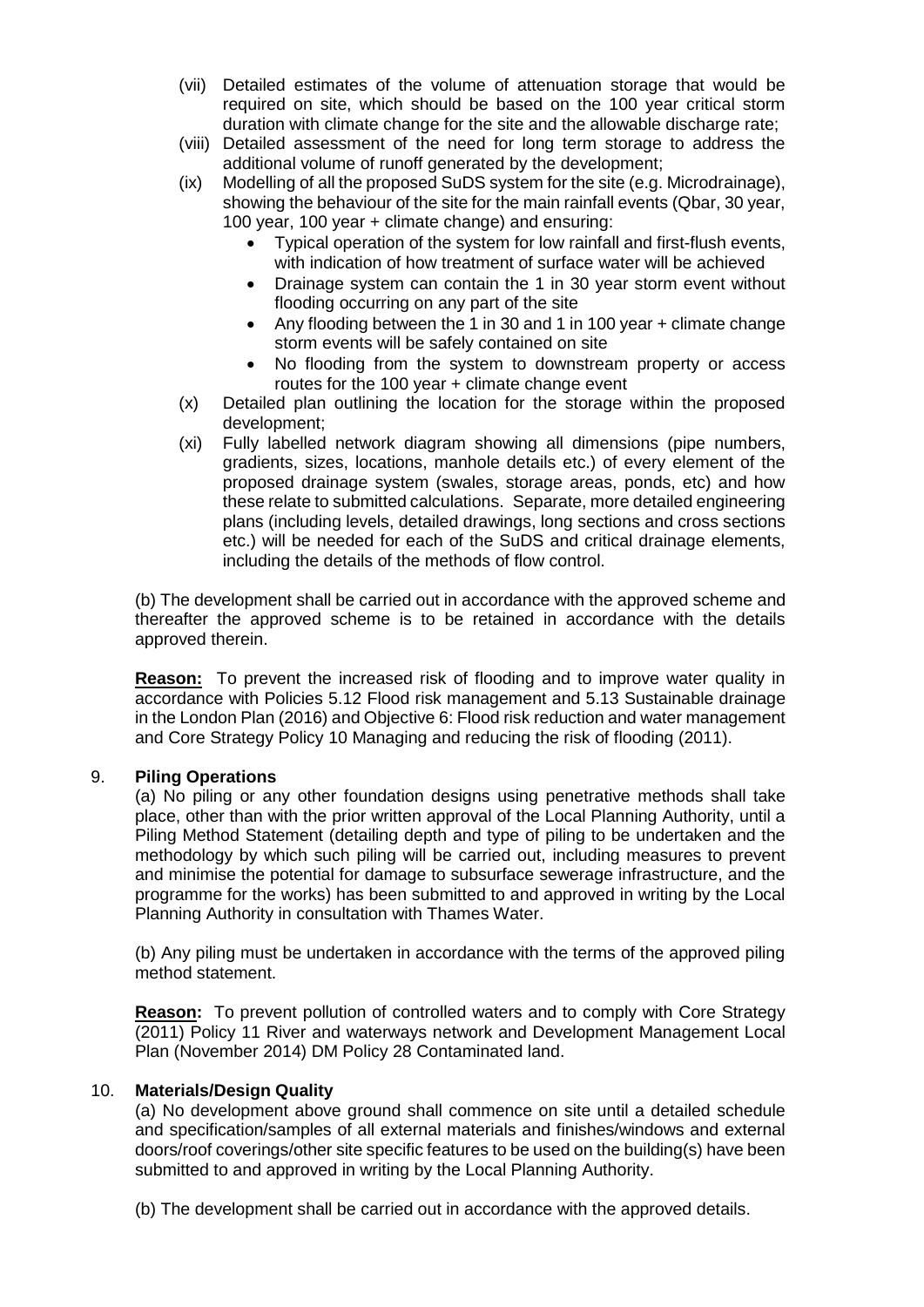- (vii) Detailed estimates of the volume of attenuation storage that would be required on site, which should be based on the 100 year critical storm duration with climate change for the site and the allowable discharge rate;
- (viii) Detailed assessment of the need for long term storage to address the additional volume of runoff generated by the development;
- (ix) Modelling of all the proposed SuDS system for the site (e.g. Microdrainage), showing the behaviour of the site for the main rainfall events (Qbar, 30 year, 100 year, 100 year + climate change) and ensuring:
	- Typical operation of the system for low rainfall and first-flush events, with indication of how treatment of surface water will be achieved
	- Drainage system can contain the 1 in 30 year storm event without flooding occurring on any part of the site
	- Any flooding between the 1 in 30 and 1 in 100 year + climate change storm events will be safely contained on site
	- No flooding from the system to downstream property or access routes for the 100 year + climate change event
- (x) Detailed plan outlining the location for the storage within the proposed development;
- (xi) Fully labelled network diagram showing all dimensions (pipe numbers, gradients, sizes, locations, manhole details etc.) of every element of the proposed drainage system (swales, storage areas, ponds, etc) and how these relate to submitted calculations. Separate, more detailed engineering plans (including levels, detailed drawings, long sections and cross sections etc.) will be needed for each of the SuDS and critical drainage elements, including the details of the methods of flow control.

(b) The development shall be carried out in accordance with the approved scheme and thereafter the approved scheme is to be retained in accordance with the details approved therein.

**Reason:** To prevent the increased risk of flooding and to improve water quality in accordance with Policies 5.12 Flood risk management and 5.13 Sustainable drainage in the London Plan (2016) and Objective 6: Flood risk reduction and water management and Core Strategy Policy 10 Managing and reducing the risk of flooding (2011).

## 9. **Piling Operations**

(a) No piling or any other foundation designs using penetrative methods shall take place, other than with the prior written approval of the Local Planning Authority, until a Piling Method Statement (detailing depth and type of piling to be undertaken and the methodology by which such piling will be carried out, including measures to prevent and minimise the potential for damage to subsurface sewerage infrastructure, and the programme for the works) has been submitted to and approved in writing by the Local Planning Authority in consultation with Thames Water.

(b) Any piling must be undertaken in accordance with the terms of the approved piling method statement.

**Reason:** To prevent pollution of controlled waters and to comply with Core Strategy (2011) Policy 11 River and waterways network and Development Management Local Plan (November 2014) DM Policy 28 Contaminated land.

#### 10. **Materials/Design Quality**

(a) No development above ground shall commence on site until a detailed schedule and specification/samples of all external materials and finishes/windows and external doors/roof coverings/other site specific features to be used on the building(s) have been submitted to and approved in writing by the Local Planning Authority.

(b) The development shall be carried out in accordance with the approved details.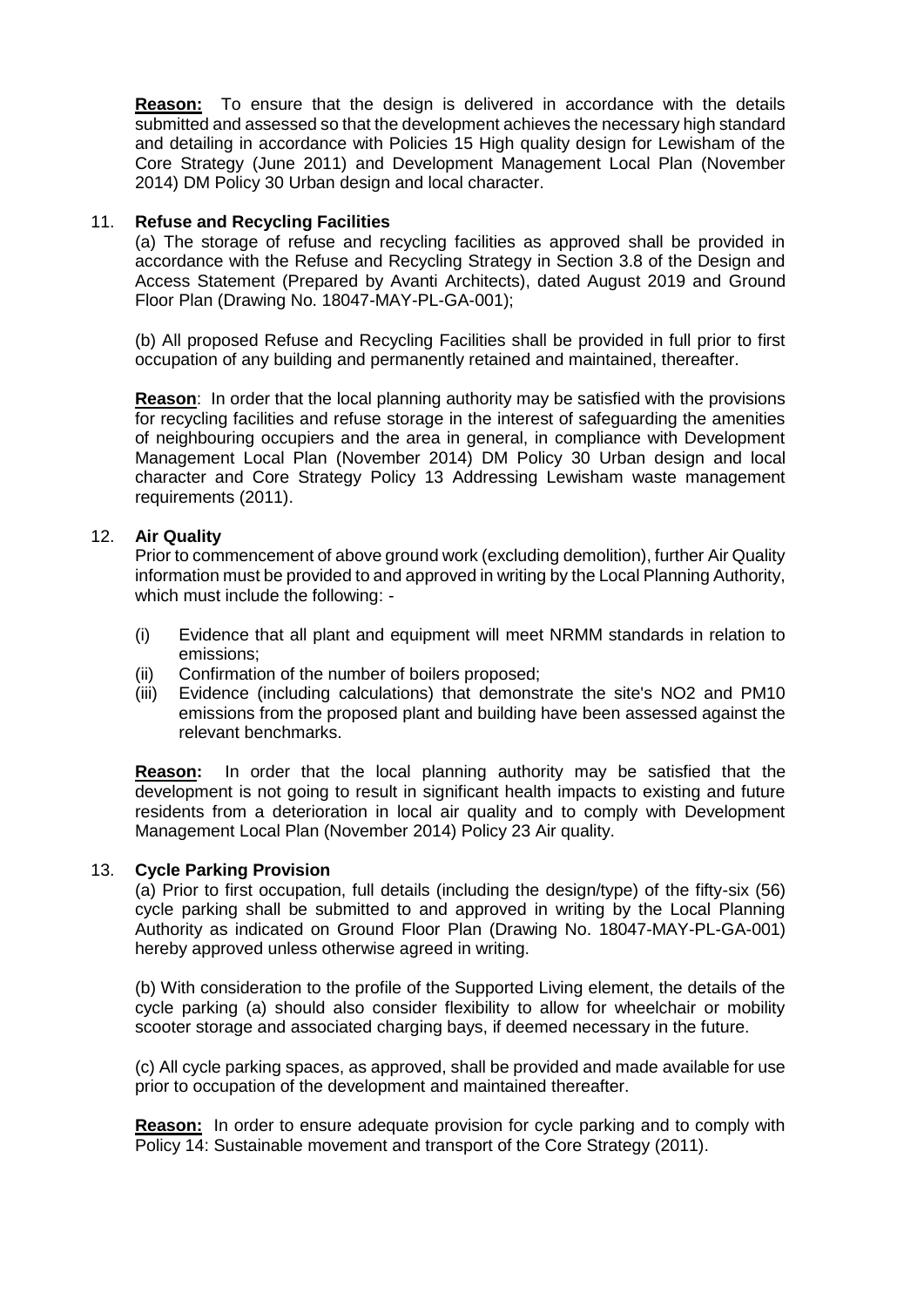**Reason:** To ensure that the design is delivered in accordance with the details submitted and assessed so that the development achieves the necessary high standard and detailing in accordance with Policies 15 High quality design for Lewisham of the Core Strategy (June 2011) and Development Management Local Plan (November 2014) DM Policy 30 Urban design and local character.

### 11. **Refuse and Recycling Facilities**

(a) The storage of refuse and recycling facilities as approved shall be provided in accordance with the Refuse and Recycling Strategy in Section 3.8 of the Design and Access Statement (Prepared by Avanti Architects), dated August 2019 and Ground Floor Plan (Drawing No. 18047-MAY-PL-GA-001);

(b) All proposed Refuse and Recycling Facilities shall be provided in full prior to first occupation of any building and permanently retained and maintained, thereafter.

**Reason**: In order that the local planning authority may be satisfied with the provisions for recycling facilities and refuse storage in the interest of safeguarding the amenities of neighbouring occupiers and the area in general, in compliance with Development Management Local Plan (November 2014) DM Policy 30 Urban design and local character and Core Strategy Policy 13 Addressing Lewisham waste management requirements (2011).

## 12. **Air Quality**

Prior to commencement of above ground work (excluding demolition), further Air Quality information must be provided to and approved in writing by the Local Planning Authority, which must include the following: -

- (i) Evidence that all plant and equipment will meet NRMM standards in relation to emissions;
- (ii) Confirmation of the number of boilers proposed;
- (iii) Evidence (including calculations) that demonstrate the site's NO2 and PM10 emissions from the proposed plant and building have been assessed against the relevant benchmarks.

**Reason:** In order that the local planning authority may be satisfied that the development is not going to result in significant health impacts to existing and future residents from a deterioration in local air quality and to comply with Development Management Local Plan (November 2014) Policy 23 Air quality.

#### 13. **Cycle Parking Provision**

(a) Prior to first occupation, full details (including the design/type) of the fifty-six (56) cycle parking shall be submitted to and approved in writing by the Local Planning Authority as indicated on Ground Floor Plan (Drawing No. 18047-MAY-PL-GA-001) hereby approved unless otherwise agreed in writing.

(b) With consideration to the profile of the Supported Living element, the details of the cycle parking (a) should also consider flexibility to allow for wheelchair or mobility scooter storage and associated charging bays, if deemed necessary in the future.

(c) All cycle parking spaces, as approved, shall be provided and made available for use prior to occupation of the development and maintained thereafter.

**Reason:** In order to ensure adequate provision for cycle parking and to comply with Policy 14: Sustainable movement and transport of the Core Strategy (2011).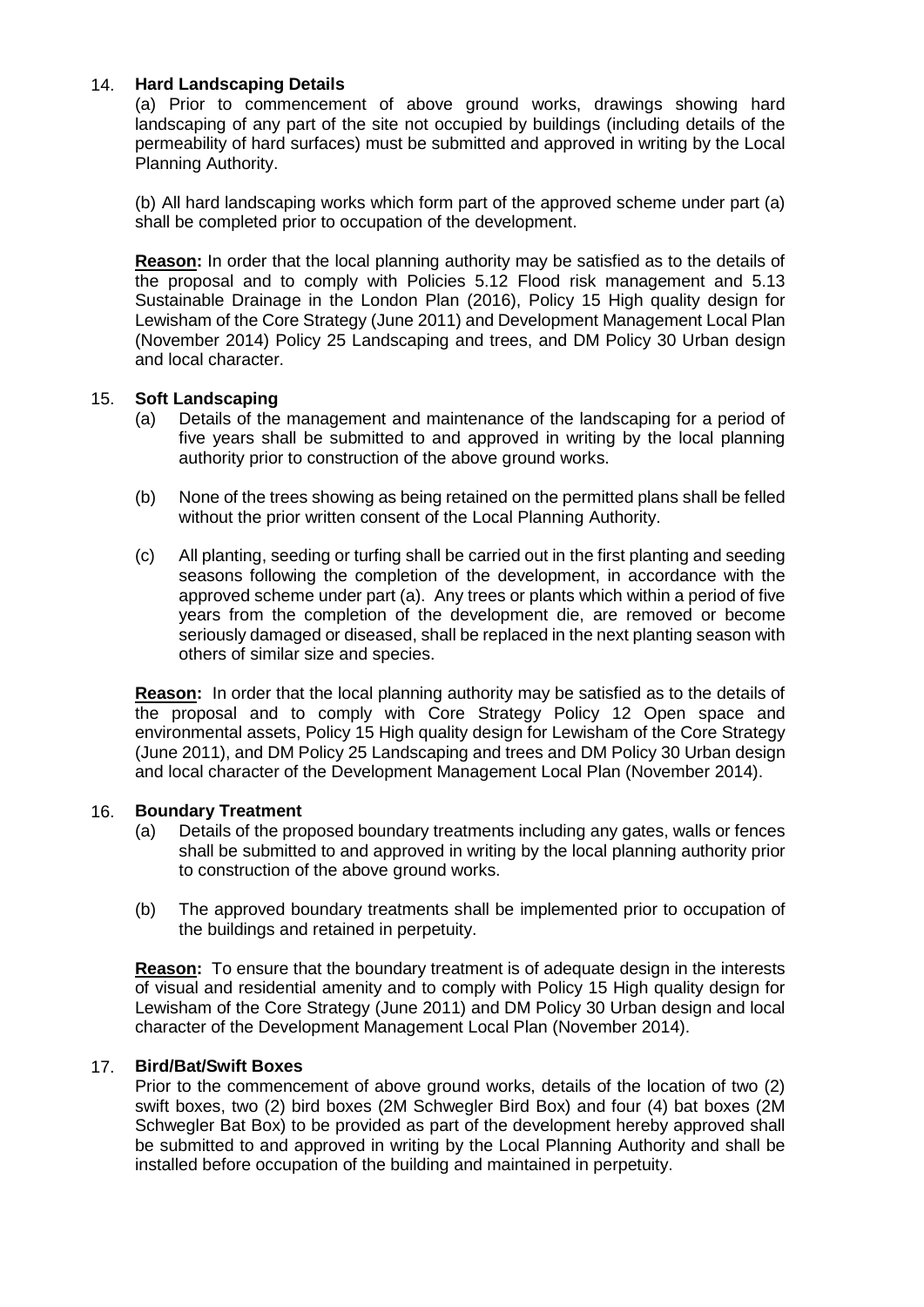## 14. **Hard Landscaping Details**

(a) Prior to commencement of above ground works, drawings showing hard landscaping of any part of the site not occupied by buildings (including details of the permeability of hard surfaces) must be submitted and approved in writing by the Local Planning Authority.

(b) All hard landscaping works which form part of the approved scheme under part (a) shall be completed prior to occupation of the development.

**Reason:** In order that the local planning authority may be satisfied as to the details of the proposal and to comply with Policies 5.12 Flood risk management and 5.13 Sustainable Drainage in the London Plan (2016), Policy 15 High quality design for Lewisham of the Core Strategy (June 2011) and Development Management Local Plan (November 2014) Policy 25 Landscaping and trees, and DM Policy 30 Urban design and local character.

## 15. **Soft Landscaping**

- (a) Details of the management and maintenance of the landscaping for a period of five years shall be submitted to and approved in writing by the local planning authority prior to construction of the above ground works.
- (b) None of the trees showing as being retained on the permitted plans shall be felled without the prior written consent of the Local Planning Authority.
- (c) All planting, seeding or turfing shall be carried out in the first planting and seeding seasons following the completion of the development, in accordance with the approved scheme under part (a). Any trees or plants which within a period of five years from the completion of the development die, are removed or become seriously damaged or diseased, shall be replaced in the next planting season with others of similar size and species.

**Reason:** In order that the local planning authority may be satisfied as to the details of the proposal and to comply with Core Strategy Policy 12 Open space and environmental assets, Policy 15 High quality design for Lewisham of the Core Strategy (June 2011), and DM Policy 25 Landscaping and trees and DM Policy 30 Urban design and local character of the Development Management Local Plan (November 2014).

#### 16. **Boundary Treatment**

- (a) Details of the proposed boundary treatments including any gates, walls or fences shall be submitted to and approved in writing by the local planning authority prior to construction of the above ground works.
- (b) The approved boundary treatments shall be implemented prior to occupation of the buildings and retained in perpetuity.

**Reason:** To ensure that the boundary treatment is of adequate design in the interests of visual and residential amenity and to comply with Policy 15 High quality design for Lewisham of the Core Strategy (June 2011) and DM Policy 30 Urban design and local character of the Development Management Local Plan (November 2014).

#### 17. **Bird/Bat/Swift Boxes**

Prior to the commencement of above ground works, details of the location of two (2) swift boxes, two (2) bird boxes (2M Schwegler Bird Box) and four (4) bat boxes (2M Schwegler Bat Box) to be provided as part of the development hereby approved shall be submitted to and approved in writing by the Local Planning Authority and shall be installed before occupation of the building and maintained in perpetuity.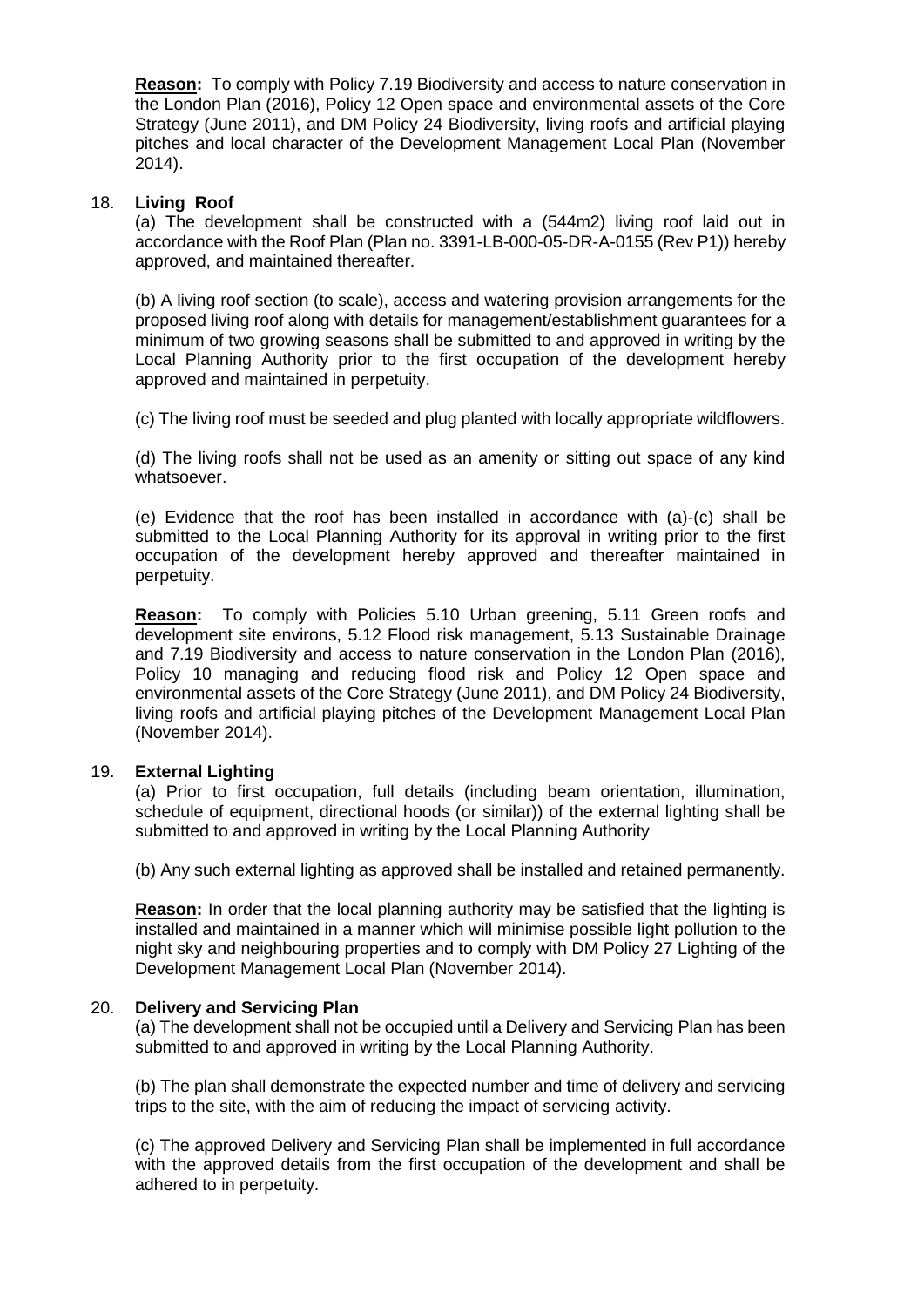**Reason:** To comply with Policy 7.19 Biodiversity and access to nature conservation in the London Plan (2016), Policy 12 Open space and environmental assets of the Core Strategy (June 2011), and DM Policy 24 Biodiversity, living roofs and artificial playing pitches and local character of the Development Management Local Plan (November 2014).

### 18. **Living Roof**

(a) The development shall be constructed with a (544m2) living roof laid out in accordance with the Roof Plan (Plan no. 3391-LB-000-05-DR-A-0155 (Rev P1)) hereby approved, and maintained thereafter.

(b) A living roof section (to scale), access and watering provision arrangements for the proposed living roof along with details for management/establishment guarantees for a minimum of two growing seasons shall be submitted to and approved in writing by the Local Planning Authority prior to the first occupation of the development hereby approved and maintained in perpetuity.

(c) The living roof must be seeded and plug planted with locally appropriate wildflowers.

(d) The living roofs shall not be used as an amenity or sitting out space of any kind whatsoever.

(e) Evidence that the roof has been installed in accordance with (a)-(c) shall be submitted to the Local Planning Authority for its approval in writing prior to the first occupation of the development hereby approved and thereafter maintained in perpetuity.

**Reason:** To comply with Policies 5.10 Urban greening, 5.11 Green roofs and development site environs, 5.12 Flood risk management, 5.13 Sustainable Drainage and 7.19 Biodiversity and access to nature conservation in the London Plan (2016), Policy 10 managing and reducing flood risk and Policy 12 Open space and environmental assets of the Core Strategy (June 2011), and DM Policy 24 Biodiversity, living roofs and artificial playing pitches of the Development Management Local Plan (November 2014).

## 19. **External Lighting**

(a) Prior to first occupation, full details (including beam orientation, illumination, schedule of equipment, directional hoods (or similar)) of the external lighting shall be submitted to and approved in writing by the Local Planning Authority

(b) Any such external lighting as approved shall be installed and retained permanently.

**Reason:** In order that the local planning authority may be satisfied that the lighting is installed and maintained in a manner which will minimise possible light pollution to the night sky and neighbouring properties and to comply with DM Policy 27 Lighting of the Development Management Local Plan (November 2014).

#### 20. **Delivery and Servicing Plan**

(a) The development shall not be occupied until a Delivery and Servicing Plan has been submitted to and approved in writing by the Local Planning Authority.

(b) The plan shall demonstrate the expected number and time of delivery and servicing trips to the site, with the aim of reducing the impact of servicing activity.

(c) The approved Delivery and Servicing Plan shall be implemented in full accordance with the approved details from the first occupation of the development and shall be adhered to in perpetuity.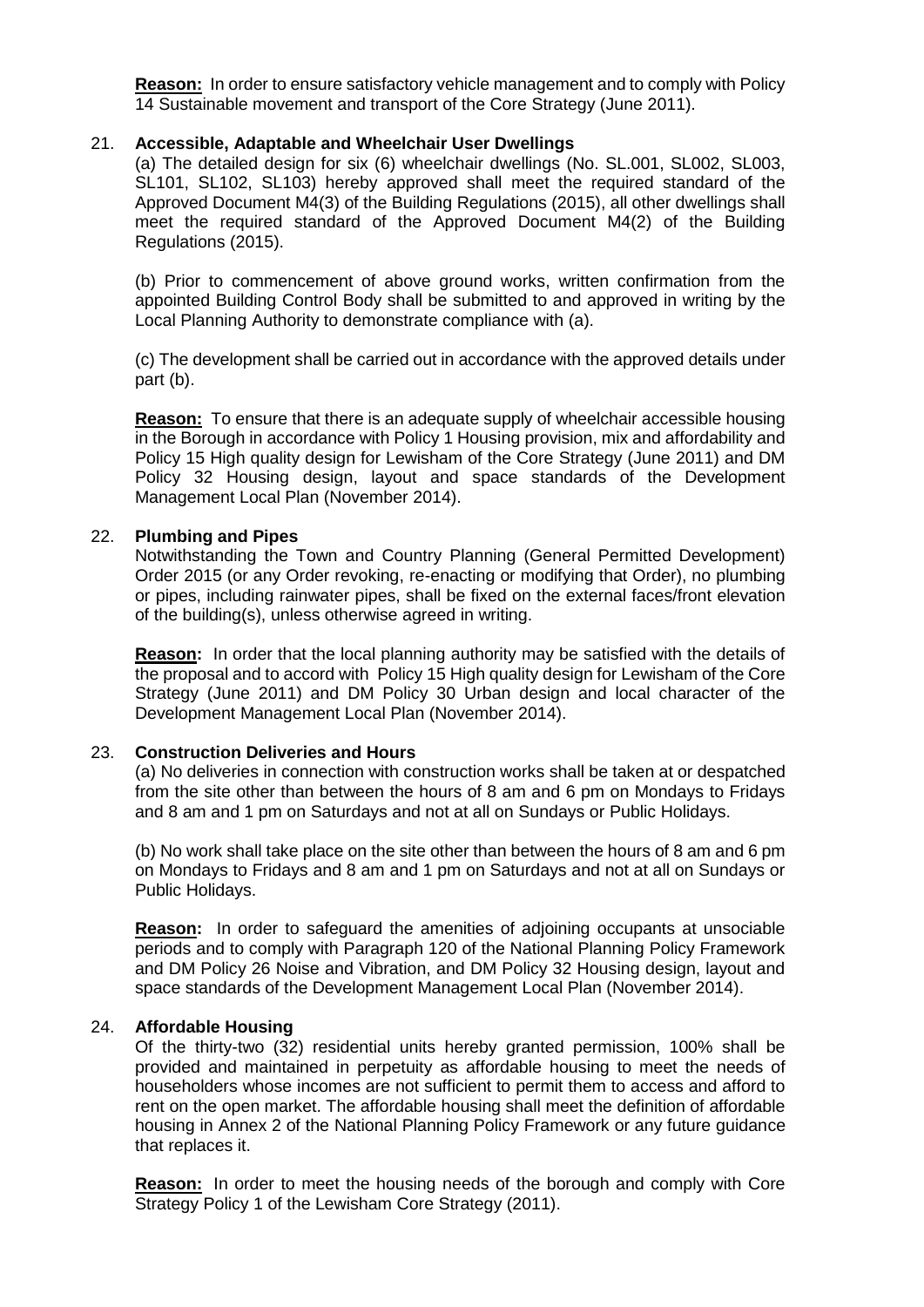**Reason:** In order to ensure satisfactory vehicle management and to comply with Policy 14 Sustainable movement and transport of the Core Strategy (June 2011).

#### 21. **Accessible, Adaptable and Wheelchair User Dwellings**

(a) The detailed design for six (6) wheelchair dwellings (No. SL.001, SL002, SL003, SL101, SL102, SL103) hereby approved shall meet the required standard of the Approved Document M4(3) of the Building Regulations (2015), all other dwellings shall meet the required standard of the Approved Document M4(2) of the Building Regulations (2015).

(b) Prior to commencement of above ground works, written confirmation from the appointed Building Control Body shall be submitted to and approved in writing by the Local Planning Authority to demonstrate compliance with (a).

(c) The development shall be carried out in accordance with the approved details under part (b).

**Reason:** To ensure that there is an adequate supply of wheelchair accessible housing in the Borough in accordance with Policy 1 Housing provision, mix and affordability and Policy 15 High quality design for Lewisham of the Core Strategy (June 2011) and DM Policy 32 Housing design, layout and space standards of the Development Management Local Plan (November 2014).

### 22. **Plumbing and Pipes**

Notwithstanding the Town and Country Planning (General Permitted Development) Order 2015 (or any Order revoking, re-enacting or modifying that Order), no plumbing or pipes, including rainwater pipes, shall be fixed on the external faces/front elevation of the building(s), unless otherwise agreed in writing.

**Reason:** In order that the local planning authority may be satisfied with the details of the proposal and to accord with Policy 15 High quality design for Lewisham of the Core Strategy (June 2011) and DM Policy 30 Urban design and local character of the Development Management Local Plan (November 2014).

#### 23. **Construction Deliveries and Hours**

(a) No deliveries in connection with construction works shall be taken at or despatched from the site other than between the hours of 8 am and 6 pm on Mondays to Fridays and 8 am and 1 pm on Saturdays and not at all on Sundays or Public Holidays.

(b) No work shall take place on the site other than between the hours of 8 am and 6 pm on Mondays to Fridays and 8 am and 1 pm on Saturdays and not at all on Sundays or Public Holidays.

**Reason:** In order to safeguard the amenities of adjoining occupants at unsociable periods and to comply with Paragraph 120 of the National Planning Policy Framework and DM Policy 26 Noise and Vibration, and DM Policy 32 Housing design, layout and space standards of the Development Management Local Plan (November 2014).

#### 24. **Affordable Housing**

Of the thirty-two (32) residential units hereby granted permission, 100% shall be provided and maintained in perpetuity as affordable housing to meet the needs of householders whose incomes are not sufficient to permit them to access and afford to rent on the open market. The affordable housing shall meet the definition of affordable housing in Annex 2 of the National Planning Policy Framework or any future guidance that replaces it.

**Reason:** In order to meet the housing needs of the borough and comply with Core Strategy Policy 1 of the Lewisham Core Strategy (2011).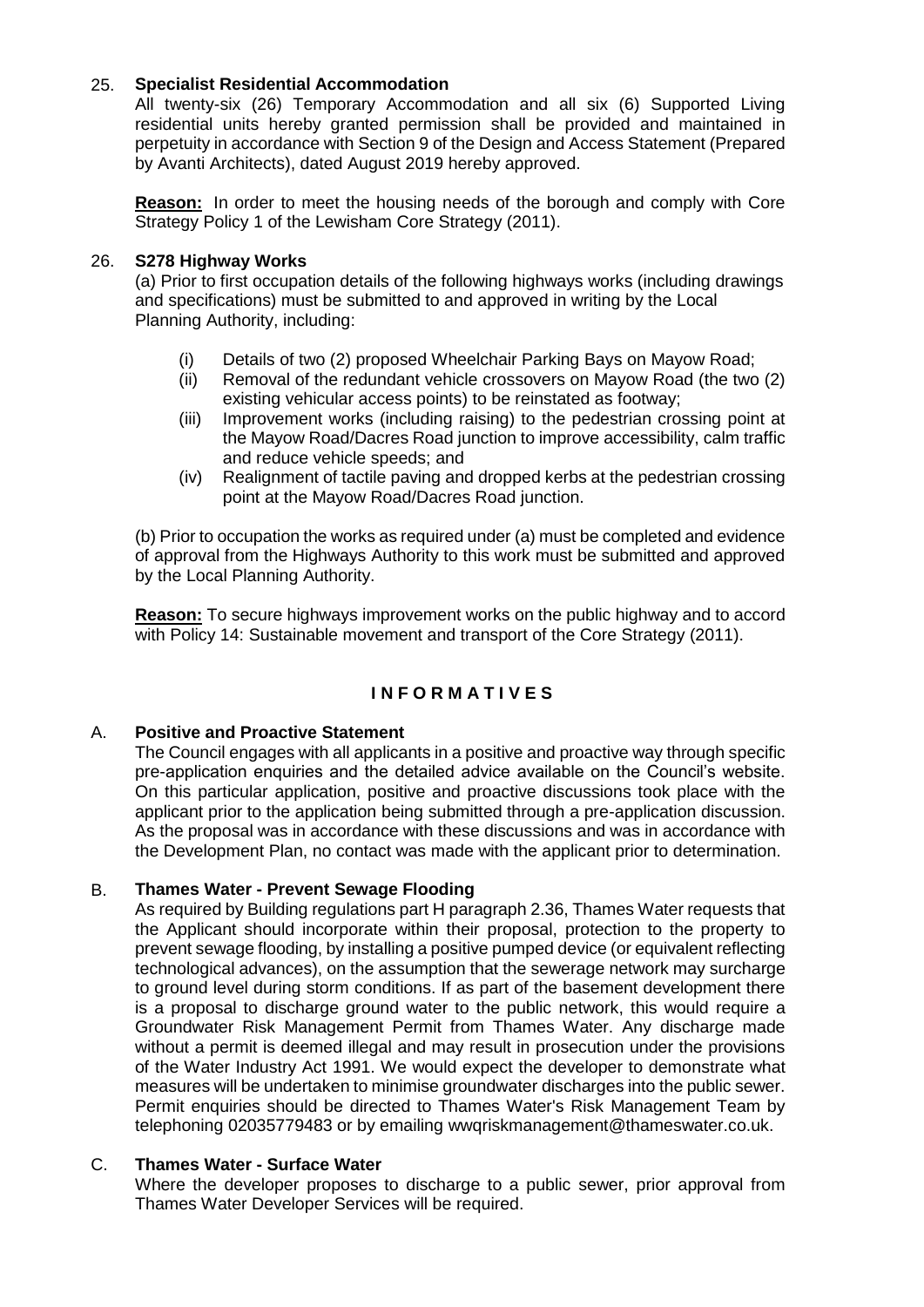## 25. **Specialist Residential Accommodation**

All twenty-six (26) Temporary Accommodation and all six (6) Supported Living residential units hereby granted permission shall be provided and maintained in perpetuity in accordance with Section 9 of the Design and Access Statement (Prepared by Avanti Architects), dated August 2019 hereby approved.

**Reason:** In order to meet the housing needs of the borough and comply with Core Strategy Policy 1 of the Lewisham Core Strategy (2011).

### 26. **S278 Highway Works**

(a) Prior to first occupation details of the following highways works (including drawings and specifications) must be submitted to and approved in writing by the Local Planning Authority, including:

- (i) Details of two (2) proposed Wheelchair Parking Bays on Mayow Road;
- (ii) Removal of the redundant vehicle crossovers on Mayow Road (the two (2) existing vehicular access points) to be reinstated as footway;
- (iii) Improvement works (including raising) to the pedestrian crossing point at the Mayow Road/Dacres Road junction to improve accessibility, calm traffic and reduce vehicle speeds; and
- (iv) Realignment of tactile paving and dropped kerbs at the pedestrian crossing point at the Mayow Road/Dacres Road junction.

(b) Prior to occupation the works as required under (a) must be completed and evidence of approval from the Highways Authority to this work must be submitted and approved by the Local Planning Authority.

**Reason:** To secure highways improvement works on the public highway and to accord with Policy 14: Sustainable movement and transport of the Core Strategy (2011).

# **I N F O R M A T I V E S**

## A. **Positive and Proactive Statement**

The Council engages with all applicants in a positive and proactive way through specific pre-application enquiries and the detailed advice available on the Council's website. On this particular application, positive and proactive discussions took place with the applicant prior to the application being submitted through a pre-application discussion. As the proposal was in accordance with these discussions and was in accordance with the Development Plan, no contact was made with the applicant prior to determination.

## B. **Thames Water - Prevent Sewage Flooding**

As required by Building regulations part H paragraph 2.36, Thames Water requests that the Applicant should incorporate within their proposal, protection to the property to prevent sewage flooding, by installing a positive pumped device (or equivalent reflecting technological advances), on the assumption that the sewerage network may surcharge to ground level during storm conditions. If as part of the basement development there is a proposal to discharge ground water to the public network, this would require a Groundwater Risk Management Permit from Thames Water. Any discharge made without a permit is deemed illegal and may result in prosecution under the provisions of the Water Industry Act 1991. We would expect the developer to demonstrate what measures will be undertaken to minimise groundwater discharges into the public sewer. Permit enquiries should be directed to Thames Water's Risk Management Team by telephoning 02035779483 or by emailing wwqriskmanagement@thameswater.co.uk.

# C. **Thames Water - Surface Water**

Where the developer proposes to discharge to a public sewer, prior approval from Thames Water Developer Services will be required.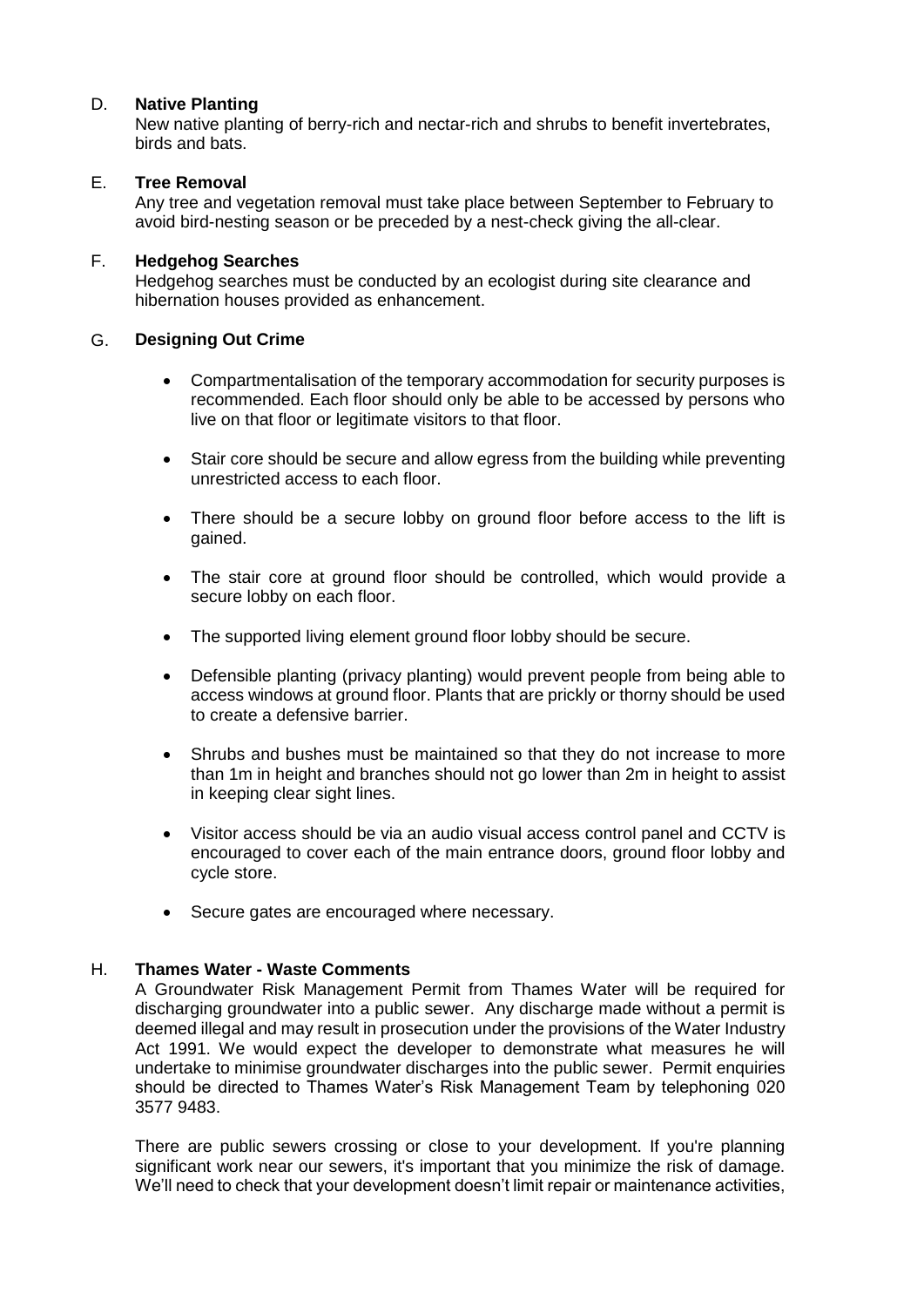## D. **Native Planting**

New native planting of berry-rich and nectar-rich and shrubs to benefit invertebrates, birds and bats.

# E. **Tree Removal**

Any tree and vegetation removal must take place between September to February to avoid bird-nesting season or be preceded by a nest-check giving the all-clear.

## F. **Hedgehog Searches**

Hedgehog searches must be conducted by an ecologist during site clearance and hibernation houses provided as enhancement.

## G. **Designing Out Crime**

- Compartmentalisation of the temporary accommodation for security purposes is recommended. Each floor should only be able to be accessed by persons who live on that floor or legitimate visitors to that floor.
- Stair core should be secure and allow egress from the building while preventing unrestricted access to each floor.
- There should be a secure lobby on ground floor before access to the lift is gained.
- The stair core at ground floor should be controlled, which would provide a secure lobby on each floor.
- The supported living element ground floor lobby should be secure.
- Defensible planting (privacy planting) would prevent people from being able to access windows at ground floor. Plants that are prickly or thorny should be used to create a defensive barrier.
- Shrubs and bushes must be maintained so that they do not increase to more than 1m in height and branches should not go lower than 2m in height to assist in keeping clear sight lines.
- Visitor access should be via an audio visual access control panel and CCTV is encouraged to cover each of the main entrance doors, ground floor lobby and cycle store.
- Secure gates are encouraged where necessary.

## H. **Thames Water - Waste Comments**

A Groundwater Risk Management Permit from Thames Water will be required for discharging groundwater into a public sewer. Any discharge made without a permit is deemed illegal and may result in prosecution under the provisions of the Water Industry Act 1991. We would expect the developer to demonstrate what measures he will undertake to minimise groundwater discharges into the public sewer. Permit enquiries should be directed to Thames Water's Risk Management Team by telephoning 020 3577 9483.

There are public sewers crossing or close to your development. If you're planning significant work near our sewers, it's important that you minimize the risk of damage. We'll need to check that your development doesn't limit repair or maintenance activities,